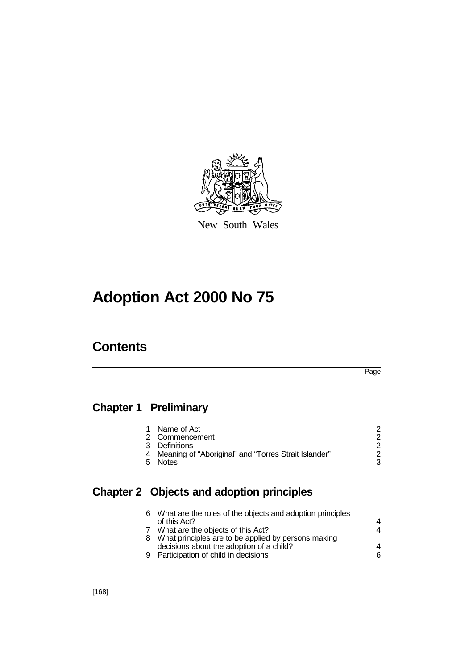

New South Wales

# **Adoption Act 2000 No 75**

# **Contents**

Page

# **Chapter 1 Preliminary**

| Name of Act                                            |   |
|--------------------------------------------------------|---|
| 2 Commencement                                         | ົ |
| <b>Definitions</b>                                     | າ |
| 4 Meaning of "Aboriginal" and "Torres Strait Islander" | າ |
| <b>Notes</b>                                           | 3 |
|                                                        |   |
|                                                        |   |
|                                                        |   |

# **Chapter 2 Objects and adoption principles**

| 6 What are the roles of the objects and adoption principles |   |
|-------------------------------------------------------------|---|
| of this Act?                                                | 4 |
| 7 What are the objects of this Act?                         | 4 |
| 8 What principles are to be applied by persons making       |   |
| decisions about the adoption of a child?                    | 4 |
| 9 Participation of child in decisions                       | 6 |
|                                                             |   |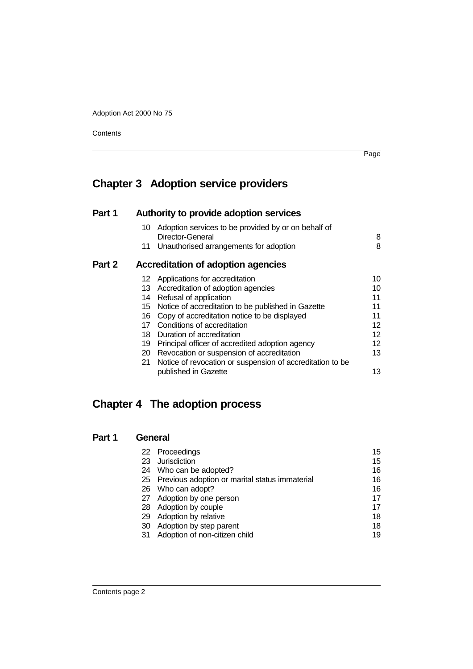**Contents** 

Page

# **Chapter 3 Adoption service providers**

| Part 1 | Authority to provide adoption services |                                                                                                                   |                 |  |
|--------|----------------------------------------|-------------------------------------------------------------------------------------------------------------------|-----------------|--|
|        | 10<br>11                               | Adoption services to be provided by or on behalf of<br>Director-General<br>Unauthorised arrangements for adoption | 8<br>8          |  |
| Part 2 |                                        | Accreditation of adoption agencies                                                                                |                 |  |
|        | 12                                     | Applications for accreditation                                                                                    | 10              |  |
|        | 13                                     | Accreditation of adoption agencies                                                                                | 10              |  |
|        | 14                                     | Refusal of application                                                                                            | 11              |  |
|        | 15                                     | Notice of accreditation to be published in Gazette                                                                | 11              |  |
|        | 16                                     | Copy of accreditation notice to be displayed                                                                      | 11              |  |
|        | 17                                     | Conditions of accreditation                                                                                       | 12              |  |
|        | 18                                     | Duration of accreditation                                                                                         | 12 <sup>°</sup> |  |
|        | 19                                     | Principal officer of accredited adoption agency                                                                   | 12              |  |
|        | 20                                     | Revocation or suspension of accreditation                                                                         | 13              |  |
|        | 21                                     | Notice of revocation or suspension of accreditation to be                                                         |                 |  |
|        |                                        | published in Gazette                                                                                              | 13              |  |

# **Chapter 4 The adoption process**

### **Part 1 General**

|     | 22 Proceedings                                    | 15 |
|-----|---------------------------------------------------|----|
|     | 23 Jurisdiction                                   | 15 |
|     | 24 Who can be adopted?                            | 16 |
|     | 25 Previous adoption or marital status immaterial | 16 |
|     | 26 Who can adopt?                                 | 16 |
|     | 27 Adoption by one person                         | 17 |
|     | 28 Adoption by couple                             | 17 |
|     | 29 Adoption by relative                           | 18 |
| 30  | Adoption by step parent                           | 18 |
| -31 | Adoption of non-citizen child                     | 19 |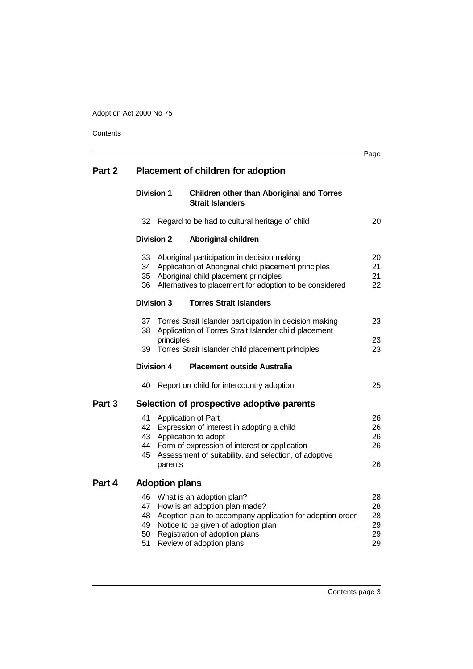**Contents** 

|        |                                                                                                                                                                                                                                                               | Page                             |
|--------|---------------------------------------------------------------------------------------------------------------------------------------------------------------------------------------------------------------------------------------------------------------|----------------------------------|
| Part 2 | <b>Placement of children for adoption</b>                                                                                                                                                                                                                     |                                  |
|        | <b>Division 1</b><br><b>Children other than Aboriginal and Torres</b><br><b>Strait Islanders</b>                                                                                                                                                              |                                  |
|        | 32 Regard to be had to cultural heritage of child                                                                                                                                                                                                             | 20                               |
|        | <b>Division 2</b><br><b>Aboriginal children</b>                                                                                                                                                                                                               |                                  |
|        | 33 Aboriginal participation in decision making<br>34<br>Application of Aboriginal child placement principles<br>Aboriginal child placement principles<br>35<br>36 Alternatives to placement for adoption to be considered                                     | 20<br>21<br>21<br>22             |
|        | <b>Division 3</b><br><b>Torres Strait Islanders</b>                                                                                                                                                                                                           |                                  |
|        | 37<br>Torres Strait Islander participation in decision making<br>Application of Torres Strait Islander child placement<br>38                                                                                                                                  | 23                               |
|        | principles<br>39<br>Torres Strait Islander child placement principles                                                                                                                                                                                         | 23<br>23                         |
|        | <b>Division 4</b><br><b>Placement outside Australia</b>                                                                                                                                                                                                       |                                  |
|        | Report on child for intercountry adoption<br>40                                                                                                                                                                                                               | 25                               |
| Part 3 | Selection of prospective adoptive parents                                                                                                                                                                                                                     |                                  |
|        | 41<br>Application of Part<br>Expression of interest in adopting a child<br>42<br>43 Application to adopt<br>Form of expression of interest or application<br>44<br>45<br>Assessment of suitability, and selection, of adoptive<br>parents                     | 26<br>26<br>26<br>26<br>26       |
| Part 4 | <b>Adoption plans</b>                                                                                                                                                                                                                                         |                                  |
|        | 46 What is an adoption plan?<br>47<br>How is an adoption plan made?<br>48<br>Adoption plan to accompany application for adoption order<br>49<br>Notice to be given of adoption plan<br>Registration of adoption plans<br>50<br>51<br>Review of adoption plans | 28<br>28<br>28<br>29<br>29<br>29 |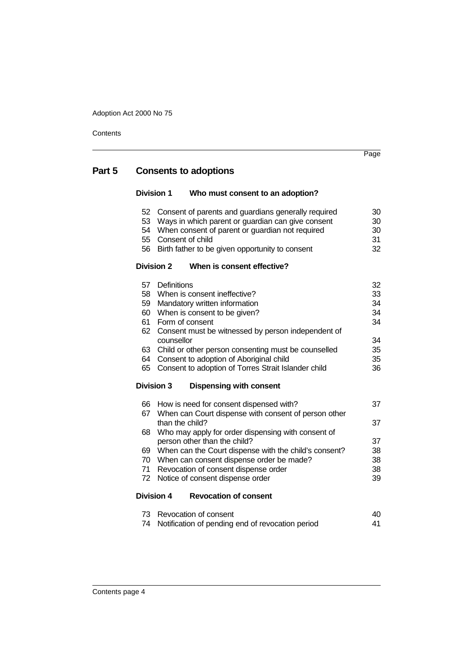**Contents** 

| ×<br>w<br>۰. |
|--------------|
|--------------|

## **Part 5 Consents to adoptions**

#### **Division 1 Who must consent to an adoption?**

| 52 Consent of parents and guardians generally required | 30  |
|--------------------------------------------------------|-----|
| 53 Ways in which parent or guardian can give consent   | 30  |
| 54 When consent of parent or guardian not required     | 30  |
| 55 Consent of child                                    | -31 |
| 56 Birth father to be given opportunity to consent     | 32  |
|                                                        |     |

### **Division 2 When is consent effective?**

| 57 | Definitions                                           | 32 |  |  |  |  |
|----|-------------------------------------------------------|----|--|--|--|--|
|    | When is consent ineffective?                          |    |  |  |  |  |
| 58 |                                                       |    |  |  |  |  |
| 59 | Mandatory written information                         | 34 |  |  |  |  |
| 60 | When is consent to be given?                          | 34 |  |  |  |  |
| 61 | Form of consent                                       | 34 |  |  |  |  |
| 62 | Consent must be witnessed by person independent of    |    |  |  |  |  |
|    | counsellor                                            | 34 |  |  |  |  |
| 63 | Child or other person consenting must be counselled   | 35 |  |  |  |  |
| 64 | Consent to adoption of Aboriginal child               | 35 |  |  |  |  |
| 65 | Consent to adoption of Torres Strait Islander child   | 36 |  |  |  |  |
|    |                                                       |    |  |  |  |  |
|    | <b>Division 3</b><br><b>Dispensing with consent</b>   |    |  |  |  |  |
|    |                                                       |    |  |  |  |  |
|    |                                                       | 37 |  |  |  |  |
| 66 | How is need for consent dispensed with?               |    |  |  |  |  |
| 67 | When can Court dispense with consent of person other  |    |  |  |  |  |
|    | than the child?                                       | 37 |  |  |  |  |
| 68 | Who may apply for order dispensing with consent of    |    |  |  |  |  |
|    | person other than the child?                          | 37 |  |  |  |  |
| 69 | When can the Court dispense with the child's consent? | 38 |  |  |  |  |
| 70 | When can consent dispense order be made?              | 38 |  |  |  |  |
| 71 | Revocation of consent dispense order                  | 38 |  |  |  |  |
| 72 | Notice of consent dispense order                      | 39 |  |  |  |  |
|    | <b>Revocation of consent</b><br><b>Division 4</b>     |    |  |  |  |  |

| 73 Revocation of consent                            | 40 |
|-----------------------------------------------------|----|
| 74 Notification of pending end of revocation period | 41 |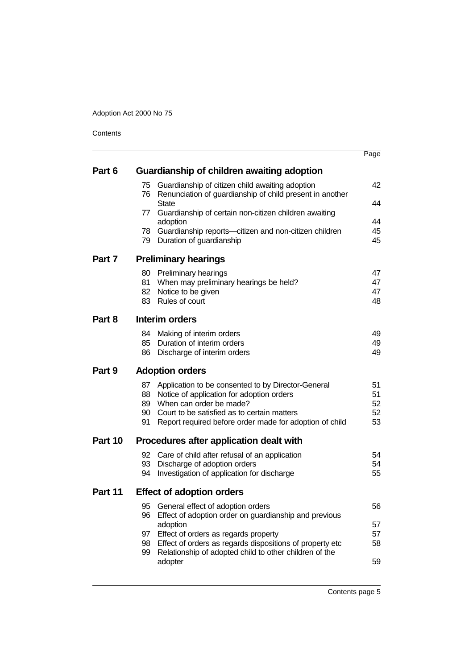**Contents** 

|         |                                                                                                                                                                                                                                                                    | Page                       |
|---------|--------------------------------------------------------------------------------------------------------------------------------------------------------------------------------------------------------------------------------------------------------------------|----------------------------|
| Part 6  | Guardianship of children awaiting adoption                                                                                                                                                                                                                         |                            |
|         | Guardianship of citizen child awaiting adoption<br>75<br>Renunciation of guardianship of child present in another<br>76                                                                                                                                            | 42                         |
|         | <b>State</b><br>Guardianship of certain non-citizen children awaiting<br>77<br>adoption                                                                                                                                                                            | 44<br>44                   |
|         | Guardianship reports-citizen and non-citizen children<br>78<br>79<br>Duration of guardianship                                                                                                                                                                      | 45<br>45                   |
| Part 7  | <b>Preliminary hearings</b>                                                                                                                                                                                                                                        |                            |
|         | <b>Preliminary hearings</b><br>80<br>When may preliminary hearings be held?<br>81<br>82<br>Notice to be given<br>Rules of court<br>83                                                                                                                              | 47<br>47<br>47<br>48       |
| Part 8  | Interim orders                                                                                                                                                                                                                                                     |                            |
|         | Making of interim orders<br>84<br>85<br>Duration of interim orders<br>86<br>Discharge of interim orders                                                                                                                                                            | 49<br>49<br>49             |
| Part 9  | <b>Adoption orders</b>                                                                                                                                                                                                                                             |                            |
|         | 87<br>Application to be consented to by Director-General<br>Notice of application for adoption orders<br>88<br>89<br>When can order be made?<br>90<br>Court to be satisfied as to certain matters<br>91<br>Report required before order made for adoption of child | 51<br>51<br>52<br>52<br>53 |
| Part 10 | Procedures after application dealt with                                                                                                                                                                                                                            |                            |
|         | 92<br>Care of child after refusal of an application<br>93<br>Discharge of adoption orders<br>Investigation of application for discharge<br>94                                                                                                                      | 54<br>54<br>55             |
| Part 11 | <b>Effect of adoption orders</b>                                                                                                                                                                                                                                   |                            |
|         | General effect of adoption orders<br>95<br>Effect of adoption order on guardianship and previous<br>96<br>adoption                                                                                                                                                 | 56<br>57                   |
|         | Effect of orders as regards property<br>97<br>Effect of orders as regards dispositions of property etc<br>98<br>Relationship of adopted child to other children of the<br>99                                                                                       | 57<br>58                   |
|         | adopter                                                                                                                                                                                                                                                            | 59                         |

Contents page 5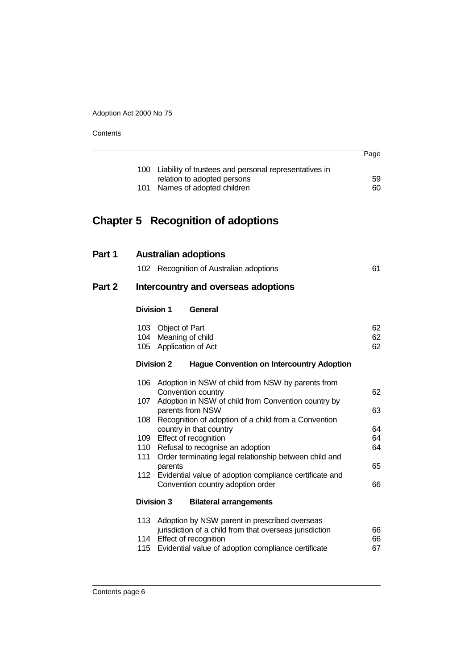**Contents** 

|        |            |                                                                                                                                         | Page           |
|--------|------------|-----------------------------------------------------------------------------------------------------------------------------------------|----------------|
|        | 100        | Liability of trustees and personal representatives in<br>relation to adopted persons                                                    | 59             |
|        | 101        | Names of adopted children                                                                                                               | 60             |
|        |            | <b>Chapter 5 Recognition of adoptions</b>                                                                                               |                |
| Part 1 |            | <b>Australian adoptions</b>                                                                                                             |                |
|        |            | 102 Recognition of Australian adoptions                                                                                                 | 61             |
| Part 2 |            | Intercountry and overseas adoptions                                                                                                     |                |
|        |            | <b>Division 1</b><br>General                                                                                                            |                |
|        | 103<br>104 | Object of Part<br>Meaning of child                                                                                                      | 62<br>62       |
|        | 105        | Application of Act                                                                                                                      | 62             |
|        |            | <b>Division 2</b><br><b>Hague Convention on Intercountry Adoption</b>                                                                   |                |
|        | 106        | Adoption in NSW of child from NSW by parents from<br>Convention country                                                                 | 62             |
|        | 107        | Adoption in NSW of child from Convention country by<br>parents from NSW                                                                 | 63             |
|        | 108        | Recognition of adoption of a child from a Convention<br>country in that country                                                         | 64             |
|        | 109        | Effect of recognition                                                                                                                   | 64             |
|        |            | 110 Refusal to recognise an adoption                                                                                                    | 64             |
|        | 111        | Order terminating legal relationship between child and<br>parents                                                                       | 65             |
|        | 112        | Evidential value of adoption compliance certificate and<br>Convention country adoption order                                            | 66             |
|        |            | <b>Division 3</b><br><b>Bilateral arrangements</b>                                                                                      |                |
|        | 113        | Adoption by NSW parent in prescribed overseas                                                                                           |                |
|        | 114<br>115 | jurisdiction of a child from that overseas jurisdiction<br>Effect of recognition<br>Evidential value of adoption compliance certificate | 66<br>66<br>67 |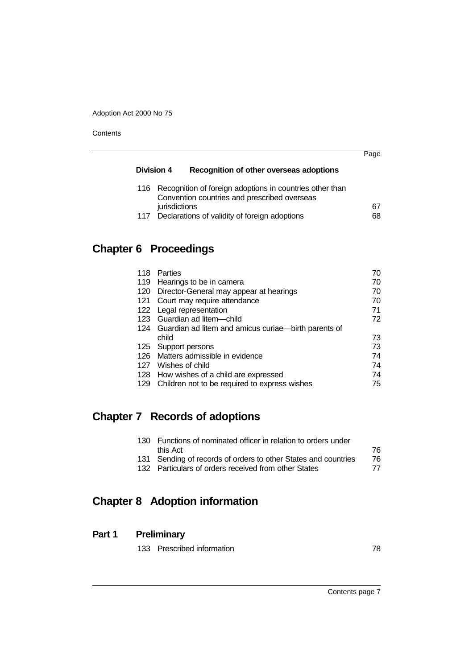**Contents** 

|     |               |                                                                                                              | Page |
|-----|---------------|--------------------------------------------------------------------------------------------------------------|------|
|     | Division 4    | Recognition of other overseas adoptions                                                                      |      |
|     |               | 116 Recognition of foreign adoptions in countries other than<br>Convention countries and prescribed overseas |      |
|     | jurisdictions |                                                                                                              | 67   |
| 117 |               | Declarations of validity of foreign adoptions                                                                | 68   |

# **Chapter 6 Proceedings**

| 118 | Parties                                              | 70 |
|-----|------------------------------------------------------|----|
| 119 | Hearings to be in camera                             | 70 |
| 120 | Director-General may appear at hearings              | 70 |
| 121 | Court may require attendance                         | 70 |
|     | 122 Legal representation                             | 71 |
|     | 123 Guardian ad litem-child                          | 72 |
| 124 | Guardian ad litem and amicus curiae—birth parents of |    |
|     | child                                                | 73 |
|     | 125 Support persons                                  | 73 |
|     | 126 Matters admissible in evidence                   | 74 |
|     | 127 Wishes of child                                  | 74 |
| 128 | How wishes of a child are expressed                  | 74 |
| 129 | Children not to be required to express wishes        | 75 |

# **Chapter 7 Records of adoptions**

| 130 Functions of nominated officer in relation to orders under |     |
|----------------------------------------------------------------|-----|
| this Act                                                       | 76. |
| 131 Sending of records of orders to other States and countries | 76  |
| 132 Particulars of orders received from other States           | 77. |
|                                                                |     |

# **Chapter 8 Adoption information**

### **Part 1 Preliminary**

133 Prescribed information 133 Prescribed information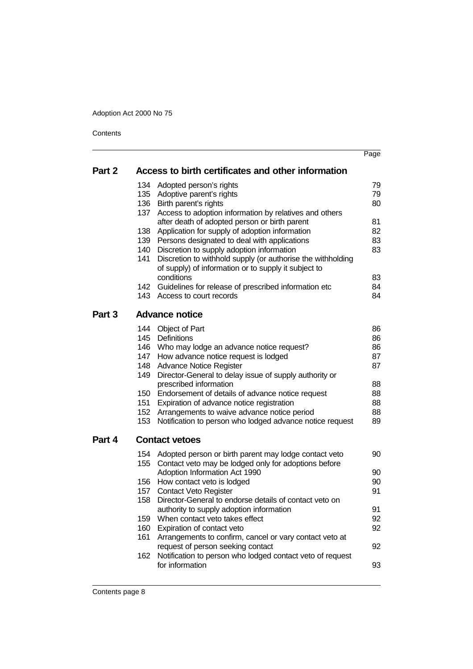**Contents** 

|        |                                               |                                                                                                                                                                                                                                                                                                                                                                                                                                                                                                                                                                     | Page                                                     |
|--------|-----------------------------------------------|---------------------------------------------------------------------------------------------------------------------------------------------------------------------------------------------------------------------------------------------------------------------------------------------------------------------------------------------------------------------------------------------------------------------------------------------------------------------------------------------------------------------------------------------------------------------|----------------------------------------------------------|
| Part 2 |                                               | Access to birth certificates and other information                                                                                                                                                                                                                                                                                                                                                                                                                                                                                                                  |                                                          |
|        | 134                                           | Adopted person's rights<br>135 Adoptive parent's rights<br>136 Birth parent's rights<br>137 Access to adoption information by relatives and others                                                                                                                                                                                                                                                                                                                                                                                                                  | 79<br>79<br>80                                           |
|        | 138<br>141                                    | after death of adopted person or birth parent<br>Application for supply of adoption information<br>139 Persons designated to deal with applications<br>140 Discretion to supply adoption information<br>Discretion to withhold supply (or authorise the withholding<br>of supply) of information or to supply it subject to                                                                                                                                                                                                                                         | 81<br>82<br>83<br>83                                     |
|        |                                               | conditions<br>142 Guidelines for release of prescribed information etc<br>143 Access to court records                                                                                                                                                                                                                                                                                                                                                                                                                                                               | 83<br>84<br>84                                           |
| Part 3 |                                               | <b>Advance notice</b>                                                                                                                                                                                                                                                                                                                                                                                                                                                                                                                                               |                                                          |
|        | 144<br>149<br>151<br>153                      | Object of Part<br>145 Definitions<br>146 Who may lodge an advance notice request?<br>147 How advance notice request is lodged<br>148 Advance Notice Register<br>Director-General to delay issue of supply authority or<br>prescribed information<br>150 Endorsement of details of advance notice request<br>Expiration of advance notice registration<br>152 Arrangements to waive advance notice period<br>Notification to person who lodged advance notice request                                                                                                | 86<br>86<br>86<br>87<br>87<br>88<br>88<br>88<br>88<br>89 |
| Part 4 |                                               | <b>Contact vetoes</b>                                                                                                                                                                                                                                                                                                                                                                                                                                                                                                                                               |                                                          |
|        | 155<br>157<br>158<br>159<br>160<br>161<br>162 | 154 Adopted person or birth parent may lodge contact veto<br>Contact veto may be lodged only for adoptions before<br>Adoption Information Act 1990<br>156 How contact veto is lodged<br>Contact Veto Register<br>Director-General to endorse details of contact veto on<br>authority to supply adoption information<br>When contact veto takes effect<br>Expiration of contact veto<br>Arrangements to confirm, cancel or vary contact veto at<br>request of person seeking contact<br>Notification to person who lodged contact veto of request<br>for information | 90<br>90<br>90<br>91<br>91<br>92<br>92<br>92<br>93       |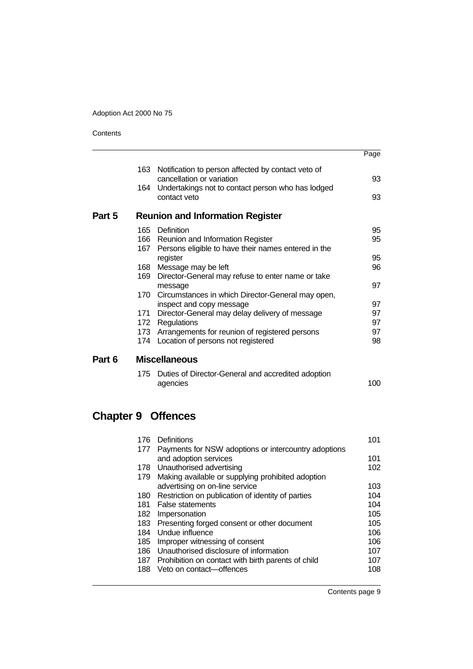**Contents** 

|     |                                                                   | Page                                                                                                                                                                                                                                                                                                                                                                                                                                                         |
|-----|-------------------------------------------------------------------|--------------------------------------------------------------------------------------------------------------------------------------------------------------------------------------------------------------------------------------------------------------------------------------------------------------------------------------------------------------------------------------------------------------------------------------------------------------|
|     | cancellation or variation                                         | 93                                                                                                                                                                                                                                                                                                                                                                                                                                                           |
|     | Undertakings not to contact person who has lodged<br>contact veto | 93                                                                                                                                                                                                                                                                                                                                                                                                                                                           |
|     |                                                                   |                                                                                                                                                                                                                                                                                                                                                                                                                                                              |
| 165 | Definition                                                        | 95                                                                                                                                                                                                                                                                                                                                                                                                                                                           |
|     |                                                                   | 95                                                                                                                                                                                                                                                                                                                                                                                                                                                           |
|     | Persons eligible to have their names entered in the               |                                                                                                                                                                                                                                                                                                                                                                                                                                                              |
|     | register                                                          | 95                                                                                                                                                                                                                                                                                                                                                                                                                                                           |
|     |                                                                   | 96                                                                                                                                                                                                                                                                                                                                                                                                                                                           |
|     |                                                                   | 97                                                                                                                                                                                                                                                                                                                                                                                                                                                           |
|     |                                                                   |                                                                                                                                                                                                                                                                                                                                                                                                                                                              |
|     |                                                                   | 97                                                                                                                                                                                                                                                                                                                                                                                                                                                           |
|     |                                                                   | 97                                                                                                                                                                                                                                                                                                                                                                                                                                                           |
|     |                                                                   | 97                                                                                                                                                                                                                                                                                                                                                                                                                                                           |
|     | Arrangements for reunion of registered persons                    | 97                                                                                                                                                                                                                                                                                                                                                                                                                                                           |
| 174 | Location of persons not registered                                | 98                                                                                                                                                                                                                                                                                                                                                                                                                                                           |
|     |                                                                   |                                                                                                                                                                                                                                                                                                                                                                                                                                                              |
| 175 | Duties of Director-General and accredited adoption                | 100                                                                                                                                                                                                                                                                                                                                                                                                                                                          |
|     |                                                                   | 163 Notification to person affected by contact veto of<br>164<br><b>Reunion and Information Register</b><br>166 Reunion and Information Register<br>167<br>168 Message may be left<br>Director-General may refuse to enter name or take<br>169<br>message<br>170<br>Circumstances in which Director-General may open,<br>inspect and copy message<br>Director-General may delay delivery of message<br>171<br>172 Regulations<br>173<br><b>Miscellaneous</b> |

|       | 176 Definitions                                      | 101 |
|-------|------------------------------------------------------|-----|
| 177   | Payments for NSW adoptions or intercountry adoptions |     |
|       | and adoption services                                | 101 |
|       | 178 Unauthorised advertising                         | 102 |
| 179   | Making available or supplying prohibited adoption    |     |
|       | advertising on on-line service                       | 103 |
| 180 - | Restriction on publication of identity of parties    | 104 |
|       | 181 False statements                                 | 104 |
| 182   | Impersonation                                        | 105 |
| 183   | Presenting forged consent or other document          | 105 |
| 184   | Undue influence                                      | 106 |
| 185   | Improper witnessing of consent                       | 106 |
| 186   | Unauthorised disclosure of information               | 107 |
| 187   | Prohibition on contact with birth parents of child   | 107 |
| 188   | Veto on contact-offences                             | 108 |
|       |                                                      |     |

Contents page 9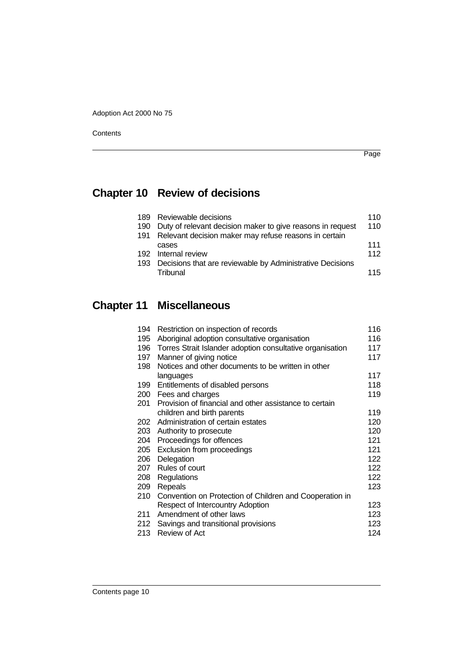**Contents** 

Page

# **Chapter 10 Review of decisions**

|     | 189 Reviewable decisions                                   | 110 |
|-----|------------------------------------------------------------|-----|
| 190 | Duty of relevant decision maker to give reasons in request | 110 |
|     | 191 Relevant decision maker may refuse reasons in certain  |     |
|     | cases                                                      | 111 |
|     | 192 Internal review                                        | 112 |
| 193 | Decisions that are reviewable by Administrative Decisions  |     |
|     | Tribunal                                                   | 115 |

# **Chapter 11 Miscellaneous**

| 194 | Restriction on inspection of records                      | 116 |
|-----|-----------------------------------------------------------|-----|
| 195 | Aboriginal adoption consultative organisation             | 116 |
| 196 | Torres Strait Islander adoption consultative organisation | 117 |
| 197 | Manner of giving notice                                   | 117 |
| 198 | Notices and other documents to be written in other        |     |
|     | languages                                                 | 117 |
| 199 | Entitlements of disabled persons                          | 118 |
|     | 200 Fees and charges                                      | 119 |
| 201 | Provision of financial and other assistance to certain    |     |
|     | children and birth parents                                | 119 |
| 202 | Administration of certain estates                         | 120 |
| 203 | Authority to prosecute                                    | 120 |
| 204 | Proceedings for offences                                  | 121 |
| 205 | Exclusion from proceedings                                | 121 |
| 206 | Delegation                                                | 122 |
| 207 | Rules of court                                            | 122 |
| 208 | Regulations                                               | 122 |
| 209 | Repeals                                                   | 123 |
| 210 | Convention on Protection of Children and Cooperation in   |     |
|     | Respect of Intercountry Adoption                          | 123 |
| 211 | Amendment of other laws                                   | 123 |
| 212 | Savings and transitional provisions                       | 123 |
| 213 | Review of Act                                             | 124 |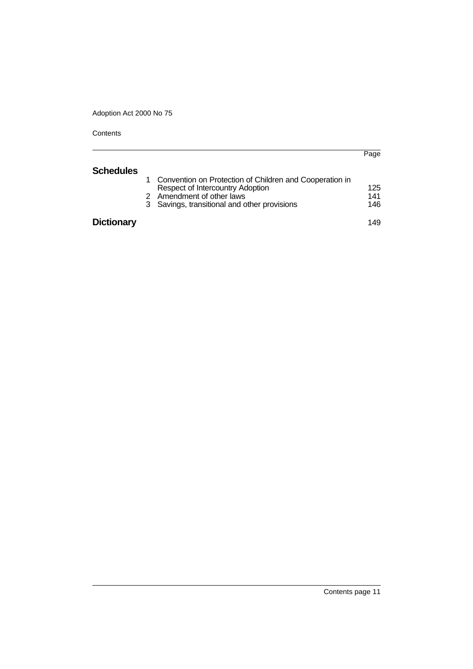**Contents** 

|                   |                                                         | Page |
|-------------------|---------------------------------------------------------|------|
| <b>Schedules</b>  |                                                         |      |
|                   | Convention on Protection of Children and Cooperation in |      |
|                   | Respect of Intercountry Adoption                        | 125  |
|                   | Amendment of other laws                                 | 141  |
|                   | 3 Savings, transitional and other provisions            | 146  |
| <b>Dictionary</b> |                                                         | 149  |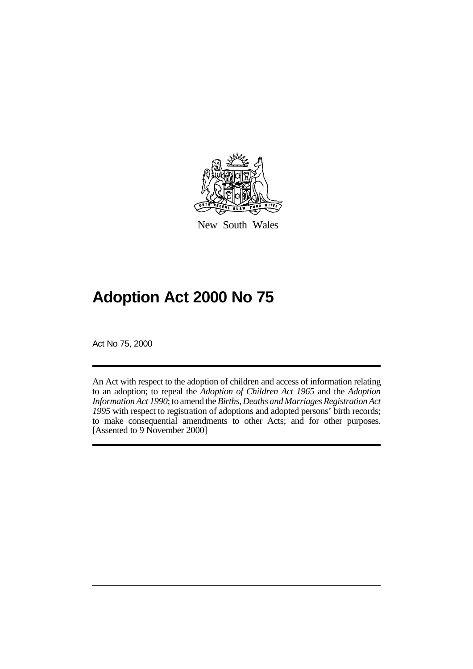

New South Wales

Act No 75, 2000

An Act with respect to the adoption of children and access of information relating to an adoption; to repeal the *Adoption of Children Act 1965* and the *Adoption Information Act 1990*; to amend the *Births, Deaths and Marriages Registration Act 1995* with respect to registration of adoptions and adopted persons' birth records; to make consequential amendments to other Acts; and for other purposes. [Assented to 9 November 2000]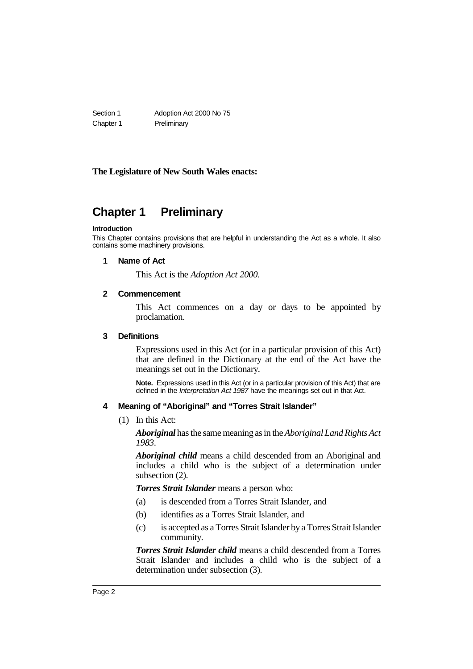Section 1 Adoption Act 2000 No 75 Chapter 1 Preliminary

#### **The Legislature of New South Wales enacts:**

## **Chapter 1 Preliminary**

#### **Introduction**

This Chapter contains provisions that are helpful in understanding the Act as a whole. It also contains some machinery provisions.

#### **1 Name of Act**

This Act is the *Adoption Act 2000*.

#### **2 Commencement**

This Act commences on a day or days to be appointed by proclamation.

#### **3 Definitions**

Expressions used in this Act (or in a particular provision of this Act) that are defined in the Dictionary at the end of the Act have the meanings set out in the Dictionary.

**Note.** Expressions used in this Act (or in a particular provision of this Act) that are defined in the Interpretation Act 1987 have the meanings set out in that Act.

#### **4 Meaning of "Aboriginal" and "Torres Strait Islander"**

(1) In this Act:

*Aboriginal* has the same meaning as in the *Aboriginal Land Rights Act 1983*.

*Aboriginal child* means a child descended from an Aboriginal and includes a child who is the subject of a determination under subsection (2).

*Torres Strait Islander* means a person who:

- (a) is descended from a Torres Strait Islander, and
- (b) identifies as a Torres Strait Islander, and
- (c) is accepted as a Torres Strait Islander by a Torres Strait Islander community.

*Torres Strait Islander child* means a child descended from a Torres Strait Islander and includes a child who is the subject of a determination under subsection (3).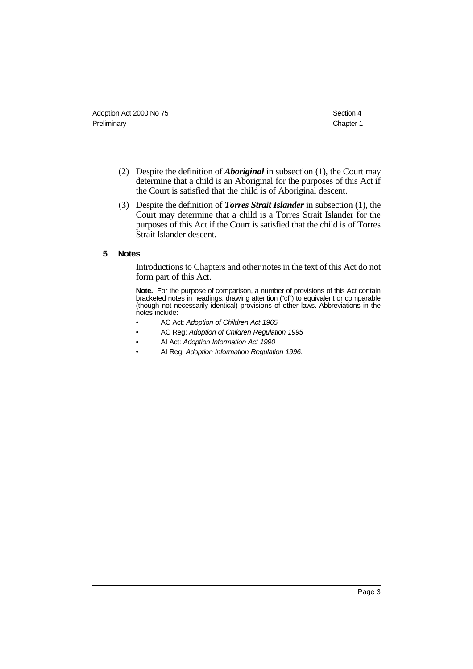- (2) Despite the definition of *Aboriginal* in subsection (1), the Court may determine that a child is an Aboriginal for the purposes of this Act if the Court is satisfied that the child is of Aboriginal descent.
- (3) Despite the definition of *Torres Strait Islander* in subsection (1), the Court may determine that a child is a Torres Strait Islander for the purposes of this Act if the Court is satisfied that the child is of Torres Strait Islander descent.

#### **5 Notes**

Introductions to Chapters and other notes in the text of this Act do not form part of this Act.

**Note.** For the purpose of comparison, a number of provisions of this Act contain bracketed notes in headings, drawing attention ("cf") to equivalent or comparable (though not necessarily identical) provisions of other laws. Abbreviations in the notes include:

- AC Act: Adoption of Children Act 1965
- AC Reg: Adoption of Children Regulation 1995
- AI Act: Adoption Information Act 1990
- AI Reg: Adoption Information Regulation 1996.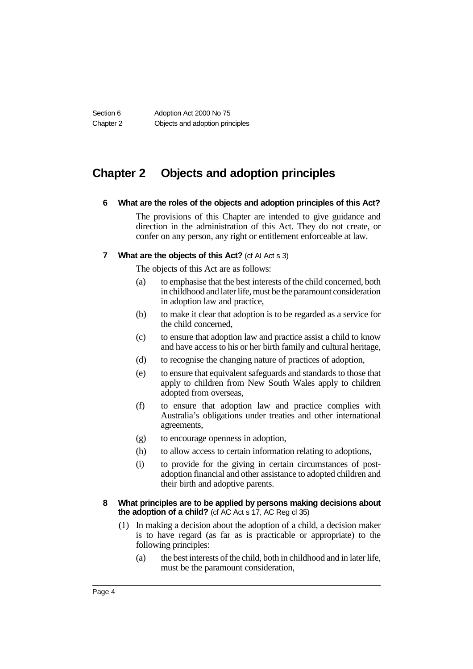| Section 6 | Adoption Act 2000 No 75         |
|-----------|---------------------------------|
| Chapter 2 | Objects and adoption principles |

# **Chapter 2 Objects and adoption principles**

**6 What are the roles of the objects and adoption principles of this Act?**

The provisions of this Chapter are intended to give guidance and direction in the administration of this Act. They do not create, or confer on any person, any right or entitlement enforceable at law.

#### **7 What are the objects of this Act?** (cf AI Act s 3)

The objects of this Act are as follows:

- (a) to emphasise that the best interests of the child concerned, both in childhood and later life, must be the paramount consideration in adoption law and practice,
- (b) to make it clear that adoption is to be regarded as a service for the child concerned,
- (c) to ensure that adoption law and practice assist a child to know and have access to his or her birth family and cultural heritage,
- (d) to recognise the changing nature of practices of adoption,
- (e) to ensure that equivalent safeguards and standards to those that apply to children from New South Wales apply to children adopted from overseas,
- (f) to ensure that adoption law and practice complies with Australia's obligations under treaties and other international agreements,
- (g) to encourage openness in adoption,
- (h) to allow access to certain information relating to adoptions,
- (i) to provide for the giving in certain circumstances of postadoption financial and other assistance to adopted children and their birth and adoptive parents.
- **8 What principles are to be applied by persons making decisions about the adoption of a child?** (cf AC Act s 17, AC Reg cl 35)
	- (1) In making a decision about the adoption of a child, a decision maker is to have regard (as far as is practicable or appropriate) to the following principles:
		- (a) the best interests of the child, both in childhood and in later life, must be the paramount consideration,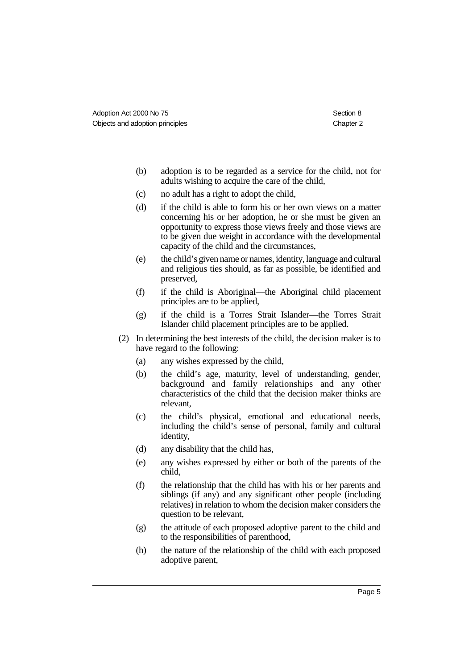- (b) adoption is to be regarded as a service for the child, not for adults wishing to acquire the care of the child,
- (c) no adult has a right to adopt the child,
- (d) if the child is able to form his or her own views on a matter concerning his or her adoption, he or she must be given an opportunity to express those views freely and those views are to be given due weight in accordance with the developmental capacity of the child and the circumstances,
- (e) the child's given name or names, identity, language and cultural and religious ties should, as far as possible, be identified and preserved,
- (f) if the child is Aboriginal—the Aboriginal child placement principles are to be applied,
- (g) if the child is a Torres Strait Islander—the Torres Strait Islander child placement principles are to be applied.
- (2) In determining the best interests of the child, the decision maker is to have regard to the following:
	- (a) any wishes expressed by the child,
	- (b) the child's age, maturity, level of understanding, gender, background and family relationships and any other characteristics of the child that the decision maker thinks are relevant,
	- (c) the child's physical, emotional and educational needs, including the child's sense of personal, family and cultural identity,
	- (d) any disability that the child has,
	- (e) any wishes expressed by either or both of the parents of the child,
	- (f) the relationship that the child has with his or her parents and siblings (if any) and any significant other people (including relatives) in relation to whom the decision maker considers the question to be relevant,
	- (g) the attitude of each proposed adoptive parent to the child and to the responsibilities of parenthood,
	- (h) the nature of the relationship of the child with each proposed adoptive parent,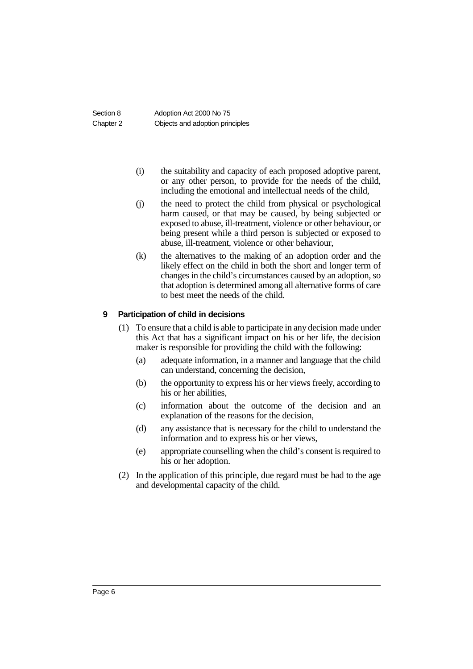- (i) the suitability and capacity of each proposed adoptive parent, or any other person, to provide for the needs of the child, including the emotional and intellectual needs of the child,
- (j) the need to protect the child from physical or psychological harm caused, or that may be caused, by being subjected or exposed to abuse, ill-treatment, violence or other behaviour, or being present while a third person is subjected or exposed to abuse, ill-treatment, violence or other behaviour,
- (k) the alternatives to the making of an adoption order and the likely effect on the child in both the short and longer term of changes in the child's circumstances caused by an adoption, so that adoption is determined among all alternative forms of care to best meet the needs of the child.

#### **9 Participation of child in decisions**

- (1) To ensure that a child is able to participate in any decision made under this Act that has a significant impact on his or her life, the decision maker is responsible for providing the child with the following:
	- (a) adequate information, in a manner and language that the child can understand, concerning the decision,
	- (b) the opportunity to express his or her views freely, according to his or her abilities,
	- (c) information about the outcome of the decision and an explanation of the reasons for the decision,
	- (d) any assistance that is necessary for the child to understand the information and to express his or her views,
	- (e) appropriate counselling when the child's consent is required to his or her adoption.
- (2) In the application of this principle, due regard must be had to the age and developmental capacity of the child.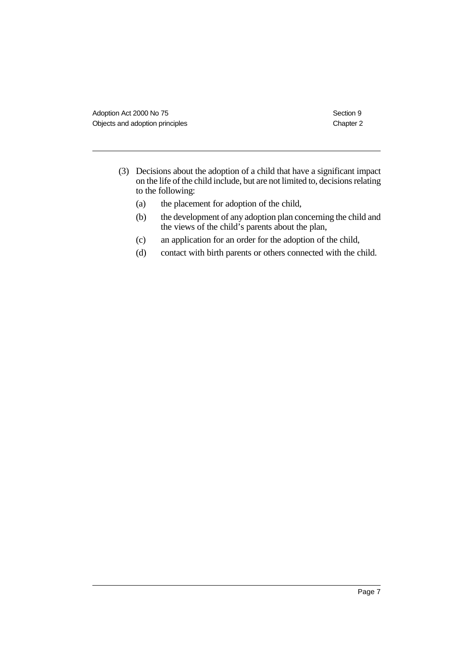- (3) Decisions about the adoption of a child that have a significant impact on the life of the child include, but are not limited to, decisions relating to the following:
	- (a) the placement for adoption of the child,
	- (b) the development of any adoption plan concerning the child and the views of the child's parents about the plan,
	- (c) an application for an order for the adoption of the child,
	- (d) contact with birth parents or others connected with the child.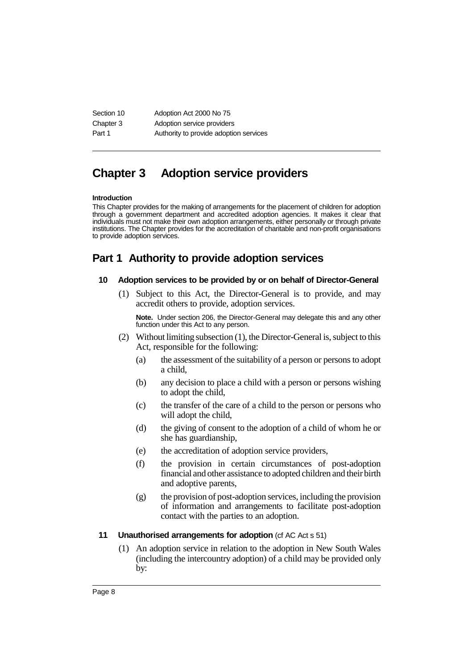| Section 10 | Adoption Act 2000 No 75                |
|------------|----------------------------------------|
| Chapter 3  | Adoption service providers             |
| Part 1     | Authority to provide adoption services |

# **Chapter 3 Adoption service providers**

#### **Introduction**

This Chapter provides for the making of arrangements for the placement of children for adoption through a government department and accredited adoption agencies. It makes it clear that individuals must not make their own adoption arrangements, either personally or through private institutions. The Chapter provides for the accreditation of charitable and non-profit organisations to provide adoption services.

# **Part 1 Authority to provide adoption services**

#### **10 Adoption services to be provided by or on behalf of Director-General**

(1) Subject to this Act, the Director-General is to provide, and may accredit others to provide, adoption services.

**Note.** Under section 206, the Director-General may delegate this and any other function under this Act to any person.

- (2) Without limiting subsection (1), the Director-General is, subject to this Act, responsible for the following:
	- (a) the assessment of the suitability of a person or persons to adopt a child,
	- (b) any decision to place a child with a person or persons wishing to adopt the child,
	- (c) the transfer of the care of a child to the person or persons who will adopt the child,
	- (d) the giving of consent to the adoption of a child of whom he or she has guardianship,
	- (e) the accreditation of adoption service providers,
	- (f) the provision in certain circumstances of post-adoption financial and other assistance to adopted children and their birth and adoptive parents,
	- (g) the provision of post-adoption services, including the provision of information and arrangements to facilitate post-adoption contact with the parties to an adoption.

#### **11 Unauthorised arrangements for adoption** (cf AC Act s 51)

(1) An adoption service in relation to the adoption in New South Wales (including the intercountry adoption) of a child may be provided only by: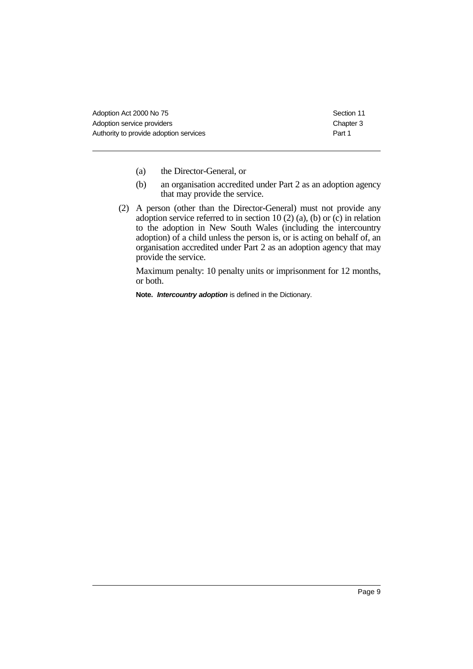| Adoption Act 2000 No 75                | Section 11 |
|----------------------------------------|------------|
| Adoption service providers             | Chapter 3  |
| Authority to provide adoption services | Part 1     |

- (a) the Director-General, or
- (b) an organisation accredited under Part 2 as an adoption agency that may provide the service.
- (2) A person (other than the Director-General) must not provide any adoption service referred to in section 10  $(2)$   $(a)$ ,  $(b)$  or  $(c)$  in relation to the adoption in New South Wales (including the intercountry adoption) of a child unless the person is, or is acting on behalf of, an organisation accredited under Part 2 as an adoption agency that may provide the service.

Maximum penalty: 10 penalty units or imprisonment for 12 months, or both.

**Note. Intercountry adoption** is defined in the Dictionary.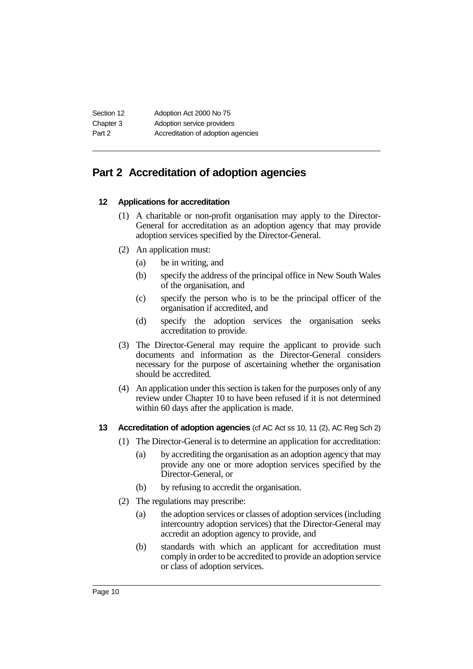| Section 12 | Adoption Act 2000 No 75            |
|------------|------------------------------------|
| Chapter 3  | Adoption service providers         |
| Part 2     | Accreditation of adoption agencies |

# **Part 2 Accreditation of adoption agencies**

#### **12 Applications for accreditation**

- (1) A charitable or non-profit organisation may apply to the Director-General for accreditation as an adoption agency that may provide adoption services specified by the Director-General.
- (2) An application must:
	- (a) be in writing, and
	- (b) specify the address of the principal office in New South Wales of the organisation, and
	- (c) specify the person who is to be the principal officer of the organisation if accredited, and
	- (d) specify the adoption services the organisation seeks accreditation to provide.
- (3) The Director-General may require the applicant to provide such documents and information as the Director-General considers necessary for the purpose of ascertaining whether the organisation should be accredited.
- (4) An application under this section is taken for the purposes only of any review under Chapter 10 to have been refused if it is not determined within 60 days after the application is made.
- **13 Accreditation of adoption agencies** (cf AC Act ss 10, 11 (2), AC Reg Sch 2)
	- (1) The Director-General is to determine an application for accreditation:
		- (a) by accrediting the organisation as an adoption agency that may provide any one or more adoption services specified by the Director-General, or
		- (b) by refusing to accredit the organisation.
	- (2) The regulations may prescribe:
		- (a) the adoption services or classes of adoption services (including intercountry adoption services) that the Director-General may accredit an adoption agency to provide, and
		- (b) standards with which an applicant for accreditation must comply in order to be accredited to provide an adoption service or class of adoption services.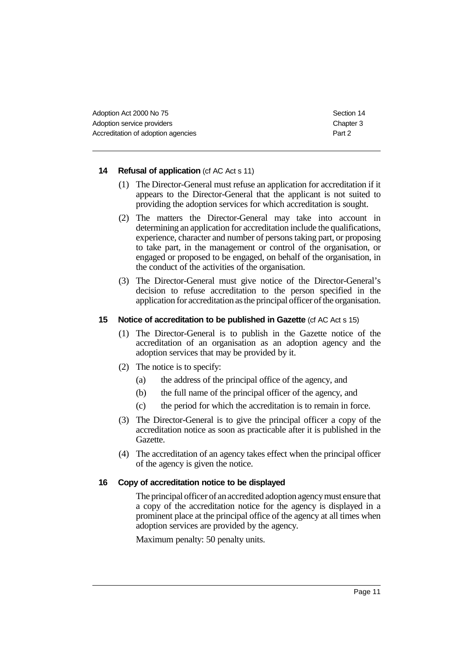| Adoption Act 2000 No 75            | Section 14 |
|------------------------------------|------------|
| Adoption service providers         | Chapter 3  |
| Accreditation of adoption agencies | Part 2     |

#### **14 Refusal of application** (cf AC Act s 11)

- (1) The Director-General must refuse an application for accreditation if it appears to the Director-General that the applicant is not suited to providing the adoption services for which accreditation is sought.
- (2) The matters the Director-General may take into account in determining an application for accreditation include the qualifications, experience, character and number of persons taking part, or proposing to take part, in the management or control of the organisation, or engaged or proposed to be engaged, on behalf of the organisation, in the conduct of the activities of the organisation.
- (3) The Director-General must give notice of the Director-General's decision to refuse accreditation to the person specified in the application for accreditation as the principal officer of the organisation.

#### **15 Notice of accreditation to be published in Gazette** (cf AC Act s 15)

- (1) The Director-General is to publish in the Gazette notice of the accreditation of an organisation as an adoption agency and the adoption services that may be provided by it.
- (2) The notice is to specify:
	- (a) the address of the principal office of the agency, and
	- (b) the full name of the principal officer of the agency, and
	- (c) the period for which the accreditation is to remain in force.
- (3) The Director-General is to give the principal officer a copy of the accreditation notice as soon as practicable after it is published in the Gazette.
- (4) The accreditation of an agency takes effect when the principal officer of the agency is given the notice.

#### **16 Copy of accreditation notice to be displayed**

The principal officer of an accredited adoption agency must ensure that a copy of the accreditation notice for the agency is displayed in a prominent place at the principal office of the agency at all times when adoption services are provided by the agency.

Maximum penalty: 50 penalty units.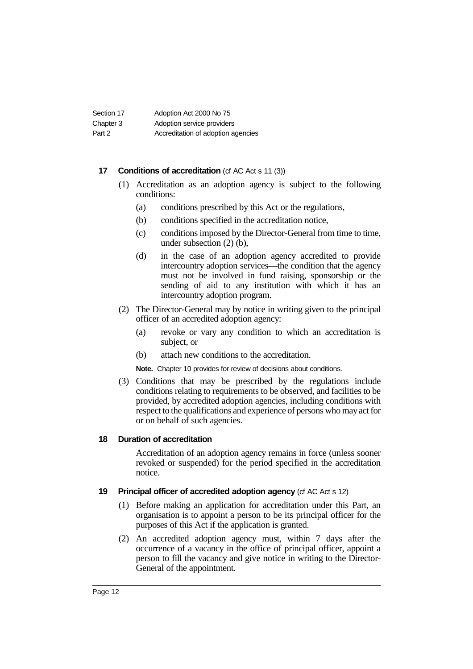| Section 17 | Adoption Act 2000 No 75            |
|------------|------------------------------------|
| Chapter 3  | Adoption service providers         |
| Part 2     | Accreditation of adoption agencies |

#### **17 Conditions of accreditation** (cf AC Act s 11 (3))

- (1) Accreditation as an adoption agency is subject to the following conditions:
	- (a) conditions prescribed by this Act or the regulations,
	- (b) conditions specified in the accreditation notice,
	- (c) conditions imposed by the Director-General from time to time, under subsection (2) (b),
	- (d) in the case of an adoption agency accredited to provide intercountry adoption services—the condition that the agency must not be involved in fund raising, sponsorship or the sending of aid to any institution with which it has an intercountry adoption program.
- (2) The Director-General may by notice in writing given to the principal officer of an accredited adoption agency:
	- (a) revoke or vary any condition to which an accreditation is subject, or
	- (b) attach new conditions to the accreditation.

**Note.** Chapter 10 provides for review of decisions about conditions.

(3) Conditions that may be prescribed by the regulations include conditions relating to requirements to be observed, and facilities to be provided, by accredited adoption agencies, including conditions with respect to the qualifications and experience of persons who may act for or on behalf of such agencies.

#### **18 Duration of accreditation**

Accreditation of an adoption agency remains in force (unless sooner revoked or suspended) for the period specified in the accreditation notice.

#### **19 Principal officer of accredited adoption agency** (cf AC Act s 12)

- (1) Before making an application for accreditation under this Part, an organisation is to appoint a person to be its principal officer for the purposes of this Act if the application is granted.
- (2) An accredited adoption agency must, within 7 days after the occurrence of a vacancy in the office of principal officer, appoint a person to fill the vacancy and give notice in writing to the Director-General of the appointment.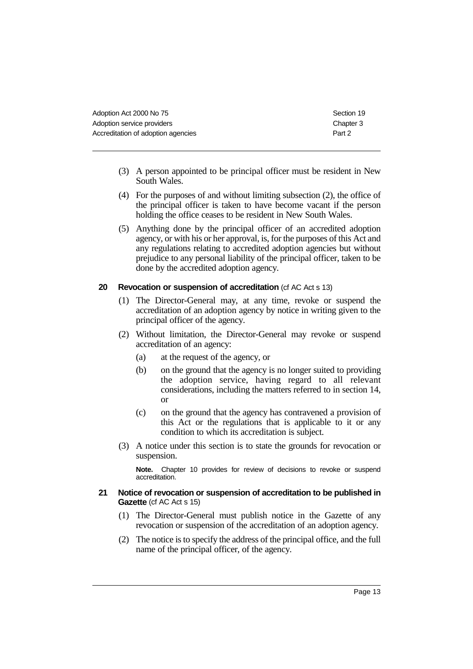| Adoption Act 2000 No 75            | Section 19 |
|------------------------------------|------------|
| Adoption service providers         | Chapter 3  |
| Accreditation of adoption agencies | Part 2     |

- (3) A person appointed to be principal officer must be resident in New South Wales.
- (4) For the purposes of and without limiting subsection (2), the office of the principal officer is taken to have become vacant if the person holding the office ceases to be resident in New South Wales.
- (5) Anything done by the principal officer of an accredited adoption agency, or with his or her approval, is, for the purposes of this Act and any regulations relating to accredited adoption agencies but without prejudice to any personal liability of the principal officer, taken to be done by the accredited adoption agency.

#### **20 Revocation or suspension of accreditation** (cf AC Act s 13)

- (1) The Director-General may, at any time, revoke or suspend the accreditation of an adoption agency by notice in writing given to the principal officer of the agency.
- (2) Without limitation, the Director-General may revoke or suspend accreditation of an agency:
	- (a) at the request of the agency, or
	- (b) on the ground that the agency is no longer suited to providing the adoption service, having regard to all relevant considerations, including the matters referred to in section 14, or
	- (c) on the ground that the agency has contravened a provision of this Act or the regulations that is applicable to it or any condition to which its accreditation is subject.
- (3) A notice under this section is to state the grounds for revocation or suspension.

**Note.** Chapter 10 provides for review of decisions to revoke or suspend accreditation.

- **21 Notice of revocation or suspension of accreditation to be published in Gazette** (cf AC Act s 15)
	- (1) The Director-General must publish notice in the Gazette of any revocation or suspension of the accreditation of an adoption agency.
	- (2) The notice is to specify the address of the principal office, and the full name of the principal officer, of the agency.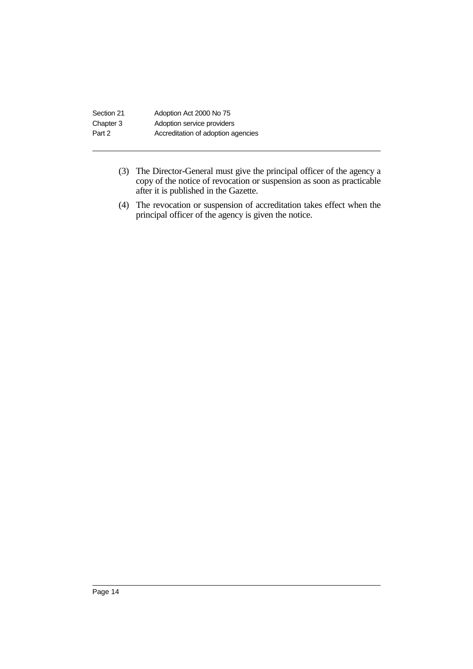| Section 21 | Adoption Act 2000 No 75            |
|------------|------------------------------------|
| Chapter 3  | Adoption service providers         |
| Part 2     | Accreditation of adoption agencies |

- (3) The Director-General must give the principal officer of the agency a copy of the notice of revocation or suspension as soon as practicable after it is published in the Gazette.
- (4) The revocation or suspension of accreditation takes effect when the principal officer of the agency is given the notice.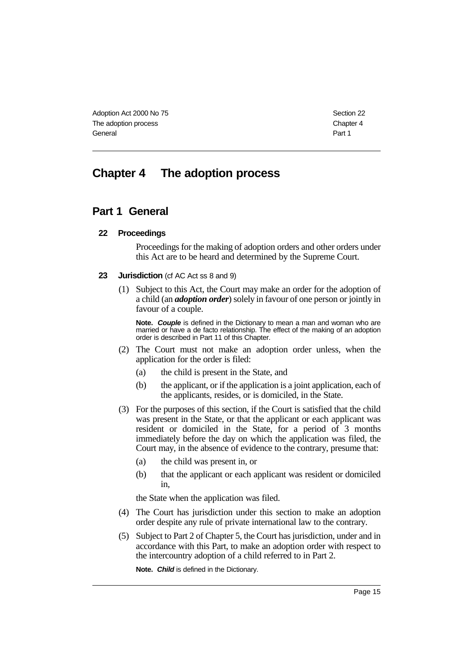Adoption Act 2000 No 75 Section 22 The adoption process Chapter 4 General Part 1

# **Chapter 4 The adoption process**

### **Part 1 General**

#### **22 Proceedings**

Proceedings for the making of adoption orders and other orders under this Act are to be heard and determined by the Supreme Court.

#### **23 Jurisdiction** (cf AC Act ss 8 and 9)

(1) Subject to this Act, the Court may make an order for the adoption of a child (an *adoption order*) solely in favour of one person or jointly in favour of a couple.

**Note. Couple** is defined in the Dictionary to mean a man and woman who are married or have a de facto relationship. The effect of the making of an adoption order is described in Part 11 of this Chapter.

- (2) The Court must not make an adoption order unless, when the application for the order is filed:
	- (a) the child is present in the State, and
	- (b) the applicant, or if the application is a joint application, each of the applicants, resides, or is domiciled, in the State.
- (3) For the purposes of this section, if the Court is satisfied that the child was present in the State, or that the applicant or each applicant was resident or domiciled in the State, for a period of 3 months immediately before the day on which the application was filed, the Court may, in the absence of evidence to the contrary, presume that:
	- (a) the child was present in, or
	- (b) that the applicant or each applicant was resident or domiciled in,

the State when the application was filed.

- (4) The Court has jurisdiction under this section to make an adoption order despite any rule of private international law to the contrary.
- (5) Subject to Part 2 of Chapter 5, the Court has jurisdiction, under and in accordance with this Part, to make an adoption order with respect to the intercountry adoption of a child referred to in Part 2.

**Note. Child** is defined in the Dictionary.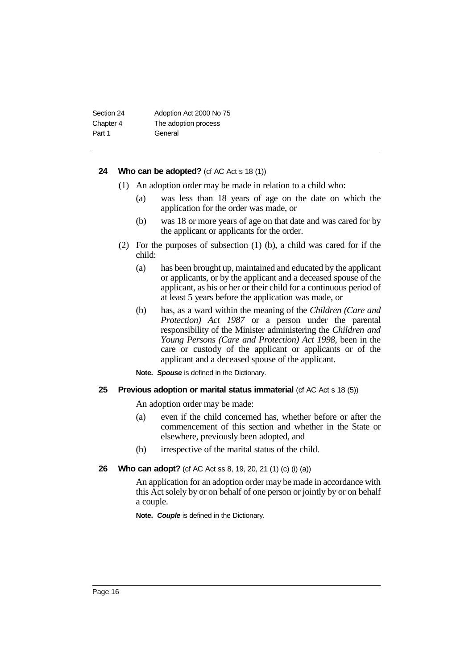| Section 24 | Adoption Act 2000 No 75 |
|------------|-------------------------|
| Chapter 4  | The adoption process    |
| Part 1     | General                 |

#### **24 Who can be adopted?** (cf AC Act s 18 (1))

- (1) An adoption order may be made in relation to a child who:
	- (a) was less than 18 years of age on the date on which the application for the order was made, or
	- (b) was 18 or more years of age on that date and was cared for by the applicant or applicants for the order.
- (2) For the purposes of subsection (1) (b), a child was cared for if the child:
	- (a) has been brought up, maintained and educated by the applicant or applicants, or by the applicant and a deceased spouse of the applicant, as his or her or their child for a continuous period of at least 5 years before the application was made, or
	- (b) has, as a ward within the meaning of the *Children (Care and Protection) Act 1987* or a person under the parental responsibility of the Minister administering the *Children and Young Persons (Care and Protection) Act 1998*, been in the care or custody of the applicant or applicants or of the applicant and a deceased spouse of the applicant.

**Note. Spouse** is defined in the Dictionary.

#### **25 Previous adoption or marital status immaterial** (cf AC Act s 18 (5))

An adoption order may be made:

- (a) even if the child concerned has, whether before or after the commencement of this section and whether in the State or elsewhere, previously been adopted, and
- (b) irrespective of the marital status of the child.
- **26 Who can adopt?** (cf AC Act ss 8, 19, 20, 21 (1) (c) (i) (a))

An application for an adoption order may be made in accordance with this Act solely by or on behalf of one person or jointly by or on behalf a couple.

**Note. Couple** is defined in the Dictionary.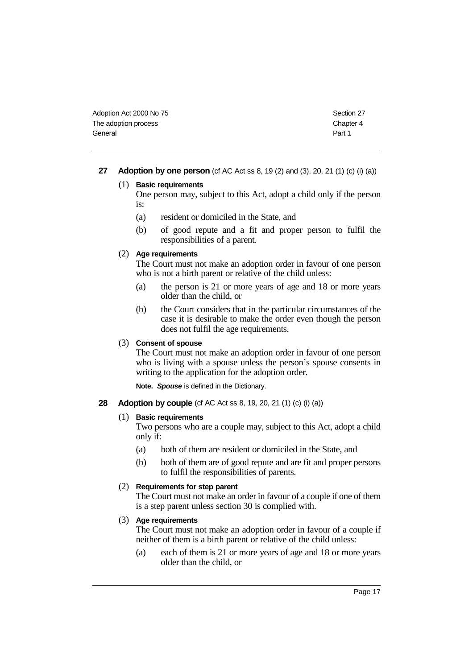| Adoption Act 2000 No 75 | Section 27 |
|-------------------------|------------|
| The adoption process    | Chapter 4  |
| General                 | Part 1     |
|                         |            |

**27 Adoption by one person** (cf AC Act ss 8, 19 (2) and (3), 20, 21 (1) (c) (i) (a))

#### (1) **Basic requirements**

One person may, subject to this Act, adopt a child only if the person is:

- (a) resident or domiciled in the State, and
- (b) of good repute and a fit and proper person to fulfil the responsibilities of a parent.

#### (2) **Age requirements**

The Court must not make an adoption order in favour of one person who is not a birth parent or relative of the child unless:

- (a) the person is 21 or more years of age and 18 or more years older than the child, or
- (b) the Court considers that in the particular circumstances of the case it is desirable to make the order even though the person does not fulfil the age requirements.

#### (3) **Consent of spouse**

The Court must not make an adoption order in favour of one person who is living with a spouse unless the person's spouse consents in writing to the application for the adoption order.

**Note. Spouse** is defined in the Dictionary.

#### **28 Adoption by couple** (cf AC Act ss 8, 19, 20, 21 (1) (c) (i) (a))

#### (1) **Basic requirements**

Two persons who are a couple may, subject to this Act, adopt a child only if:

- (a) both of them are resident or domiciled in the State, and
- (b) both of them are of good repute and are fit and proper persons to fulfil the responsibilities of parents.

#### (2) **Requirements for step parent**

The Court must not make an order in favour of a couple if one of them is a step parent unless section 30 is complied with.

#### (3) **Age requirements**

The Court must not make an adoption order in favour of a couple if neither of them is a birth parent or relative of the child unless:

(a) each of them is 21 or more years of age and 18 or more years older than the child, or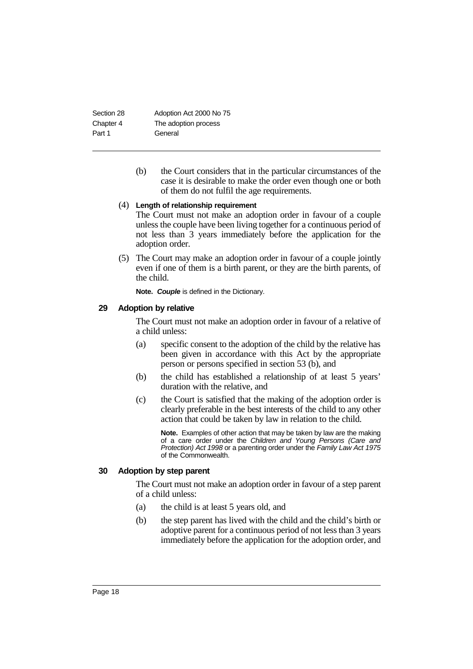| Section 28 | Adoption Act 2000 No 75 |
|------------|-------------------------|
| Chapter 4  | The adoption process    |
| Part 1     | General                 |

(b) the Court considers that in the particular circumstances of the case it is desirable to make the order even though one or both of them do not fulfil the age requirements.

#### (4) **Length of relationship requirement**

The Court must not make an adoption order in favour of a couple unless the couple have been living together for a continuous period of not less than 3 years immediately before the application for the adoption order.

(5) The Court may make an adoption order in favour of a couple jointly even if one of them is a birth parent, or they are the birth parents, of the child.

**Note. Couple** is defined in the Dictionary.

#### **29 Adoption by relative**

The Court must not make an adoption order in favour of a relative of a child unless:

- (a) specific consent to the adoption of the child by the relative has been given in accordance with this Act by the appropriate person or persons specified in section 53 (b), and
- (b) the child has established a relationship of at least 5 years' duration with the relative, and
- (c) the Court is satisfied that the making of the adoption order is clearly preferable in the best interests of the child to any other action that could be taken by law in relation to the child.

**Note.** Examples of other action that may be taken by law are the making of a care order under the Children and Young Persons (Care and Protection) Act 1998 or a parenting order under the Family Law Act 1975 of the Commonwealth.

#### **30 Adoption by step parent**

The Court must not make an adoption order in favour of a step parent of a child unless:

- (a) the child is at least 5 years old, and
- (b) the step parent has lived with the child and the child's birth or adoptive parent for a continuous period of not less than 3 years immediately before the application for the adoption order, and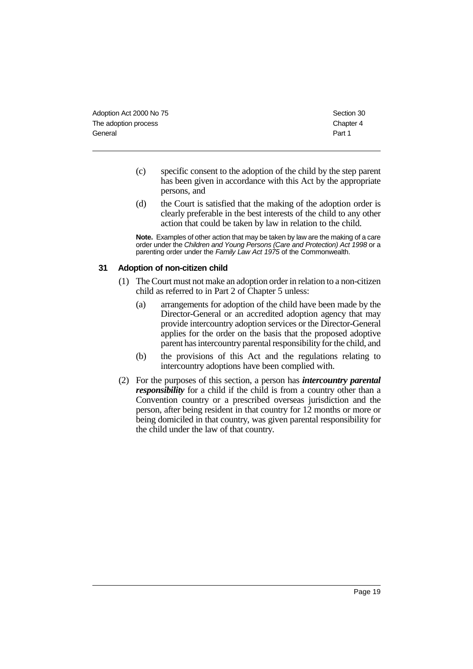| Section 30 |
|------------|
| Chapter 4  |
| Part 1     |
|            |

- (c) specific consent to the adoption of the child by the step parent has been given in accordance with this Act by the appropriate persons, and
- (d) the Court is satisfied that the making of the adoption order is clearly preferable in the best interests of the child to any other action that could be taken by law in relation to the child.

**Note.** Examples of other action that may be taken by law are the making of a care order under the Children and Young Persons (Care and Protection) Act 1998 or a parenting order under the Family Law Act 1975 of the Commonwealth.

#### **31 Adoption of non-citizen child**

- (1) The Court must not make an adoption order in relation to a non-citizen child as referred to in Part 2 of Chapter 5 unless:
	- (a) arrangements for adoption of the child have been made by the Director-General or an accredited adoption agency that may provide intercountry adoption services or the Director-General applies for the order on the basis that the proposed adoptive parent has intercountry parental responsibility for the child, and
	- (b) the provisions of this Act and the regulations relating to intercountry adoptions have been complied with.
- (2) For the purposes of this section, a person has *intercountry parental responsibility* for a child if the child is from a country other than a Convention country or a prescribed overseas jurisdiction and the person, after being resident in that country for 12 months or more or being domiciled in that country, was given parental responsibility for the child under the law of that country.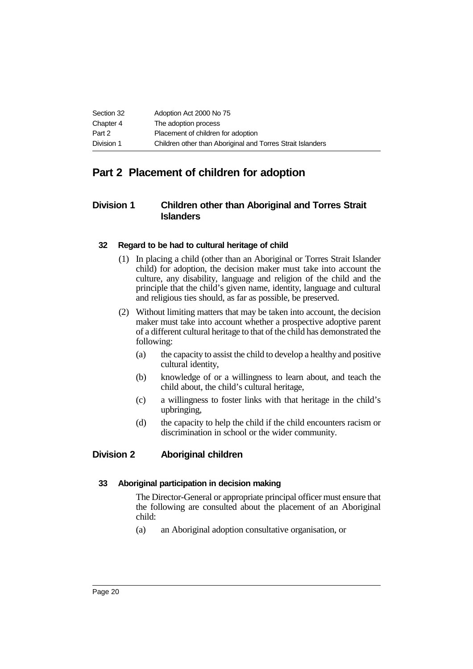| Section 32 | Adoption Act 2000 No 75                                    |
|------------|------------------------------------------------------------|
| Chapter 4  | The adoption process                                       |
| Part 2     | Placement of children for adoption                         |
| Division 1 | Children other than Aboriginal and Torres Strait Islanders |

# **Part 2 Placement of children for adoption**

### **Division 1 Children other than Aboriginal and Torres Strait Islanders**

#### **32 Regard to be had to cultural heritage of child**

- (1) In placing a child (other than an Aboriginal or Torres Strait Islander child) for adoption, the decision maker must take into account the culture, any disability, language and religion of the child and the principle that the child's given name, identity, language and cultural and religious ties should, as far as possible, be preserved.
- (2) Without limiting matters that may be taken into account, the decision maker must take into account whether a prospective adoptive parent of a different cultural heritage to that of the child has demonstrated the following:
	- (a) the capacity to assist the child to develop a healthy and positive cultural identity,
	- (b) knowledge of or a willingness to learn about, and teach the child about, the child's cultural heritage,
	- (c) a willingness to foster links with that heritage in the child's upbringing,
	- (d) the capacity to help the child if the child encounters racism or discrimination in school or the wider community.

### **Division 2 Aboriginal children**

### **33 Aboriginal participation in decision making**

The Director-General or appropriate principal officer must ensure that the following are consulted about the placement of an Aboriginal child:

(a) an Aboriginal adoption consultative organisation, or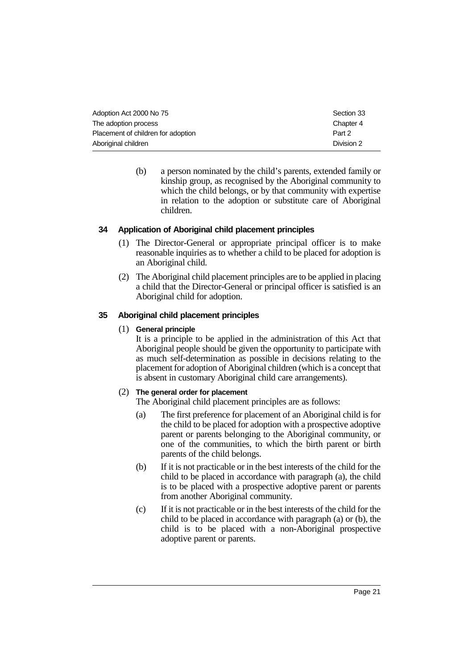| Adoption Act 2000 No 75            | Section 33 |
|------------------------------------|------------|
| The adoption process               | Chapter 4  |
| Placement of children for adoption | Part 2     |
| Aboriginal children                | Division 2 |

(b) a person nominated by the child's parents, extended family or kinship group, as recognised by the Aboriginal community to which the child belongs, or by that community with expertise in relation to the adoption or substitute care of Aboriginal children.

#### **34 Application of Aboriginal child placement principles**

- (1) The Director-General or appropriate principal officer is to make reasonable inquiries as to whether a child to be placed for adoption is an Aboriginal child.
- (2) The Aboriginal child placement principles are to be applied in placing a child that the Director-General or principal officer is satisfied is an Aboriginal child for adoption.

#### **35 Aboriginal child placement principles**

#### (1) **General principle**

It is a principle to be applied in the administration of this Act that Aboriginal people should be given the opportunity to participate with as much self-determination as possible in decisions relating to the placement for adoption of Aboriginal children (which is a concept that is absent in customary Aboriginal child care arrangements).

#### (2) **The general order for placement**

- The Aboriginal child placement principles are as follows:
- (a) The first preference for placement of an Aboriginal child is for the child to be placed for adoption with a prospective adoptive parent or parents belonging to the Aboriginal community, or one of the communities, to which the birth parent or birth parents of the child belongs.
- (b) If it is not practicable or in the best interests of the child for the child to be placed in accordance with paragraph (a), the child is to be placed with a prospective adoptive parent or parents from another Aboriginal community.
- (c) If it is not practicable or in the best interests of the child for the child to be placed in accordance with paragraph (a) or (b), the child is to be placed with a non-Aboriginal prospective adoptive parent or parents.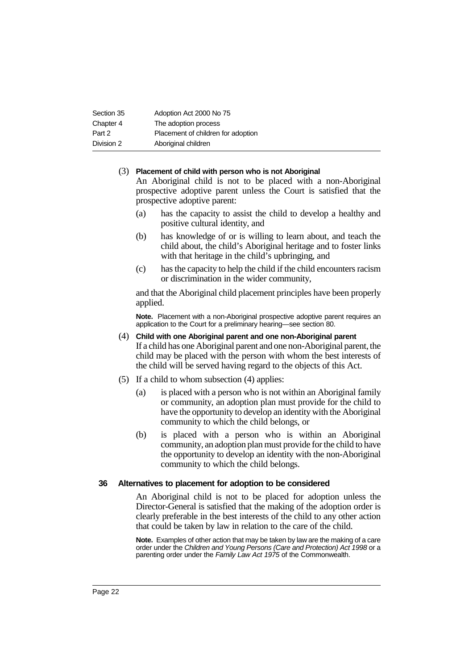| Section 35 | Adoption Act 2000 No 75            |
|------------|------------------------------------|
| Chapter 4  | The adoption process               |
| Part 2     | Placement of children for adoption |
| Division 2 | Aboriginal children                |

#### (3) **Placement of child with person who is not Aboriginal**

An Aboriginal child is not to be placed with a non-Aboriginal prospective adoptive parent unless the Court is satisfied that the prospective adoptive parent:

- (a) has the capacity to assist the child to develop a healthy and positive cultural identity, and
- (b) has knowledge of or is willing to learn about, and teach the child about, the child's Aboriginal heritage and to foster links with that heritage in the child's upbringing, and
- (c) has the capacity to help the child if the child encounters racism or discrimination in the wider community,

and that the Aboriginal child placement principles have been properly applied.

**Note.** Placement with a non-Aboriginal prospective adoptive parent requires an application to the Court for a preliminary hearing—see section 80.

- (4) **Child with one Aboriginal parent and one non-Aboriginal parent** If a child has one Aboriginal parent and one non-Aboriginal parent, the child may be placed with the person with whom the best interests of the child will be served having regard to the objects of this Act.
- (5) If a child to whom subsection (4) applies:
	- (a) is placed with a person who is not within an Aboriginal family or community, an adoption plan must provide for the child to have the opportunity to develop an identity with the Aboriginal community to which the child belongs, or
	- (b) is placed with a person who is within an Aboriginal community, an adoption plan must provide for the child to have the opportunity to develop an identity with the non-Aboriginal community to which the child belongs.

#### **36 Alternatives to placement for adoption to be considered**

An Aboriginal child is not to be placed for adoption unless the Director-General is satisfied that the making of the adoption order is clearly preferable in the best interests of the child to any other action that could be taken by law in relation to the care of the child.

**Note.** Examples of other action that may be taken by law are the making of a care order under the Children and Young Persons (Care and Protection) Act 1998 or a parenting order under the Family Law Act 1975 of the Commonwealth.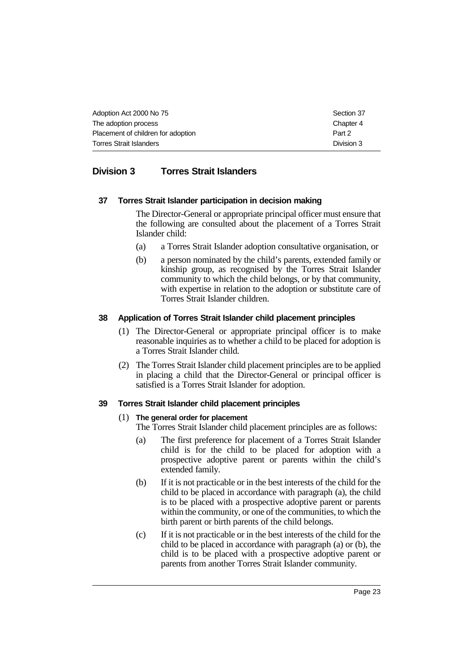| Adoption Act 2000 No 75            | Section 37 |
|------------------------------------|------------|
| The adoption process               | Chapter 4  |
| Placement of children for adoption | Part 2     |
| <b>Torres Strait Islanders</b>     | Division 3 |

### **Division 3 Torres Strait Islanders**

#### **37 Torres Strait Islander participation in decision making**

The Director-General or appropriate principal officer must ensure that the following are consulted about the placement of a Torres Strait Islander child:

- (a) a Torres Strait Islander adoption consultative organisation, or
- (b) a person nominated by the child's parents, extended family or kinship group, as recognised by the Torres Strait Islander community to which the child belongs, or by that community, with expertise in relation to the adoption or substitute care of Torres Strait Islander children.

#### **38 Application of Torres Strait Islander child placement principles**

- (1) The Director-General or appropriate principal officer is to make reasonable inquiries as to whether a child to be placed for adoption is a Torres Strait Islander child.
- (2) The Torres Strait Islander child placement principles are to be applied in placing a child that the Director-General or principal officer is satisfied is a Torres Strait Islander for adoption.

#### **39 Torres Strait Islander child placement principles**

#### (1) **The general order for placement**

- The Torres Strait Islander child placement principles are as follows:
	- (a) The first preference for placement of a Torres Strait Islander child is for the child to be placed for adoption with a prospective adoptive parent or parents within the child's extended family.
	- (b) If it is not practicable or in the best interests of the child for the child to be placed in accordance with paragraph (a), the child is to be placed with a prospective adoptive parent or parents within the community, or one of the communities, to which the birth parent or birth parents of the child belongs.
	- (c) If it is not practicable or in the best interests of the child for the child to be placed in accordance with paragraph (a) or (b), the child is to be placed with a prospective adoptive parent or parents from another Torres Strait Islander community.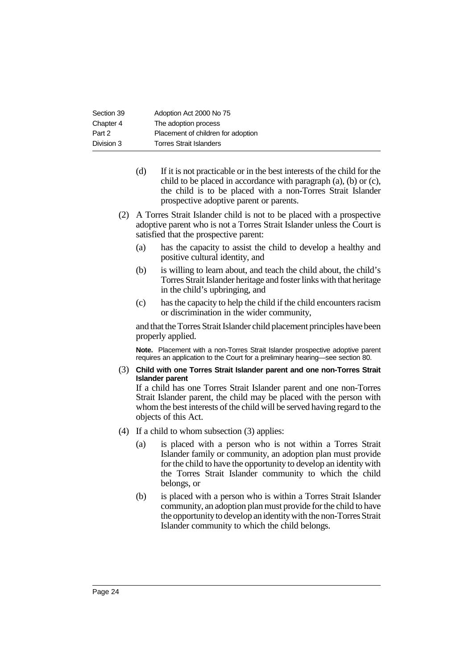| Section 39 | Adoption Act 2000 No 75            |
|------------|------------------------------------|
| Chapter 4  | The adoption process               |
| Part 2     | Placement of children for adoption |
| Division 3 | <b>Torres Strait Islanders</b>     |

- (d) If it is not practicable or in the best interests of the child for the child to be placed in accordance with paragraph (a), (b) or (c), the child is to be placed with a non-Torres Strait Islander prospective adoptive parent or parents.
- (2) A Torres Strait Islander child is not to be placed with a prospective adoptive parent who is not a Torres Strait Islander unless the Court is satisfied that the prospective parent:
	- (a) has the capacity to assist the child to develop a healthy and positive cultural identity, and
	- (b) is willing to learn about, and teach the child about, the child's Torres Strait Islander heritage and foster links with that heritage in the child's upbringing, and
	- (c) has the capacity to help the child if the child encounters racism or discrimination in the wider community,

and that the Torres Strait Islander child placement principles have been properly applied.

**Note.** Placement with a non-Torres Strait Islander prospective adoptive parent requires an application to the Court for a preliminary hearing—see section 80.

#### (3) **Child with one Torres Strait Islander parent and one non-Torres Strait Islander parent**

If a child has one Torres Strait Islander parent and one non-Torres Strait Islander parent, the child may be placed with the person with whom the best interests of the child will be served having regard to the objects of this Act.

- (4) If a child to whom subsection (3) applies:
	- (a) is placed with a person who is not within a Torres Strait Islander family or community, an adoption plan must provide for the child to have the opportunity to develop an identity with the Torres Strait Islander community to which the child belongs, or
	- (b) is placed with a person who is within a Torres Strait Islander community, an adoption plan must provide for the child to have the opportunity to develop an identity with the non-Torres Strait Islander community to which the child belongs.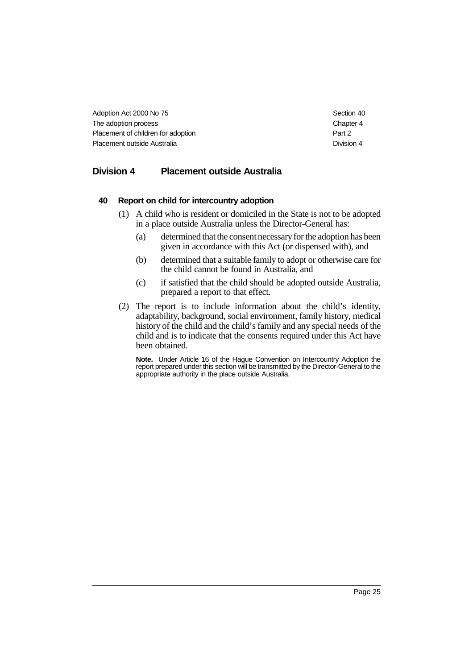| Adoption Act 2000 No 75            | Section 40 |
|------------------------------------|------------|
| The adoption process               | Chapter 4  |
| Placement of children for adoption | Part 2     |
| Placement outside Australia        | Division 4 |

### **Division 4 Placement outside Australia**

#### **40 Report on child for intercountry adoption**

- (1) A child who is resident or domiciled in the State is not to be adopted in a place outside Australia unless the Director-General has:
	- (a) determined that the consent necessary for the adoption has been given in accordance with this Act (or dispensed with), and
	- (b) determined that a suitable family to adopt or otherwise care for the child cannot be found in Australia, and
	- (c) if satisfied that the child should be adopted outside Australia, prepared a report to that effect.
- (2) The report is to include information about the child's identity, adaptability, background, social environment, family history, medical history of the child and the child's family and any special needs of the child and is to indicate that the consents required under this Act have been obtained.

**Note.** Under Article 16 of the Hague Convention on Intercountry Adoption the report prepared under this section will be transmitted by the Director-General to the appropriate authority in the place outside Australia.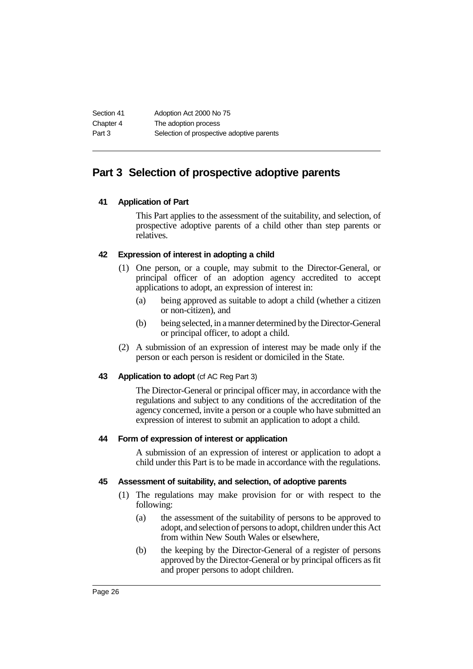| Section 41 | Adoption Act 2000 No 75                   |
|------------|-------------------------------------------|
| Chapter 4  | The adoption process                      |
| Part 3     | Selection of prospective adoptive parents |

# **Part 3 Selection of prospective adoptive parents**

## **41 Application of Part**

This Part applies to the assessment of the suitability, and selection, of prospective adoptive parents of a child other than step parents or relatives.

## **42 Expression of interest in adopting a child**

- (1) One person, or a couple, may submit to the Director-General, or principal officer of an adoption agency accredited to accept applications to adopt, an expression of interest in:
	- (a) being approved as suitable to adopt a child (whether a citizen or non-citizen), and
	- (b) being selected, in a manner determined by the Director-General or principal officer, to adopt a child.
- (2) A submission of an expression of interest may be made only if the person or each person is resident or domiciled in the State.

## **43 Application to adopt** (cf AC Reg Part 3)

The Director-General or principal officer may, in accordance with the regulations and subject to any conditions of the accreditation of the agency concerned, invite a person or a couple who have submitted an expression of interest to submit an application to adopt a child.

## **44 Form of expression of interest or application**

A submission of an expression of interest or application to adopt a child under this Part is to be made in accordance with the regulations.

## **45 Assessment of suitability, and selection, of adoptive parents**

- (1) The regulations may make provision for or with respect to the following:
	- (a) the assessment of the suitability of persons to be approved to adopt, and selection of persons to adopt, children under this Act from within New South Wales or elsewhere,
	- (b) the keeping by the Director-General of a register of persons approved by the Director-General or by principal officers as fit and proper persons to adopt children.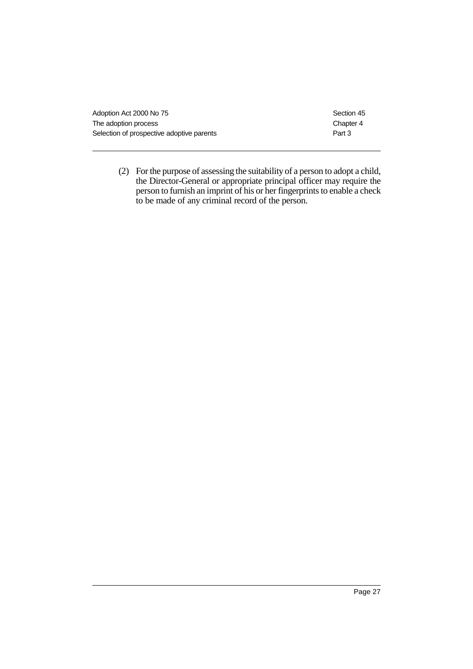| Adoption Act 2000 No 75                   | Section 45 |
|-------------------------------------------|------------|
| The adoption process                      | Chapter 4  |
| Selection of prospective adoptive parents | Part 3     |
|                                           |            |

(2) For the purpose of assessing the suitability of a person to adopt a child, the Director-General or appropriate principal officer may require the person to furnish an imprint of his or her fingerprints to enable a check to be made of any criminal record of the person.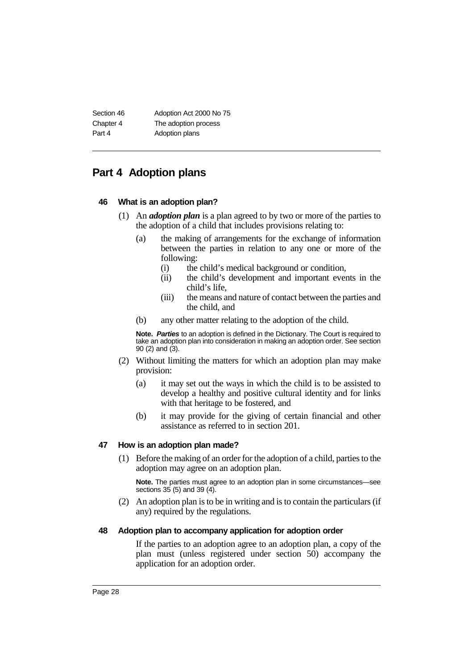| Section 46 | Adoption Act 2000 No 75 |
|------------|-------------------------|
| Chapter 4  | The adoption process    |
| Part 4     | Adoption plans          |

# **Part 4 Adoption plans**

## **46 What is an adoption plan?**

- (1) An *adoption plan* is a plan agreed to by two or more of the parties to the adoption of a child that includes provisions relating to:
	- (a) the making of arrangements for the exchange of information between the parties in relation to any one or more of the following:
		- (i) the child's medical background or condition,
		- (ii) the child's development and important events in the child's life,
		- (iii) the means and nature of contact between the parties and the child, and
	- (b) any other matter relating to the adoption of the child.

**Note. Parties** to an adoption is defined in the Dictionary. The Court is required to take an adoption plan into consideration in making an adoption order. See section 90 (2) and (3).

- (2) Without limiting the matters for which an adoption plan may make provision:
	- (a) it may set out the ways in which the child is to be assisted to develop a healthy and positive cultural identity and for links with that heritage to be fostered, and
	- (b) it may provide for the giving of certain financial and other assistance as referred to in section 201.

## **47 How is an adoption plan made?**

(1) Before the making of an order for the adoption of a child, parties to the adoption may agree on an adoption plan.

**Note.** The parties must agree to an adoption plan in some circumstances—see sections 35 (5) and 39 (4).

(2) An adoption plan is to be in writing and is to contain the particulars (if any) required by the regulations.

### **48 Adoption plan to accompany application for adoption order**

If the parties to an adoption agree to an adoption plan, a copy of the plan must (unless registered under section 50) accompany the application for an adoption order.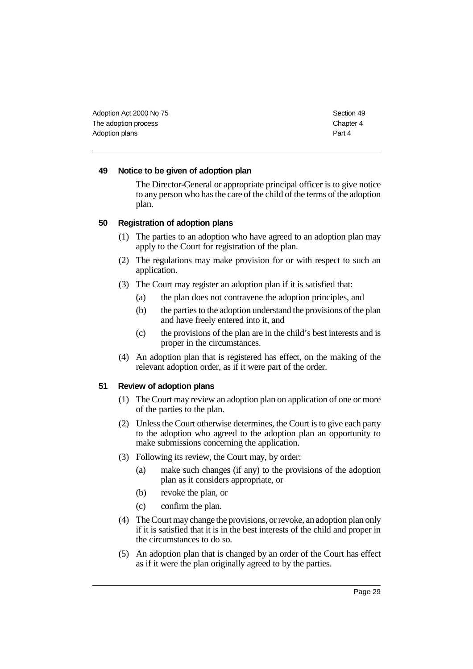| Adoption Act 2000 No 75 | Section 49 |
|-------------------------|------------|
| The adoption process    | Chapter 4  |
| Adoption plans          | Part 4     |

## **49 Notice to be given of adoption plan**

The Director-General or appropriate principal officer is to give notice to any person who has the care of the child of the terms of the adoption plan.

## **50 Registration of adoption plans**

- (1) The parties to an adoption who have agreed to an adoption plan may apply to the Court for registration of the plan.
- (2) The regulations may make provision for or with respect to such an application.
- (3) The Court may register an adoption plan if it is satisfied that:
	- (a) the plan does not contravene the adoption principles, and
	- (b) the parties to the adoption understand the provisions of the plan and have freely entered into it, and
	- (c) the provisions of the plan are in the child's best interests and is proper in the circumstances.
- (4) An adoption plan that is registered has effect, on the making of the relevant adoption order, as if it were part of the order.

## **51 Review of adoption plans**

- (1) The Court may review an adoption plan on application of one or more of the parties to the plan.
- (2) Unless the Court otherwise determines, the Court is to give each party to the adoption who agreed to the adoption plan an opportunity to make submissions concerning the application.
- (3) Following its review, the Court may, by order:
	- (a) make such changes (if any) to the provisions of the adoption plan as it considers appropriate, or
	- (b) revoke the plan, or
	- (c) confirm the plan.
- (4) The Court may change the provisions, or revoke, an adoption plan only if it is satisfied that it is in the best interests of the child and proper in the circumstances to do so.
- (5) An adoption plan that is changed by an order of the Court has effect as if it were the plan originally agreed to by the parties.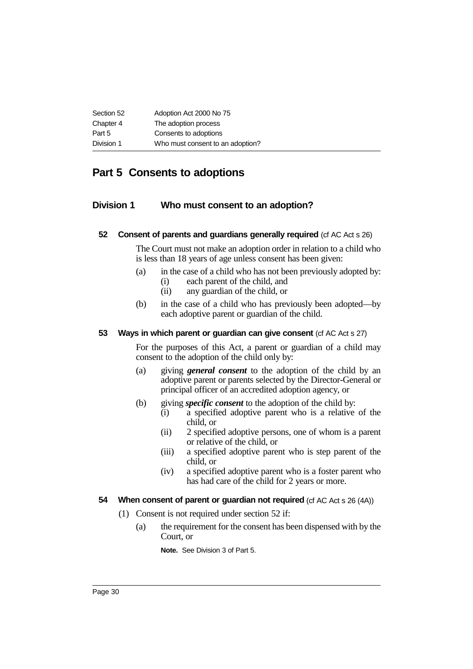| Adoption Act 2000 No 75          |
|----------------------------------|
| The adoption process             |
| Consents to adoptions            |
| Who must consent to an adoption? |
|                                  |

# **Part 5 Consents to adoptions**

## **Division 1 Who must consent to an adoption?**

## **52 Consent of parents and guardians generally required** (cf AC Act s 26)

The Court must not make an adoption order in relation to a child who is less than 18 years of age unless consent has been given:

- (a) in the case of a child who has not been previously adopted by:
	- (i) each parent of the child, and<br>(ii) any guardian of the child, or
		- any guardian of the child, or
- (b) in the case of a child who has previously been adopted—by each adoptive parent or guardian of the child.

### **53 Ways in which parent or guardian can give consent** (cf AC Act s 27)

For the purposes of this Act, a parent or guardian of a child may consent to the adoption of the child only by:

- (a) giving *general consent* to the adoption of the child by an adoptive parent or parents selected by the Director-General or principal officer of an accredited adoption agency, or
- (b) giving *specific consent* to the adoption of the child by:
	- (i) a specified adoptive parent who is a relative of the child, or
	- (ii) 2 specified adoptive persons, one of whom is a parent or relative of the child, or
	- (iii) a specified adoptive parent who is step parent of the child, or
	- (iv) a specified adoptive parent who is a foster parent who has had care of the child for 2 years or more.

## **54 When consent of parent or guardian not required** (cf AC Act s 26 (4A))

- (1) Consent is not required under section 52 if:
	- (a) the requirement for the consent has been dispensed with by the Court, or

**Note.** See Division 3 of Part 5.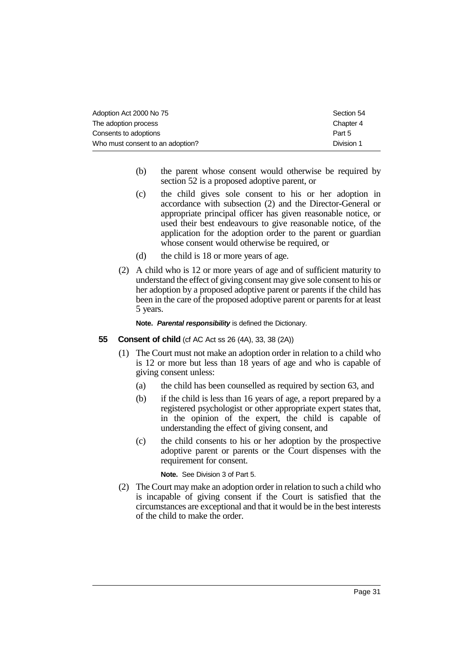| Adoption Act 2000 No 75          | Section 54 |
|----------------------------------|------------|
| The adoption process             | Chapter 4  |
| Consents to adoptions            | Part 5     |
| Who must consent to an adoption? | Division 1 |

- (b) the parent whose consent would otherwise be required by section 52 is a proposed adoptive parent, or
- (c) the child gives sole consent to his or her adoption in accordance with subsection (2) and the Director-General or appropriate principal officer has given reasonable notice, or used their best endeavours to give reasonable notice, of the application for the adoption order to the parent or guardian whose consent would otherwise be required, or
- (d) the child is 18 or more years of age.
- (2) A child who is 12 or more years of age and of sufficient maturity to understand the effect of giving consent may give sole consent to his or her adoption by a proposed adoptive parent or parents if the child has been in the care of the proposed adoptive parent or parents for at least 5 years.

**Note. Parental responsibility** is defined the Dictionary.

- **55 Consent of child** (cf AC Act ss 26 (4A), 33, 38 (2A))
	- (1) The Court must not make an adoption order in relation to a child who is 12 or more but less than 18 years of age and who is capable of giving consent unless:
		- (a) the child has been counselled as required by section 63, and
		- (b) if the child is less than 16 years of age, a report prepared by a registered psychologist or other appropriate expert states that, in the opinion of the expert, the child is capable of understanding the effect of giving consent, and
		- (c) the child consents to his or her adoption by the prospective adoptive parent or parents or the Court dispenses with the requirement for consent.

**Note.** See Division 3 of Part 5.

(2) The Court may make an adoption order in relation to such a child who is incapable of giving consent if the Court is satisfied that the circumstances are exceptional and that it would be in the best interests of the child to make the order.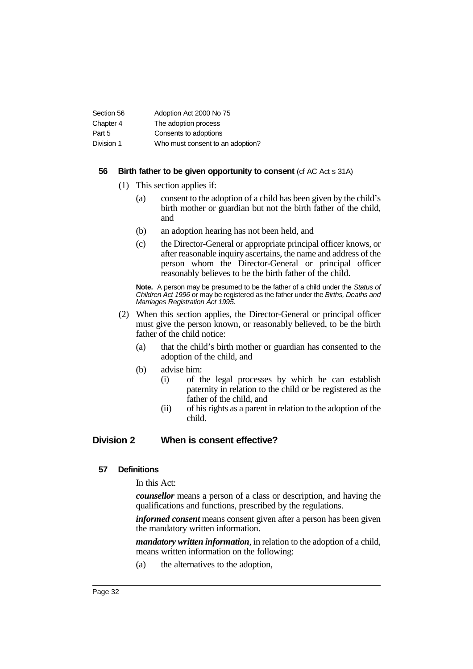| Section 56 | Adoption Act 2000 No 75          |
|------------|----------------------------------|
| Chapter 4  | The adoption process             |
| Part 5     | Consents to adoptions            |
| Division 1 | Who must consent to an adoption? |

### **56 Birth father to be given opportunity to consent** (cf AC Act s 31A)

- (1) This section applies if:
	- (a) consent to the adoption of a child has been given by the child's birth mother or guardian but not the birth father of the child, and
	- (b) an adoption hearing has not been held, and
	- (c) the Director-General or appropriate principal officer knows, or after reasonable inquiry ascertains, the name and address of the person whom the Director-General or principal officer reasonably believes to be the birth father of the child.

**Note.** A person may be presumed to be the father of a child under the Status of Children Act 1996 or may be registered as the father under the Births, Deaths and Marriages Registration Act 1995.

- (2) When this section applies, the Director-General or principal officer must give the person known, or reasonably believed, to be the birth father of the child notice:
	- (a) that the child's birth mother or guardian has consented to the adoption of the child, and
	- (b) advise him:
		- (i) of the legal processes by which he can establish paternity in relation to the child or be registered as the father of the child, and
		- (ii) of his rights as a parent in relation to the adoption of the child.

## **Division 2 When is consent effective?**

## **57 Definitions**

In this Act:

*counsellor* means a person of a class or description, and having the qualifications and functions, prescribed by the regulations.

*informed consent* means consent given after a person has been given the mandatory written information.

*mandatory written information*, in relation to the adoption of a child, means written information on the following:

(a) the alternatives to the adoption,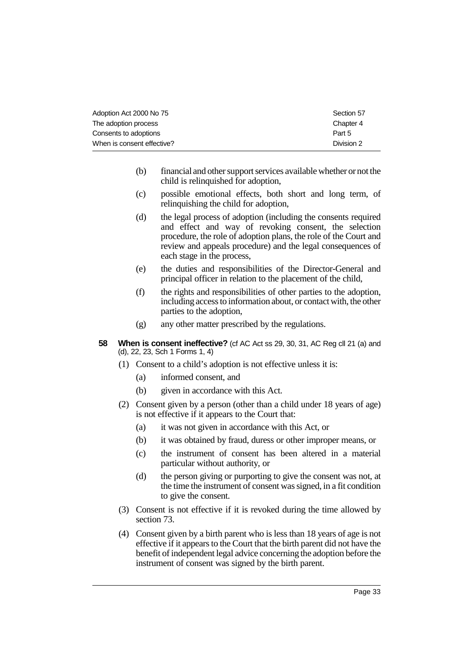| Adoption Act 2000 No 75    | Section 57 |
|----------------------------|------------|
| The adoption process       | Chapter 4  |
| Consents to adoptions      | Part 5     |
| When is consent effective? | Division 2 |

- (b) financial and other support services available whether or not the child is relinquished for adoption,
- (c) possible emotional effects, both short and long term, of relinquishing the child for adoption,
- (d) the legal process of adoption (including the consents required and effect and way of revoking consent, the selection procedure, the role of adoption plans, the role of the Court and review and appeals procedure) and the legal consequences of each stage in the process,
- (e) the duties and responsibilities of the Director-General and principal officer in relation to the placement of the child,
- (f) the rights and responsibilities of other parties to the adoption, including access to information about, or contact with, the other parties to the adoption,
- (g) any other matter prescribed by the regulations.
- **58 When is consent ineffective?** (cf AC Act ss 29, 30, 31, AC Reg cll 21 (a) and (d), 22, 23, Sch 1 Forms 1, 4)
	- (1) Consent to a child's adoption is not effective unless it is:
		- (a) informed consent, and
		- (b) given in accordance with this Act.
	- (2) Consent given by a person (other than a child under 18 years of age) is not effective if it appears to the Court that:
		- (a) it was not given in accordance with this Act, or
		- (b) it was obtained by fraud, duress or other improper means, or
		- (c) the instrument of consent has been altered in a material particular without authority, or
		- (d) the person giving or purporting to give the consent was not, at the time the instrument of consent was signed, in a fit condition to give the consent.
	- (3) Consent is not effective if it is revoked during the time allowed by section 73.
	- (4) Consent given by a birth parent who is less than 18 years of age is not effective if it appears to the Court that the birth parent did not have the benefit of independent legal advice concerning the adoption before the instrument of consent was signed by the birth parent.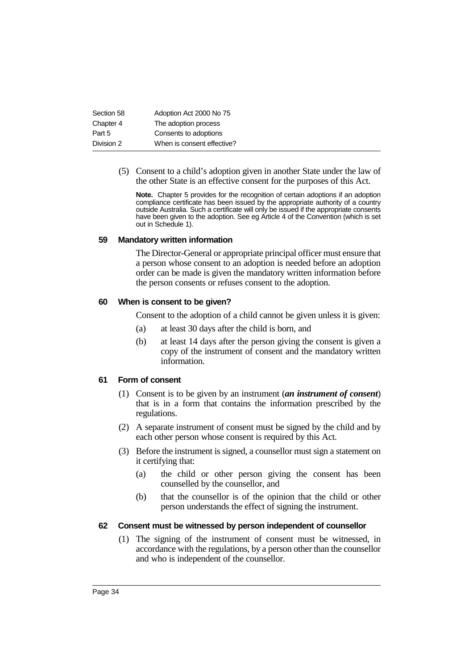| Adoption Act 2000 No 75    |
|----------------------------|
| The adoption process       |
| Consents to adoptions      |
| When is consent effective? |
|                            |

(5) Consent to a child's adoption given in another State under the law of the other State is an effective consent for the purposes of this Act.

**Note.** Chapter 5 provides for the recognition of certain adoptions if an adoption compliance certificate has been issued by the appropriate authority of a country outside Australia. Such a certificate will only be issued if the appropriate consents have been given to the adoption. See eg Article 4 of the Convention (which is set out in Schedule 1).

### **59 Mandatory written information**

The Director-General or appropriate principal officer must ensure that a person whose consent to an adoption is needed before an adoption order can be made is given the mandatory written information before the person consents or refuses consent to the adoption.

### **60 When is consent to be given?**

Consent to the adoption of a child cannot be given unless it is given:

- (a) at least 30 days after the child is born, and
- (b) at least 14 days after the person giving the consent is given a copy of the instrument of consent and the mandatory written information.

### **61 Form of consent**

- (1) Consent is to be given by an instrument (*an instrument of consent*) that is in a form that contains the information prescribed by the regulations.
- (2) A separate instrument of consent must be signed by the child and by each other person whose consent is required by this Act.
- (3) Before the instrument is signed, a counsellor must sign a statement on it certifying that:
	- (a) the child or other person giving the consent has been counselled by the counsellor, and
	- (b) that the counsellor is of the opinion that the child or other person understands the effect of signing the instrument.

### **62 Consent must be witnessed by person independent of counsellor**

(1) The signing of the instrument of consent must be witnessed, in accordance with the regulations, by a person other than the counsellor and who is independent of the counsellor.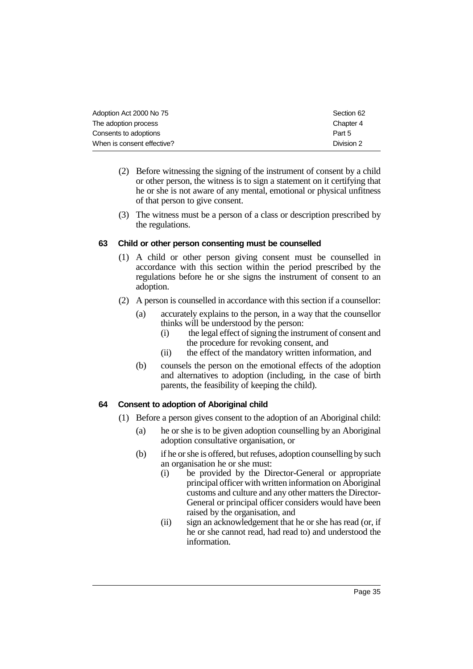| Adoption Act 2000 No 75    | Section 62 |
|----------------------------|------------|
| The adoption process       | Chapter 4  |
| Consents to adoptions      | Part 5     |
| When is consent effective? | Division 2 |

- (2) Before witnessing the signing of the instrument of consent by a child or other person, the witness is to sign a statement on it certifying that he or she is not aware of any mental, emotional or physical unfitness of that person to give consent.
- (3) The witness must be a person of a class or description prescribed by the regulations.

## **63 Child or other person consenting must be counselled**

- (1) A child or other person giving consent must be counselled in accordance with this section within the period prescribed by the regulations before he or she signs the instrument of consent to an adoption.
- (2) A person is counselled in accordance with this section if a counsellor:
	- (a) accurately explains to the person, in a way that the counsellor thinks will be understood by the person:
		- (i) the legal effect of signing the instrument of consent and the procedure for revoking consent, and
		- (ii) the effect of the mandatory written information, and
	- (b) counsels the person on the emotional effects of the adoption and alternatives to adoption (including, in the case of birth parents, the feasibility of keeping the child).

## **64 Consent to adoption of Aboriginal child**

- (1) Before a person gives consent to the adoption of an Aboriginal child:
	- (a) he or she is to be given adoption counselling by an Aboriginal adoption consultative organisation, or
	- (b) if he or she is offered, but refuses, adoption counselling by such an organisation he or she must:
		- (i) be provided by the Director-General or appropriate principal officer with written information on Aboriginal customs and culture and any other matters the Director-General or principal officer considers would have been raised by the organisation, and
		- (ii) sign an acknowledgement that he or she has read (or, if he or she cannot read, had read to) and understood the information.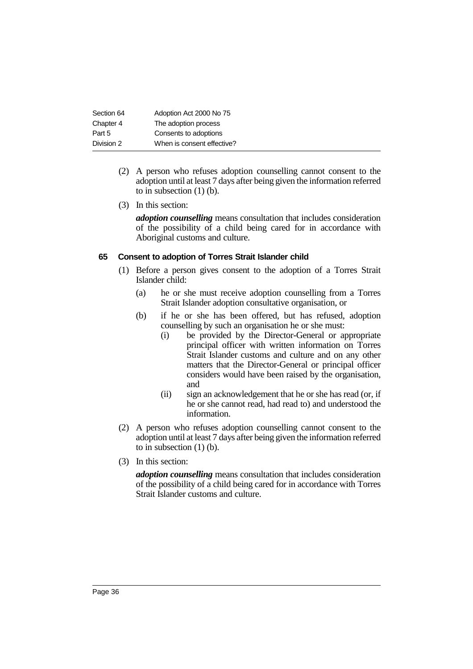| Section 64 | Adoption Act 2000 No 75    |
|------------|----------------------------|
| Chapter 4  | The adoption process       |
| Part 5     | Consents to adoptions      |
| Division 2 | When is consent effective? |

- (2) A person who refuses adoption counselling cannot consent to the adoption until at least 7 days after being given the information referred to in subsection (1) (b).
- (3) In this section:

*adoption counselling* means consultation that includes consideration of the possibility of a child being cared for in accordance with Aboriginal customs and culture.

## **65 Consent to adoption of Torres Strait Islander child**

- (1) Before a person gives consent to the adoption of a Torres Strait Islander child:
	- (a) he or she must receive adoption counselling from a Torres Strait Islander adoption consultative organisation, or
	- (b) if he or she has been offered, but has refused, adoption counselling by such an organisation he or she must:
		- (i) be provided by the Director-General or appropriate principal officer with written information on Torres Strait Islander customs and culture and on any other matters that the Director-General or principal officer considers would have been raised by the organisation, and
		- (ii) sign an acknowledgement that he or she has read (or, if he or she cannot read, had read to) and understood the information.
- (2) A person who refuses adoption counselling cannot consent to the adoption until at least 7 days after being given the information referred to in subsection (1) (b).
- (3) In this section:

*adoption counselling* means consultation that includes consideration of the possibility of a child being cared for in accordance with Torres Strait Islander customs and culture.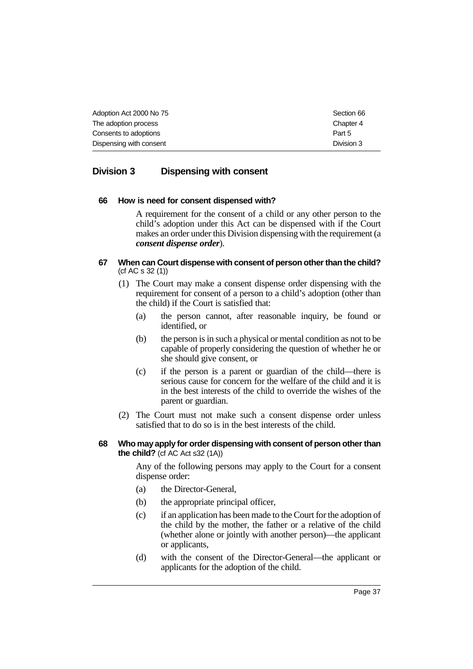| Adoption Act 2000 No 75 | Section 66 |
|-------------------------|------------|
| The adoption process    | Chapter 4  |
| Consents to adoptions   | Part 5     |
| Dispensing with consent | Division 3 |

## **Division 3 Dispensing with consent**

### **66 How is need for consent dispensed with?**

A requirement for the consent of a child or any other person to the child's adoption under this Act can be dispensed with if the Court makes an order under this Division dispensing with the requirement (a *consent dispense order*).

#### **67 When can Court dispense with consent of person other than the child?** (cf AC s 32 (1))

- (1) The Court may make a consent dispense order dispensing with the requirement for consent of a person to a child's adoption (other than the child) if the Court is satisfied that:
	- (a) the person cannot, after reasonable inquiry, be found or identified, or
	- (b) the person is in such a physical or mental condition as not to be capable of properly considering the question of whether he or she should give consent, or
	- (c) if the person is a parent or guardian of the child—there is serious cause for concern for the welfare of the child and it is in the best interests of the child to override the wishes of the parent or guardian.
- (2) The Court must not make such a consent dispense order unless satisfied that to do so is in the best interests of the child.

### **68 Who may apply for order dispensing with consent of person other than the child?** (cf AC Act s32 (1A))

Any of the following persons may apply to the Court for a consent dispense order:

- (a) the Director-General,
- (b) the appropriate principal officer,
- (c) if an application has been made to the Court for the adoption of the child by the mother, the father or a relative of the child (whether alone or jointly with another person)—the applicant or applicants,
- (d) with the consent of the Director-General—the applicant or applicants for the adoption of the child.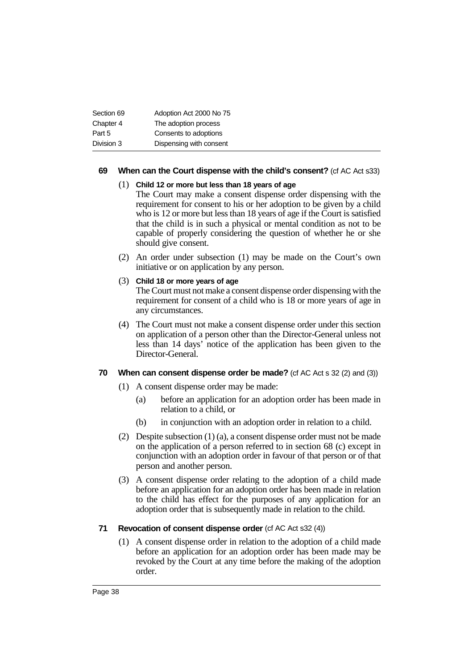| Section 69 | Adoption Act 2000 No 75 |
|------------|-------------------------|
| Chapter 4  | The adoption process    |
| Part 5     | Consents to adoptions   |
| Division 3 | Dispensing with consent |

## **69 When can the Court dispense with the child's consent?** (cf AC Act s33)

- (1) **Child 12 or more but less than 18 years of age** The Court may make a consent dispense order dispensing with the requirement for consent to his or her adoption to be given by a child who is 12 or more but less than 18 years of age if the Court is satisfied that the child is in such a physical or mental condition as not to be capable of properly considering the question of whether he or she should give consent.
- (2) An order under subsection (1) may be made on the Court's own initiative or on application by any person.

## (3) **Child 18 or more years of age**

The Court must not make a consent dispense order dispensing with the requirement for consent of a child who is 18 or more years of age in any circumstances.

(4) The Court must not make a consent dispense order under this section on application of a person other than the Director-General unless not less than 14 days' notice of the application has been given to the Director-General.

## **70 When can consent dispense order be made?** (cf AC Act s 32 (2) and (3))

- (1) A consent dispense order may be made:
	- (a) before an application for an adoption order has been made in relation to a child, or
	- (b) in conjunction with an adoption order in relation to a child.
- (2) Despite subsection (1) (a), a consent dispense order must not be made on the application of a person referred to in section 68 (c) except in conjunction with an adoption order in favour of that person or of that person and another person.
- (3) A consent dispense order relating to the adoption of a child made before an application for an adoption order has been made in relation to the child has effect for the purposes of any application for an adoption order that is subsequently made in relation to the child.

## **71 Revocation of consent dispense order** (cf AC Act s32 (4))

(1) A consent dispense order in relation to the adoption of a child made before an application for an adoption order has been made may be revoked by the Court at any time before the making of the adoption order.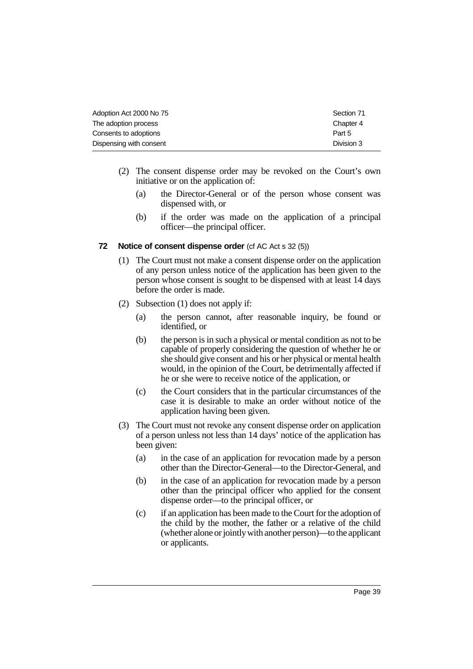| Adoption Act 2000 No 75 | Section 71 |
|-------------------------|------------|
| The adoption process    | Chapter 4  |
| Consents to adoptions   | Part 5     |
| Dispensing with consent | Division 3 |

- (2) The consent dispense order may be revoked on the Court's own initiative or on the application of:
	- (a) the Director-General or of the person whose consent was dispensed with, or
	- (b) if the order was made on the application of a principal officer—the principal officer.

## **72 Notice of consent dispense order** (cf AC Act s 32 (5))

- (1) The Court must not make a consent dispense order on the application of any person unless notice of the application has been given to the person whose consent is sought to be dispensed with at least 14 days before the order is made.
- (2) Subsection (1) does not apply if:
	- (a) the person cannot, after reasonable inquiry, be found or identified, or
	- (b) the person is in such a physical or mental condition as not to be capable of properly considering the question of whether he or she should give consent and his or her physical or mental health would, in the opinion of the Court, be detrimentally affected if he or she were to receive notice of the application, or
	- (c) the Court considers that in the particular circumstances of the case it is desirable to make an order without notice of the application having been given.
- (3) The Court must not revoke any consent dispense order on application of a person unless not less than 14 days' notice of the application has been given:
	- (a) in the case of an application for revocation made by a person other than the Director-General—to the Director-General, and
	- (b) in the case of an application for revocation made by a person other than the principal officer who applied for the consent dispense order—to the principal officer, or
	- (c) if an application has been made to the Court for the adoption of the child by the mother, the father or a relative of the child (whether alone or jointly with another person)—to the applicant or applicants.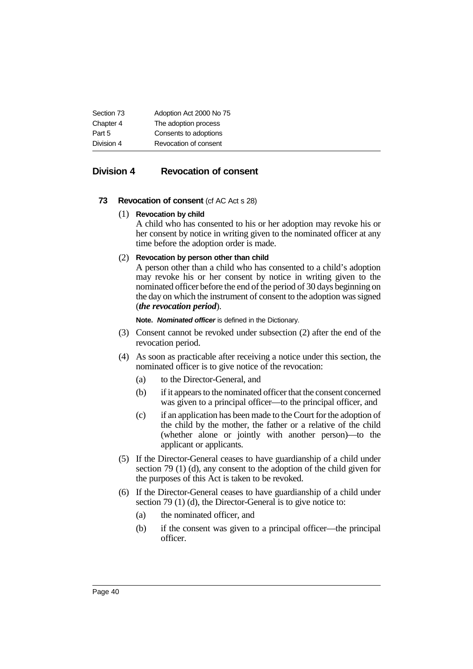| Section 73 | Adoption Act 2000 No 75 |
|------------|-------------------------|
| Chapter 4  | The adoption process    |
| Part 5     | Consents to adoptions   |
| Division 4 | Revocation of consent   |

## **Division 4 Revocation of consent**

## **73 Revocation of consent** (cf AC Act s 28)

### (1) **Revocation by child**

A child who has consented to his or her adoption may revoke his or her consent by notice in writing given to the nominated officer at any time before the adoption order is made.

## (2) **Revocation by person other than child**

A person other than a child who has consented to a child's adoption may revoke his or her consent by notice in writing given to the nominated officer before the end of the period of 30 days beginning on the day on which the instrument of consent to the adoption was signed (*the revocation period*).

**Note. Nominated officer** is defined in the Dictionary.

- (3) Consent cannot be revoked under subsection (2) after the end of the revocation period.
- (4) As soon as practicable after receiving a notice under this section, the nominated officer is to give notice of the revocation:
	- (a) to the Director-General, and
	- (b) if it appears to the nominated officer that the consent concerned was given to a principal officer—to the principal officer, and
	- (c) if an application has been made to the Court for the adoption of the child by the mother, the father or a relative of the child (whether alone or jointly with another person)—to the applicant or applicants.
- (5) If the Director-General ceases to have guardianship of a child under section 79 (1) (d), any consent to the adoption of the child given for the purposes of this Act is taken to be revoked.
- (6) If the Director-General ceases to have guardianship of a child under section 79 (1) (d), the Director-General is to give notice to:
	- (a) the nominated officer, and
	- (b) if the consent was given to a principal officer—the principal officer.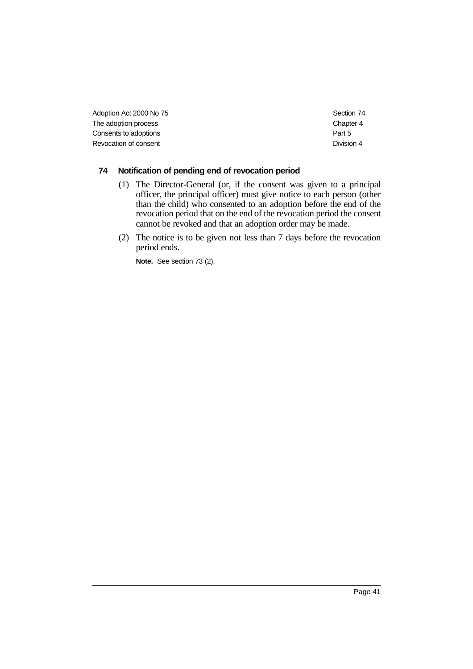| Adoption Act 2000 No 75 | Section 74 |
|-------------------------|------------|
| The adoption process    | Chapter 4  |
| Consents to adoptions   | Part 5     |
| Revocation of consent   | Division 4 |

## **74 Notification of pending end of revocation period**

- (1) The Director-General (or, if the consent was given to a principal officer, the principal officer) must give notice to each person (other than the child) who consented to an adoption before the end of the revocation period that on the end of the revocation period the consent cannot be revoked and that an adoption order may be made.
- (2) The notice is to be given not less than 7 days before the revocation period ends.

**Note.** See section 73 (2).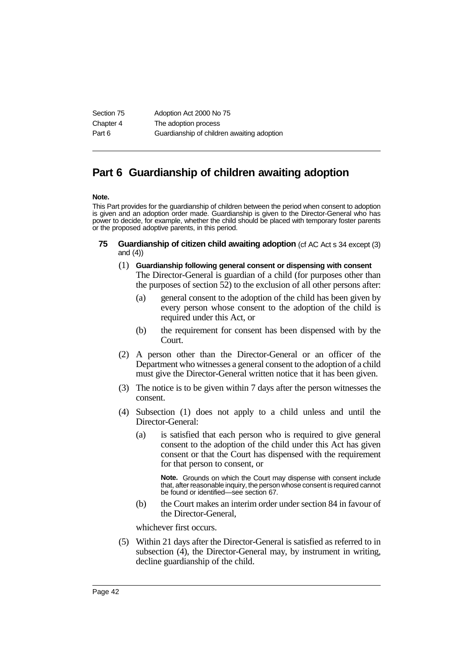| Section 75 | Adoption Act 2000 No 75                    |
|------------|--------------------------------------------|
| Chapter 4  | The adoption process                       |
| Part 6     | Guardianship of children awaiting adoption |

# **Part 6 Guardianship of children awaiting adoption**

#### **Note.**

This Part provides for the guardianship of children between the period when consent to adoption is given and an adoption order made. Guardianship is given to the Director-General who has power to decide, for example, whether the child should be placed with temporary foster parents or the proposed adoptive parents, in this period.

- **75 Guardianship of citizen child awaiting adoption** (cf AC Act s 34 except (3) and (4))
	- (1) **Guardianship following general consent or dispensing with consent** The Director-General is guardian of a child (for purposes other than the purposes of section 52) to the exclusion of all other persons after:
		- (a) general consent to the adoption of the child has been given by every person whose consent to the adoption of the child is required under this Act, or
		- (b) the requirement for consent has been dispensed with by the Court.
	- (2) A person other than the Director-General or an officer of the Department who witnesses a general consent to the adoption of a child must give the Director-General written notice that it has been given.
	- (3) The notice is to be given within 7 days after the person witnesses the consent.
	- (4) Subsection (1) does not apply to a child unless and until the Director-General:
		- (a) is satisfied that each person who is required to give general consent to the adoption of the child under this Act has given consent or that the Court has dispensed with the requirement for that person to consent, or

**Note.** Grounds on which the Court may dispense with consent include that, after reasonable inquiry, the person whose consent is required cannot be found or identified—see section 67.

(b) the Court makes an interim order under section 84 in favour of the Director-General,

whichever first occurs.

(5) Within 21 days after the Director-General is satisfied as referred to in subsection (4), the Director-General may, by instrument in writing, decline guardianship of the child.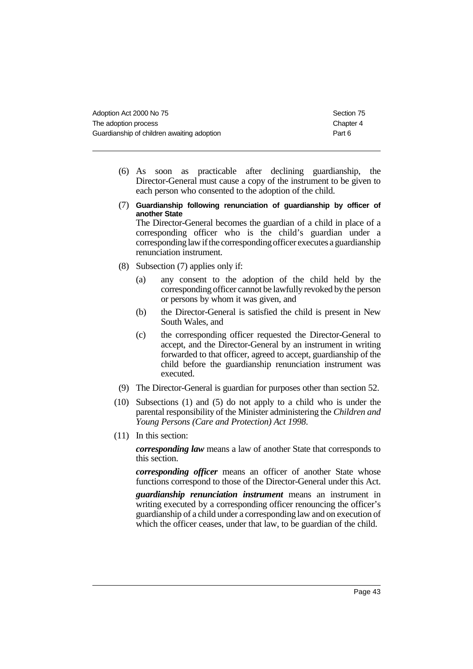| Adoption Act 2000 No 75                    | Section 75 |
|--------------------------------------------|------------|
| The adoption process                       | Chapter 4  |
| Guardianship of children awaiting adoption | Part 6     |

- (6) As soon as practicable after declining guardianship, the Director-General must cause a copy of the instrument to be given to each person who consented to the adoption of the child.
- (7) **Guardianship following renunciation of guardianship by officer of another State**  The Director-General becomes the guardian of a child in place of a corresponding officer who is the child's guardian under a corresponding law if the corresponding officer executes a guardianship renunciation instrument.
- (8) Subsection (7) applies only if:
	- (a) any consent to the adoption of the child held by the corresponding officer cannot be lawfully revoked by the person or persons by whom it was given, and
	- (b) the Director-General is satisfied the child is present in New South Wales, and
	- (c) the corresponding officer requested the Director-General to accept, and the Director-General by an instrument in writing forwarded to that officer, agreed to accept, guardianship of the child before the guardianship renunciation instrument was executed.
- (9) The Director-General is guardian for purposes other than section 52.
- (10) Subsections (1) and (5) do not apply to a child who is under the parental responsibility of the Minister administering the *Children and Young Persons (Care and Protection) Act 1998*.
- (11) In this section:

*corresponding law* means a law of another State that corresponds to this section.

*corresponding officer* means an officer of another State whose functions correspond to those of the Director-General under this Act.

*guardianship renunciation instrument* means an instrument in writing executed by a corresponding officer renouncing the officer's guardianship of a child under a corresponding law and on execution of which the officer ceases, under that law, to be guardian of the child.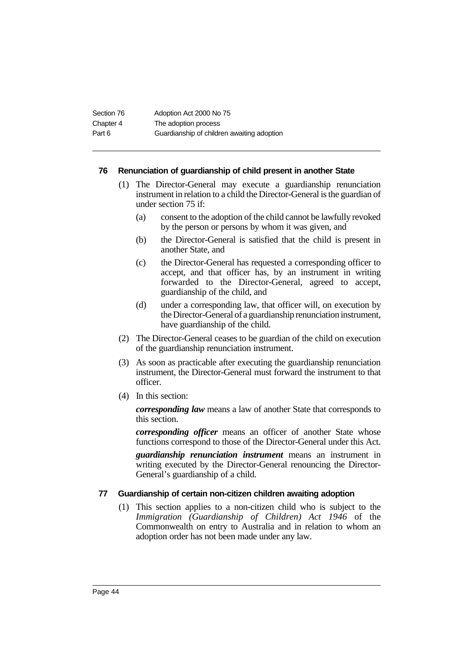| Section 76 | Adoption Act 2000 No 75                    |
|------------|--------------------------------------------|
| Chapter 4  | The adoption process                       |
| Part 6     | Guardianship of children awaiting adoption |

## **76 Renunciation of guardianship of child present in another State**

- (1) The Director-General may execute a guardianship renunciation instrument in relation to a child the Director-General is the guardian of under section 75 if:
	- (a) consent to the adoption of the child cannot be lawfully revoked by the person or persons by whom it was given, and
	- (b) the Director-General is satisfied that the child is present in another State, and
	- (c) the Director-General has requested a corresponding officer to accept, and that officer has, by an instrument in writing forwarded to the Director-General, agreed to accept, guardianship of the child, and
	- (d) under a corresponding law, that officer will, on execution by the Director-General of a guardianship renunciation instrument, have guardianship of the child.
- (2) The Director-General ceases to be guardian of the child on execution of the guardianship renunciation instrument.
- (3) As soon as practicable after executing the guardianship renunciation instrument, the Director-General must forward the instrument to that officer.
- (4) In this section:

*corresponding law* means a law of another State that corresponds to this section.

*corresponding officer* means an officer of another State whose functions correspond to those of the Director-General under this Act.

*guardianship renunciation instrument* means an instrument in writing executed by the Director-General renouncing the Director-General's guardianship of a child.

## **77 Guardianship of certain non-citizen children awaiting adoption**

(1) This section applies to a non-citizen child who is subject to the *Immigration (Guardianship of Children) Act 1946* of the Commonwealth on entry to Australia and in relation to whom an adoption order has not been made under any law.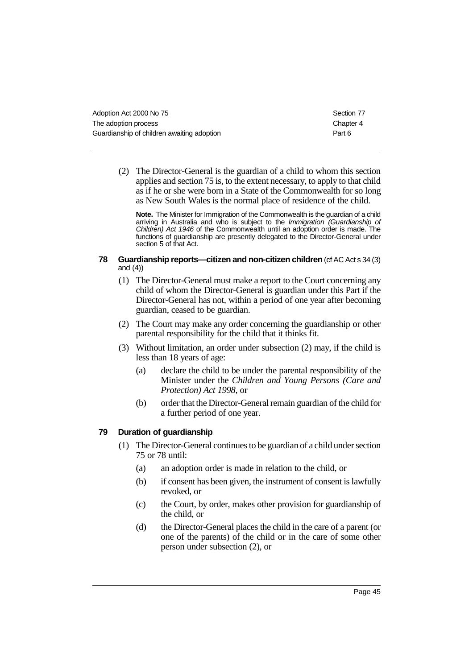| Adoption Act 2000 No 75                    | Section 77 |
|--------------------------------------------|------------|
| The adoption process                       | Chapter 4  |
| Guardianship of children awaiting adoption | Part 6     |

(2) The Director-General is the guardian of a child to whom this section applies and section 75 is, to the extent necessary, to apply to that child as if he or she were born in a State of the Commonwealth for so long as New South Wales is the normal place of residence of the child.

**Note.** The Minister for Immigration of the Commonwealth is the guardian of a child arriving in Australia and who is subject to the Immigration (Guardianship of Children) Act 1946 of the Commonwealth until an adoption order is made. The functions of guardianship are presently delegated to the Director-General under section 5 of that Act.

#### **78 Guardianship reports—citizen and non-citizen children** (cf AC Act s 34 (3) and (4))

- (1) The Director-General must make a report to the Court concerning any child of whom the Director-General is guardian under this Part if the Director-General has not, within a period of one year after becoming guardian, ceased to be guardian.
- (2) The Court may make any order concerning the guardianship or other parental responsibility for the child that it thinks fit.
- (3) Without limitation, an order under subsection (2) may, if the child is less than 18 years of age:
	- (a) declare the child to be under the parental responsibility of the Minister under the *Children and Young Persons (Care and Protection) Act 1998*, or
	- (b) order that the Director-General remain guardian of the child for a further period of one year.

### **79 Duration of guardianship**

- (1) The Director-General continues to be guardian of a child under section 75 or 78 until:
	- (a) an adoption order is made in relation to the child, or
	- (b) if consent has been given, the instrument of consent is lawfully revoked, or
	- (c) the Court, by order, makes other provision for guardianship of the child, or
	- (d) the Director-General places the child in the care of a parent (or one of the parents) of the child or in the care of some other person under subsection (2), or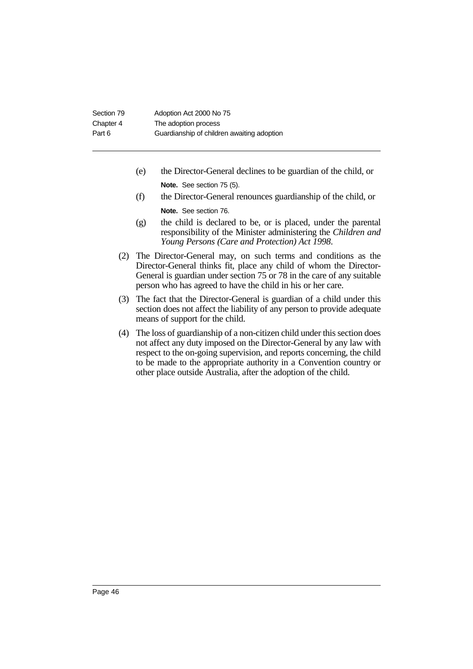| Section 79 | Adoption Act 2000 No 75                    |
|------------|--------------------------------------------|
| Chapter 4  | The adoption process                       |
| Part 6     | Guardianship of children awaiting adoption |

- (e) the Director-General declines to be guardian of the child, or **Note.** See section 75 (5).
- (f) the Director-General renounces guardianship of the child, or **Note.** See section 76.
- (g) the child is declared to be, or is placed, under the parental responsibility of the Minister administering the *Children and Young Persons (Care and Protection) Act 1998*.
- (2) The Director-General may, on such terms and conditions as the Director-General thinks fit, place any child of whom the Director-General is guardian under section 75 or 78 in the care of any suitable person who has agreed to have the child in his or her care.
- (3) The fact that the Director-General is guardian of a child under this section does not affect the liability of any person to provide adequate means of support for the child.
- (4) The loss of guardianship of a non-citizen child under this section does not affect any duty imposed on the Director-General by any law with respect to the on-going supervision, and reports concerning, the child to be made to the appropriate authority in a Convention country or other place outside Australia, after the adoption of the child.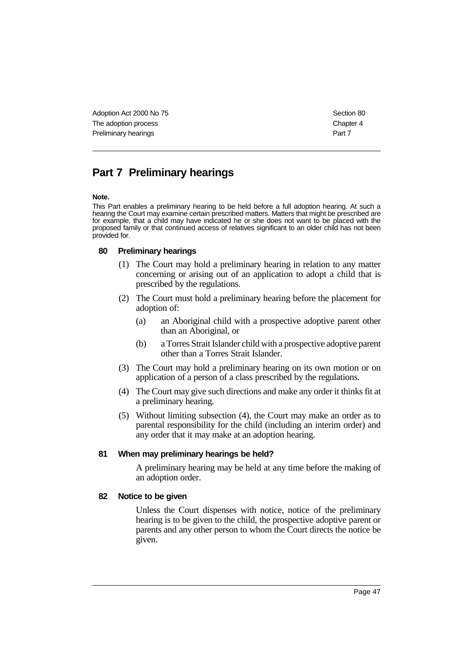Adoption Act 2000 No 75 Section 80 The adoption process Chapter 4 Preliminary hearings **Part 7** Part 7

# **Part 7 Preliminary hearings**

#### **Note.**

This Part enables a preliminary hearing to be held before a full adoption hearing. At such a hearing the Court may examine certain prescribed matters. Matters that might be prescribed are for example, that a child may have indicated he or she does not want to be placed with the proposed family or that continued access of relatives significant to an older child has not been provided for.

### **80 Preliminary hearings**

- (1) The Court may hold a preliminary hearing in relation to any matter concerning or arising out of an application to adopt a child that is prescribed by the regulations.
- (2) The Court must hold a preliminary hearing before the placement for adoption of:
	- (a) an Aboriginal child with a prospective adoptive parent other than an Aboriginal, or
	- (b) a Torres Strait Islander child with a prospective adoptive parent other than a Torres Strait Islander.
- (3) The Court may hold a preliminary hearing on its own motion or on application of a person of a class prescribed by the regulations.
- (4) The Court may give such directions and make any order it thinks fit at a preliminary hearing.
- (5) Without limiting subsection (4), the Court may make an order as to parental responsibility for the child (including an interim order) and any order that it may make at an adoption hearing.

### **81 When may preliminary hearings be held?**

A preliminary hearing may be held at any time before the making of an adoption order.

### **82 Notice to be given**

Unless the Court dispenses with notice, notice of the preliminary hearing is to be given to the child, the prospective adoptive parent or parents and any other person to whom the Court directs the notice be given.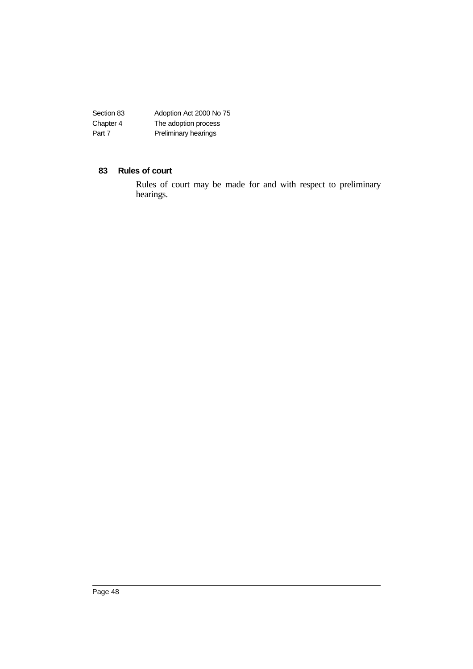Section 83 Adoption Act 2000 No 75 Chapter 4 The adoption process Part 7 **Preliminary hearings** 

## **83 Rules of court**

Rules of court may be made for and with respect to preliminary hearings.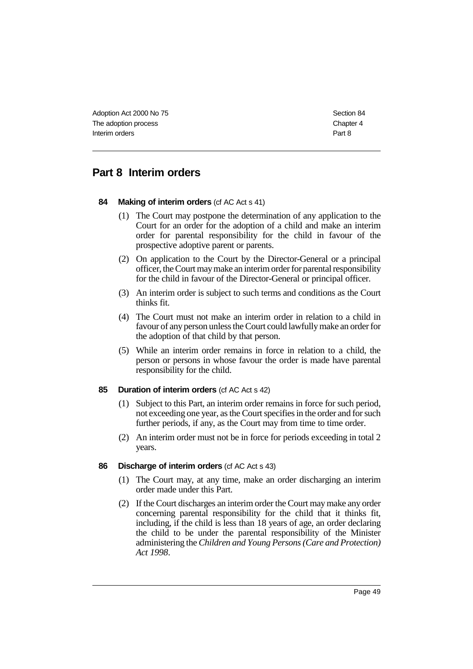Adoption Act 2000 No 75 Section 84 The adoption process Chapter 4 **Interim orders Part 8** 

## **Part 8 Interim orders**

- **84 Making of interim orders** (cf AC Act s 41)
	- (1) The Court may postpone the determination of any application to the Court for an order for the adoption of a child and make an interim order for parental responsibility for the child in favour of the prospective adoptive parent or parents.
	- (2) On application to the Court by the Director-General or a principal officer, the Court may make an interim order for parental responsibility for the child in favour of the Director-General or principal officer.
	- (3) An interim order is subject to such terms and conditions as the Court thinks fit.
	- (4) The Court must not make an interim order in relation to a child in favour of any person unless the Court could lawfully make an order for the adoption of that child by that person.
	- (5) While an interim order remains in force in relation to a child, the person or persons in whose favour the order is made have parental responsibility for the child.

## **85 Duration of interim orders** (cf AC Act s 42)

- (1) Subject to this Part, an interim order remains in force for such period, not exceeding one year, as the Court specifies in the order and for such further periods, if any, as the Court may from time to time order.
- (2) An interim order must not be in force for periods exceeding in total 2 years.

## **86 Discharge of interim orders** (cf AC Act s 43)

- (1) The Court may, at any time, make an order discharging an interim order made under this Part.
- (2) If the Court discharges an interim order the Court may make any order concerning parental responsibility for the child that it thinks fit, including, if the child is less than 18 years of age, an order declaring the child to be under the parental responsibility of the Minister administering the *Children and Young Persons (Care and Protection) Act 1998*.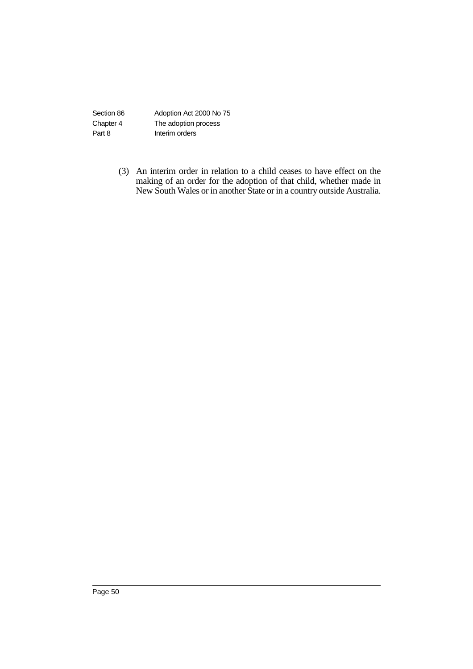Section 86 Adoption Act 2000 No 75 Chapter 4 The adoption process Part 8 Interim orders

> (3) An interim order in relation to a child ceases to have effect on the making of an order for the adoption of that child, whether made in New South Wales or in another State or in a country outside Australia.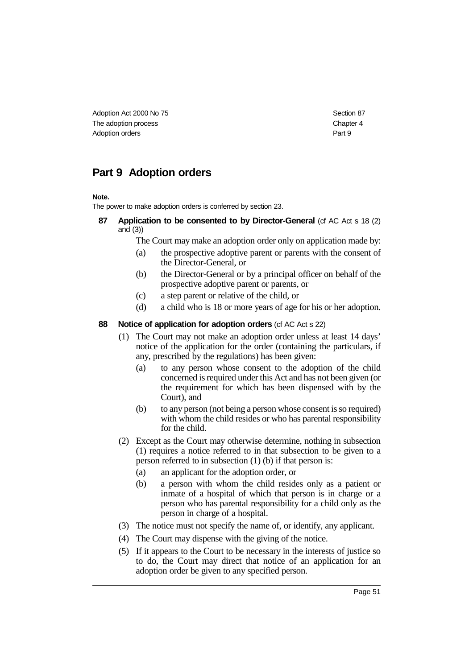Adoption Act 2000 No 75 Section 87 The adoption process Chapter 4 Adoption orders **Part 9** 

# **Part 9 Adoption orders**

#### **Note.**

The power to make adoption orders is conferred by section 23.

**87 Application to be consented to by Director-General** (cf AC Act s 18 (2) and (3))

The Court may make an adoption order only on application made by:

- (a) the prospective adoptive parent or parents with the consent of the Director-General, or
- (b) the Director-General or by a principal officer on behalf of the prospective adoptive parent or parents, or
- (c) a step parent or relative of the child, or
- (d) a child who is 18 or more years of age for his or her adoption.

### **88 Notice of application for adoption orders** (cf AC Act s 22)

- (1) The Court may not make an adoption order unless at least 14 days' notice of the application for the order (containing the particulars, if any, prescribed by the regulations) has been given:
	- (a) to any person whose consent to the adoption of the child concerned is required under this Act and has not been given (or the requirement for which has been dispensed with by the Court), and
	- (b) to any person (not being a person whose consent is so required) with whom the child resides or who has parental responsibility for the child.
- (2) Except as the Court may otherwise determine, nothing in subsection (1) requires a notice referred to in that subsection to be given to a person referred to in subsection (1) (b) if that person is:
	- (a) an applicant for the adoption order, or
	- (b) a person with whom the child resides only as a patient or inmate of a hospital of which that person is in charge or a person who has parental responsibility for a child only as the person in charge of a hospital.
- (3) The notice must not specify the name of, or identify, any applicant.
- (4) The Court may dispense with the giving of the notice.
- (5) If it appears to the Court to be necessary in the interests of justice so to do, the Court may direct that notice of an application for an adoption order be given to any specified person.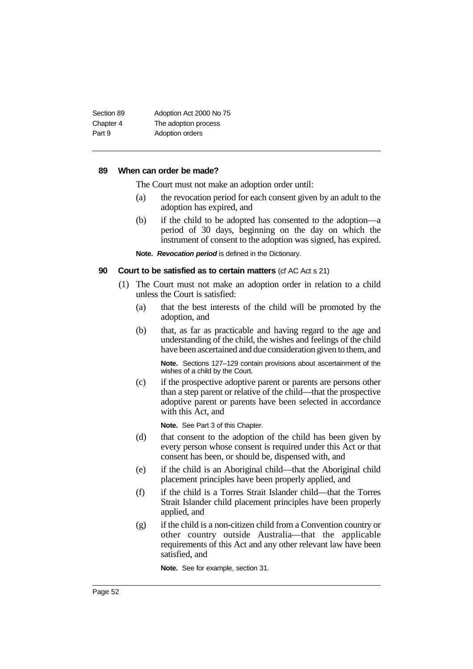| Section 89 | Adoption Act 2000 No 75 |
|------------|-------------------------|
| Chapter 4  | The adoption process    |
| Part 9     | Adoption orders         |

#### **89 When can order be made?**

The Court must not make an adoption order until:

- (a) the revocation period for each consent given by an adult to the adoption has expired, and
- (b) if the child to be adopted has consented to the adoption—a period of 30 days, beginning on the day on which the instrument of consent to the adoption was signed, has expired.

**Note. Revocation period** is defined in the Dictionary.

### **90 Court to be satisfied as to certain matters** (cf AC Act s 21)

- (1) The Court must not make an adoption order in relation to a child unless the Court is satisfied:
	- (a) that the best interests of the child will be promoted by the adoption, and
	- (b) that, as far as practicable and having regard to the age and understanding of the child, the wishes and feelings of the child have been ascertained and due consideration given to them, and

**Note.** Sections 127–129 contain provisions about ascertainment of the wishes of a child by the Court.

(c) if the prospective adoptive parent or parents are persons other than a step parent or relative of the child—that the prospective adoptive parent or parents have been selected in accordance with this Act, and

**Note.** See Part 3 of this Chapter.

- (d) that consent to the adoption of the child has been given by every person whose consent is required under this Act or that consent has been, or should be, dispensed with, and
- (e) if the child is an Aboriginal child—that the Aboriginal child placement principles have been properly applied, and
- (f) if the child is a Torres Strait Islander child—that the Torres Strait Islander child placement principles have been properly applied, and
- (g) if the child is a non-citizen child from a Convention country or other country outside Australia—that the applicable requirements of this Act and any other relevant law have been satisfied, and

**Note.** See for example, section 31.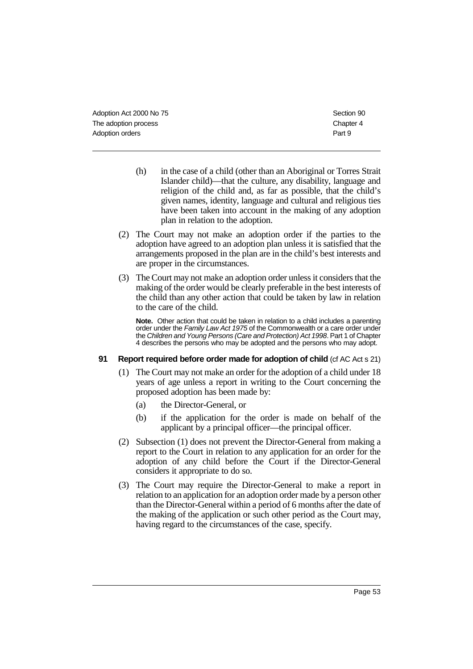| Adoption Act 2000 No 75 | Section 90 |
|-------------------------|------------|
| The adoption process    | Chapter 4  |
| Adoption orders         | Part 9     |

- (h) in the case of a child (other than an Aboriginal or Torres Strait Islander child)—that the culture, any disability, language and religion of the child and, as far as possible, that the child's given names, identity, language and cultural and religious ties have been taken into account in the making of any adoption plan in relation to the adoption.
- (2) The Court may not make an adoption order if the parties to the adoption have agreed to an adoption plan unless it is satisfied that the arrangements proposed in the plan are in the child's best interests and are proper in the circumstances.
- (3) The Court may not make an adoption order unless it considers that the making of the order would be clearly preferable in the best interests of the child than any other action that could be taken by law in relation to the care of the child.

**Note.** Other action that could be taken in relation to a child includes a parenting order under the Family Law Act 1975 of the Commonwealth or a care order under the Children and Young Persons (Care and Protection) Act 1998. Part 1 of Chapter 4 describes the persons who may be adopted and the persons who may adopt.

## **91 Report required before order made for adoption of child** (cf AC Act s 21)

- (1) The Court may not make an order for the adoption of a child under 18 years of age unless a report in writing to the Court concerning the proposed adoption has been made by:
	- (a) the Director-General, or
	- (b) if the application for the order is made on behalf of the applicant by a principal officer—the principal officer.
- (2) Subsection (1) does not prevent the Director-General from making a report to the Court in relation to any application for an order for the adoption of any child before the Court if the Director-General considers it appropriate to do so.
- (3) The Court may require the Director-General to make a report in relation to an application for an adoption order made by a person other than the Director-General within a period of 6 months after the date of the making of the application or such other period as the Court may, having regard to the circumstances of the case, specify.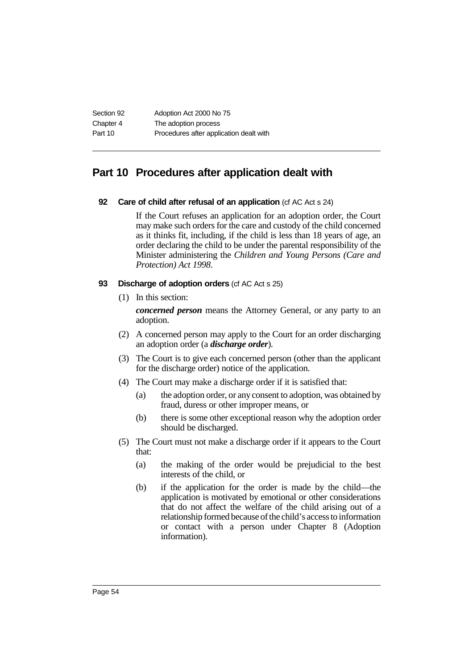| Section 92 | Adoption Act 2000 No 75                 |
|------------|-----------------------------------------|
| Chapter 4  | The adoption process                    |
| Part 10    | Procedures after application dealt with |

# **Part 10 Procedures after application dealt with**

## **92 Care of child after refusal of an application** (cf AC Act s 24)

If the Court refuses an application for an adoption order, the Court may make such orders for the care and custody of the child concerned as it thinks fit, including, if the child is less than 18 years of age, an order declaring the child to be under the parental responsibility of the Minister administering the *Children and Young Persons (Care and Protection) Act 1998*.

## **93 Discharge of adoption orders** (cf AC Act s 25)

(1) In this section:

*concerned person* means the Attorney General, or any party to an adoption.

- (2) A concerned person may apply to the Court for an order discharging an adoption order (a *discharge order*).
- (3) The Court is to give each concerned person (other than the applicant for the discharge order) notice of the application.
- (4) The Court may make a discharge order if it is satisfied that:
	- (a) the adoption order, or any consent to adoption, was obtained by fraud, duress or other improper means, or
	- (b) there is some other exceptional reason why the adoption order should be discharged.
- (5) The Court must not make a discharge order if it appears to the Court that:
	- (a) the making of the order would be prejudicial to the best interests of the child, or
	- (b) if the application for the order is made by the child—the application is motivated by emotional or other considerations that do not affect the welfare of the child arising out of a relationship formed because of the child's access to information or contact with a person under Chapter 8 (Adoption information).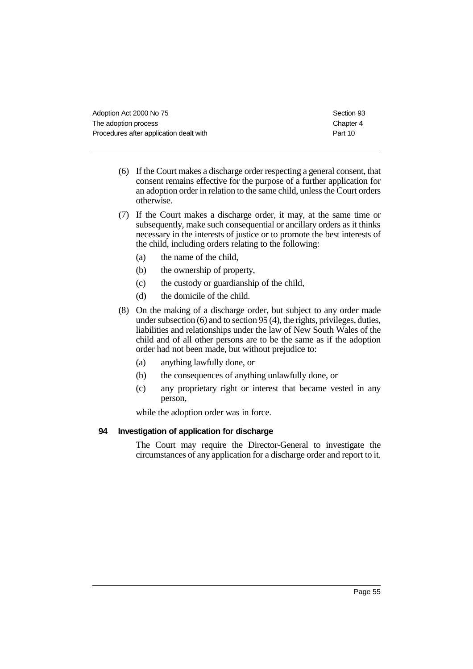| Section 93 |
|------------|
| Chapter 4  |
| Part 10    |
|            |

- (6) If the Court makes a discharge order respecting a general consent, that consent remains effective for the purpose of a further application for an adoption order in relation to the same child, unless the Court orders otherwise.
- (7) If the Court makes a discharge order, it may, at the same time or subsequently, make such consequential or ancillary orders as it thinks necessary in the interests of justice or to promote the best interests of the child, including orders relating to the following:
	- (a) the name of the child,
	- (b) the ownership of property,
	- (c) the custody or guardianship of the child,
	- (d) the domicile of the child.
- (8) On the making of a discharge order, but subject to any order made under subsection (6) and to section 95 (4), the rights, privileges, duties, liabilities and relationships under the law of New South Wales of the child and of all other persons are to be the same as if the adoption order had not been made, but without prejudice to:
	- (a) anything lawfully done, or
	- (b) the consequences of anything unlawfully done, or
	- (c) any proprietary right or interest that became vested in any person,

while the adoption order was in force.

## **94 Investigation of application for discharge**

The Court may require the Director-General to investigate the circumstances of any application for a discharge order and report to it.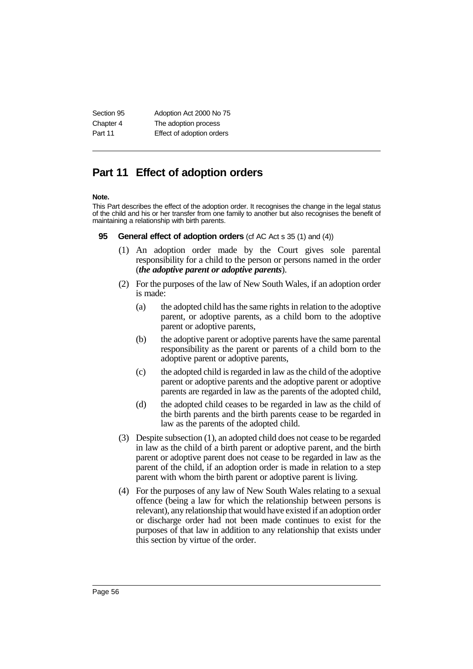| Section 95 | Adoption Act 2000 No 75   |
|------------|---------------------------|
| Chapter 4  | The adoption process      |
| Part 11    | Effect of adoption orders |

# **Part 11 Effect of adoption orders**

### **Note.**

This Part describes the effect of the adoption order. It recognises the change in the legal status of the child and his or her transfer from one family to another but also recognises the benefit of maintaining a relationship with birth parents.

- **95 General effect of adoption orders** (cf AC Act s 35 (1) and (4))
	- (1) An adoption order made by the Court gives sole parental responsibility for a child to the person or persons named in the order (*the adoptive parent or adoptive parents*).
	- (2) For the purposes of the law of New South Wales, if an adoption order is made:
		- (a) the adopted child has the same rights in relation to the adoptive parent, or adoptive parents, as a child born to the adoptive parent or adoptive parents,
		- (b) the adoptive parent or adoptive parents have the same parental responsibility as the parent or parents of a child born to the adoptive parent or adoptive parents,
		- (c) the adopted child is regarded in law as the child of the adoptive parent or adoptive parents and the adoptive parent or adoptive parents are regarded in law as the parents of the adopted child,
		- (d) the adopted child ceases to be regarded in law as the child of the birth parents and the birth parents cease to be regarded in law as the parents of the adopted child.
	- (3) Despite subsection (1), an adopted child does not cease to be regarded in law as the child of a birth parent or adoptive parent, and the birth parent or adoptive parent does not cease to be regarded in law as the parent of the child, if an adoption order is made in relation to a step parent with whom the birth parent or adoptive parent is living.
	- (4) For the purposes of any law of New South Wales relating to a sexual offence (being a law for which the relationship between persons is relevant), any relationship that would have existed if an adoption order or discharge order had not been made continues to exist for the purposes of that law in addition to any relationship that exists under this section by virtue of the order.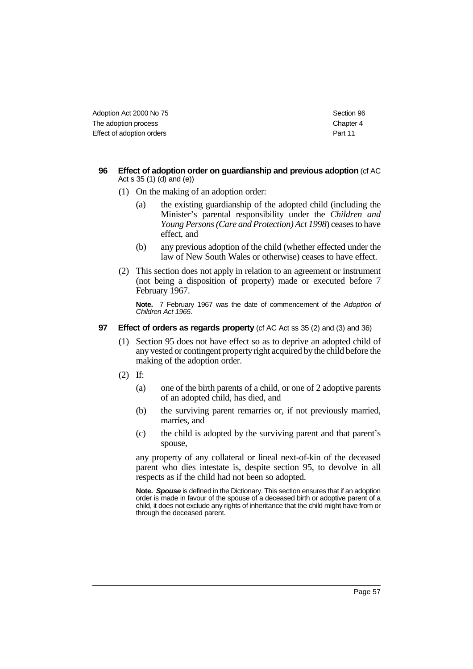| Adoption Act 2000 No 75   | Section 96 |
|---------------------------|------------|
| The adoption process      | Chapter 4  |
| Effect of adoption orders | Part 11    |

- **96 Effect of adoption order on guardianship and previous adoption** (cf AC Act s 35 (1) (d) and (e))
	- (1) On the making of an adoption order:
		- (a) the existing guardianship of the adopted child (including the Minister's parental responsibility under the *Children and Young Persons (Care and Protection) Act 1998*) ceases to have effect, and
		- (b) any previous adoption of the child (whether effected under the law of New South Wales or otherwise) ceases to have effect.
	- (2) This section does not apply in relation to an agreement or instrument (not being a disposition of property) made or executed before 7 February 1967.

**Note.** 7 February 1967 was the date of commencement of the Adoption of Children Act 1965.

### **97 Effect of orders as regards property** (cf AC Act ss 35 (2) and (3) and 36)

- (1) Section 95 does not have effect so as to deprive an adopted child of any vested or contingent property right acquired by the child before the making of the adoption order.
- (2) If:
	- (a) one of the birth parents of a child, or one of 2 adoptive parents of an adopted child, has died, and
	- (b) the surviving parent remarries or, if not previously married, marries, and
	- (c) the child is adopted by the surviving parent and that parent's spouse,

any property of any collateral or lineal next-of-kin of the deceased parent who dies intestate is, despite section 95, to devolve in all respects as if the child had not been so adopted.

**Note. Spouse** is defined in the Dictionary. This section ensures that if an adoption order is made in favour of the spouse of a deceased birth or adoptive parent of a child, it does not exclude any rights of inheritance that the child might have from or through the deceased parent.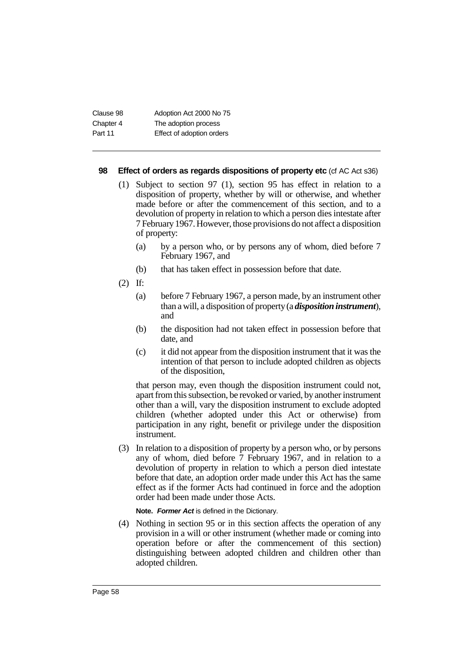| Clause 98 | Adoption Act 2000 No 75   |
|-----------|---------------------------|
| Chapter 4 | The adoption process      |
| Part 11   | Effect of adoption orders |

### **98 Effect of orders as regards dispositions of property etc** (cf AC Act s36)

- (1) Subject to section 97 (1), section 95 has effect in relation to a disposition of property, whether by will or otherwise, and whether made before or after the commencement of this section, and to a devolution of property in relation to which a person dies intestate after 7 February 1967. However, those provisions do not affect a disposition of property:
	- (a) by a person who, or by persons any of whom, died before 7 February 1967, and
	- (b) that has taken effect in possession before that date.
- (2) If:
	- (a) before 7 February 1967, a person made, by an instrument other than a will, a disposition of property (a *disposition instrument*), and
	- (b) the disposition had not taken effect in possession before that date, and
	- (c) it did not appear from the disposition instrument that it was the intention of that person to include adopted children as objects of the disposition,

that person may, even though the disposition instrument could not, apart from this subsection, be revoked or varied, by another instrument other than a will, vary the disposition instrument to exclude adopted children (whether adopted under this Act or otherwise) from participation in any right, benefit or privilege under the disposition instrument.

(3) In relation to a disposition of property by a person who, or by persons any of whom, died before 7 February 1967, and in relation to a devolution of property in relation to which a person died intestate before that date, an adoption order made under this Act has the same effect as if the former Acts had continued in force and the adoption order had been made under those Acts.

**Note. Former Act** is defined in the Dictionary.

(4) Nothing in section 95 or in this section affects the operation of any provision in a will or other instrument (whether made or coming into operation before or after the commencement of this section) distinguishing between adopted children and children other than adopted children.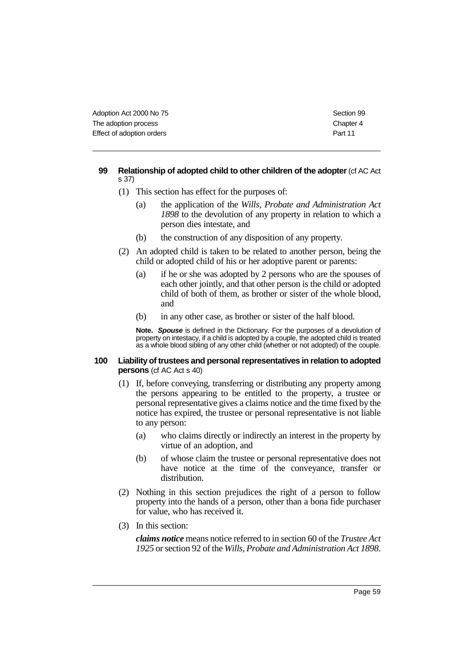| Adoption Act 2000 No 75   | Section 99 |
|---------------------------|------------|
| The adoption process      | Chapter 4  |
| Effect of adoption orders | Part 11    |

#### **99 Relationship of adopted child to other children of the adopter** (cf AC Act s 37)

- (1) This section has effect for the purposes of:
	- (a) the application of the *Wills, Probate and Administration Act 1898* to the devolution of any property in relation to which a person dies intestate, and
	- (b) the construction of any disposition of any property.
- (2) An adopted child is taken to be related to another person, being the child or adopted child of his or her adoptive parent or parents:
	- (a) if he or she was adopted by 2 persons who are the spouses of each other jointly, and that other person is the child or adopted child of both of them, as brother or sister of the whole blood, and
	- (b) in any other case, as brother or sister of the half blood.

**Note. Spouse** is defined in the Dictionary. For the purposes of a devolution of property on intestacy, if a child is adopted by a couple, the adopted child is treated as a whole blood sibling of any other child (whether or not adopted) of the couple.

### **100 Liability of trustees and personal representatives in relation to adopted persons** (cf AC Act s 40)

- (1) If, before conveying, transferring or distributing any property among the persons appearing to be entitled to the property, a trustee or personal representative gives a claims notice and the time fixed by the notice has expired, the trustee or personal representative is not liable to any person:
	- (a) who claims directly or indirectly an interest in the property by virtue of an adoption, and
	- (b) of whose claim the trustee or personal representative does not have notice at the time of the conveyance, transfer or distribution.
- (2) Nothing in this section prejudices the right of a person to follow property into the hands of a person, other than a bona fide purchaser for value, who has received it.
- (3) In this section:

*claims notice* means notice referred to in section 60 of the *Trustee Act 1925* or section 92 of the *Wills, Probate and Administration Act 1898*.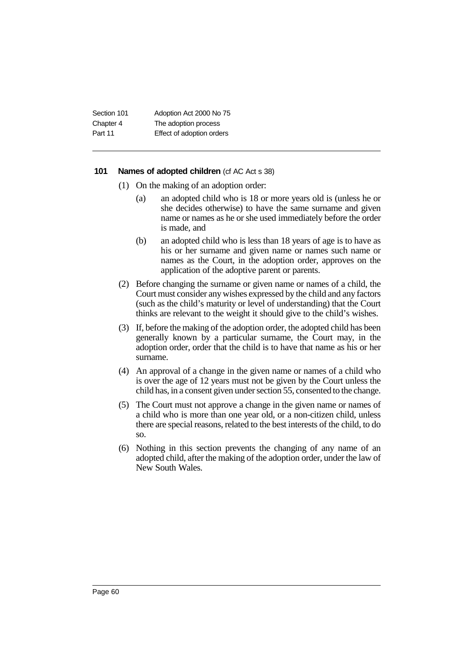| Section 101 | Adoption Act 2000 No 75   |
|-------------|---------------------------|
| Chapter 4   | The adoption process      |
| Part 11     | Effect of adoption orders |

### **101 Names of adopted children** (cf AC Act s 38)

- (1) On the making of an adoption order:
	- (a) an adopted child who is 18 or more years old is (unless he or she decides otherwise) to have the same surname and given name or names as he or she used immediately before the order is made, and
	- (b) an adopted child who is less than 18 years of age is to have as his or her surname and given name or names such name or names as the Court, in the adoption order, approves on the application of the adoptive parent or parents.
- (2) Before changing the surname or given name or names of a child, the Court must consider any wishes expressed by the child and any factors (such as the child's maturity or level of understanding) that the Court thinks are relevant to the weight it should give to the child's wishes.
- (3) If, before the making of the adoption order, the adopted child has been generally known by a particular surname, the Court may, in the adoption order, order that the child is to have that name as his or her surname.
- (4) An approval of a change in the given name or names of a child who is over the age of 12 years must not be given by the Court unless the child has, in a consent given under section 55, consented to the change.
- (5) The Court must not approve a change in the given name or names of a child who is more than one year old, or a non-citizen child, unless there are special reasons, related to the best interests of the child, to do so.
- (6) Nothing in this section prevents the changing of any name of an adopted child, after the making of the adoption order, under the law of New South Wales.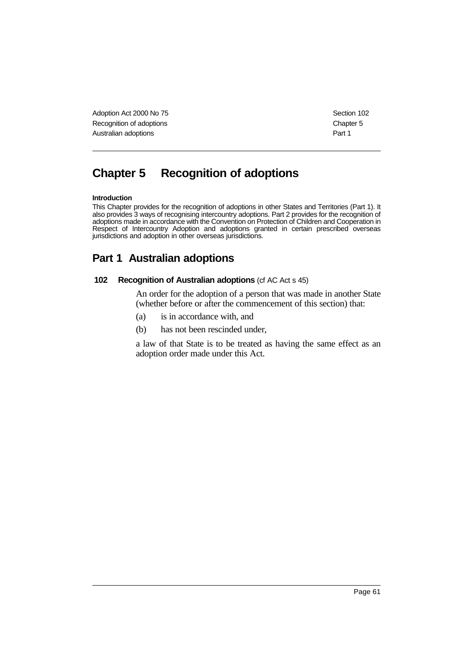Adoption Act 2000 No 75 Section 102 Recognition of adoptions **Chapter 5** Australian adoptions **Part 1** 

# **Chapter 5 Recognition of adoptions**

### **Introduction**

This Chapter provides for the recognition of adoptions in other States and Territories (Part 1). It also provides 3 ways of recognising intercountry adoptions. Part 2 provides for the recognition of adoptions made in accordance with the Convention on Protection of Children and Cooperation in Respect of Intercountry Adoption and adoptions granted in certain prescribed overseas jurisdictions and adoption in other overseas jurisdictions.

# **Part 1 Australian adoptions**

### **102 Recognition of Australian adoptions** (cf AC Act s 45)

An order for the adoption of a person that was made in another State (whether before or after the commencement of this section) that:

- (a) is in accordance with, and
- (b) has not been rescinded under,

a law of that State is to be treated as having the same effect as an adoption order made under this Act.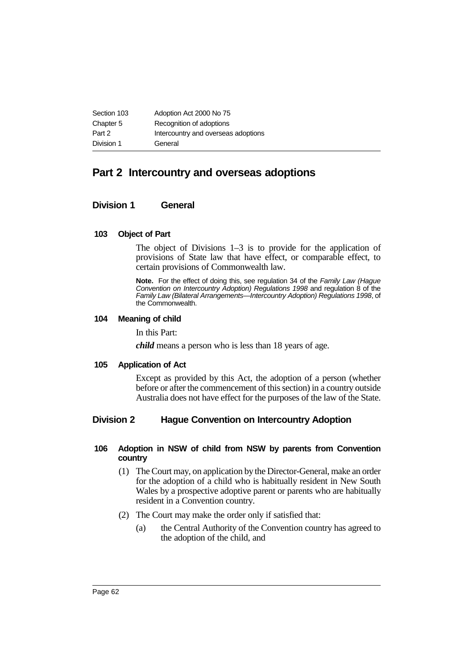| Section 103 | Adoption Act 2000 No 75             |
|-------------|-------------------------------------|
| Chapter 5   | Recognition of adoptions            |
| Part 2      | Intercountry and overseas adoptions |
| Division 1  | General                             |

## **Part 2 Intercountry and overseas adoptions**

## **Division 1 General**

## **103 Object of Part**

The object of Divisions 1–3 is to provide for the application of provisions of State law that have effect, or comparable effect, to certain provisions of Commonwealth law.

**Note.** For the effect of doing this, see regulation 34 of the Family Law (Hague Convention on Intercountry Adoption) Regulations 1998 and regulation 8 of the Family Law (Bilateral Arrangements—Intercountry Adoption) Regulations 1998, of the Commonwealth.

## **104 Meaning of child**

In this Part:

*child* means a person who is less than 18 years of age.

## **105 Application of Act**

Except as provided by this Act, the adoption of a person (whether before or after the commencement of this section) in a country outside Australia does not have effect for the purposes of the law of the State.

## **Division 2 Hague Convention on Intercountry Adoption**

## **106 Adoption in NSW of child from NSW by parents from Convention country**

- (1) The Court may, on application by the Director-General, make an order for the adoption of a child who is habitually resident in New South Wales by a prospective adoptive parent or parents who are habitually resident in a Convention country.
- (2) The Court may make the order only if satisfied that:
	- (a) the Central Authority of the Convention country has agreed to the adoption of the child, and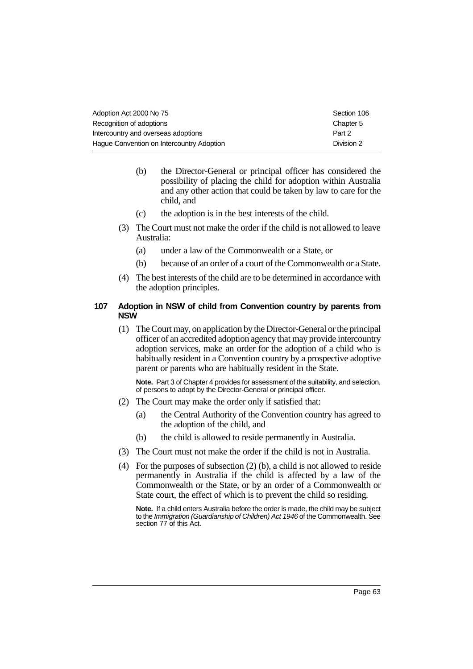| Adoption Act 2000 No 75                   | Section 106 |
|-------------------------------------------|-------------|
| Recognition of adoptions                  | Chapter 5   |
| Intercountry and overseas adoptions       | Part 2      |
| Haque Convention on Intercountry Adoption | Division 2  |

- (b) the Director-General or principal officer has considered the possibility of placing the child for adoption within Australia and any other action that could be taken by law to care for the child, and
- (c) the adoption is in the best interests of the child.
- (3) The Court must not make the order if the child is not allowed to leave Australia:
	- (a) under a law of the Commonwealth or a State, or
	- (b) because of an order of a court of the Commonwealth or a State.
- (4) The best interests of the child are to be determined in accordance with the adoption principles.

#### **107 Adoption in NSW of child from Convention country by parents from NSW**

(1) The Court may, on application by the Director-General or the principal officer of an accredited adoption agency that may provide intercountry adoption services, make an order for the adoption of a child who is habitually resident in a Convention country by a prospective adoptive parent or parents who are habitually resident in the State.

**Note.** Part 3 of Chapter 4 provides for assessment of the suitability, and selection, of persons to adopt by the Director-General or principal officer.

- (2) The Court may make the order only if satisfied that:
	- (a) the Central Authority of the Convention country has agreed to the adoption of the child, and
	- (b) the child is allowed to reside permanently in Australia.
- (3) The Court must not make the order if the child is not in Australia.
- (4) For the purposes of subsection (2) (b), a child is not allowed to reside permanently in Australia if the child is affected by a law of the Commonwealth or the State, or by an order of a Commonwealth or State court, the effect of which is to prevent the child so residing.

**Note.** If a child enters Australia before the order is made, the child may be subject to the Immigration (Guardianship of Children) Act 1946 of the Commonwealth. See section 77 of this Act.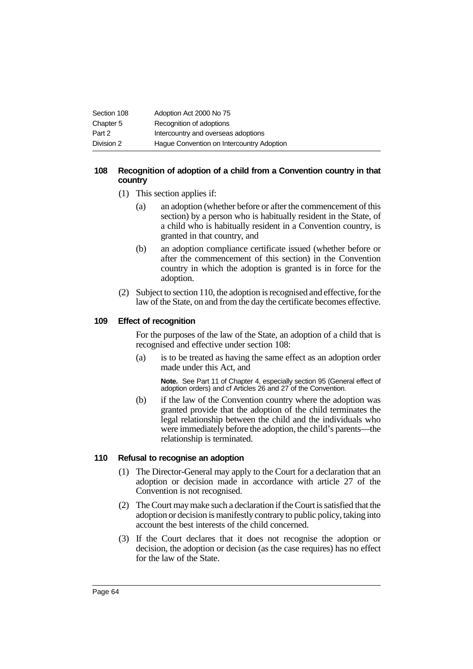| Section 108 | Adoption Act 2000 No 75                   |
|-------------|-------------------------------------------|
| Chapter 5   | Recognition of adoptions                  |
| Part 2      | Intercountry and overseas adoptions       |
| Division 2  | Haque Convention on Intercountry Adoption |

## **108 Recognition of adoption of a child from a Convention country in that country**

- (1) This section applies if:
	- (a) an adoption (whether before or after the commencement of this section) by a person who is habitually resident in the State, of a child who is habitually resident in a Convention country, is granted in that country, and
	- (b) an adoption compliance certificate issued (whether before or after the commencement of this section) in the Convention country in which the adoption is granted is in force for the adoption.
- (2) Subject to section 110, the adoption is recognised and effective, for the law of the State, on and from the day the certificate becomes effective.

## **109 Effect of recognition**

For the purposes of the law of the State, an adoption of a child that is recognised and effective under section 108:

(a) is to be treated as having the same effect as an adoption order made under this Act, and

**Note.** See Part 11 of Chapter 4, especially section 95 (General effect of adoption orders) and cf Articles 26 and 27 of the Convention.

(b) if the law of the Convention country where the adoption was granted provide that the adoption of the child terminates the legal relationship between the child and the individuals who were immediately before the adoption, the child's parents—the relationship is terminated.

## **110 Refusal to recognise an adoption**

- (1) The Director-General may apply to the Court for a declaration that an adoption or decision made in accordance with article 27 of the Convention is not recognised.
- (2) The Court may make such a declaration if the Court is satisfied that the adoption or decision is manifestly contrary to public policy, taking into account the best interests of the child concerned.
- (3) If the Court declares that it does not recognise the adoption or decision, the adoption or decision (as the case requires) has no effect for the law of the State.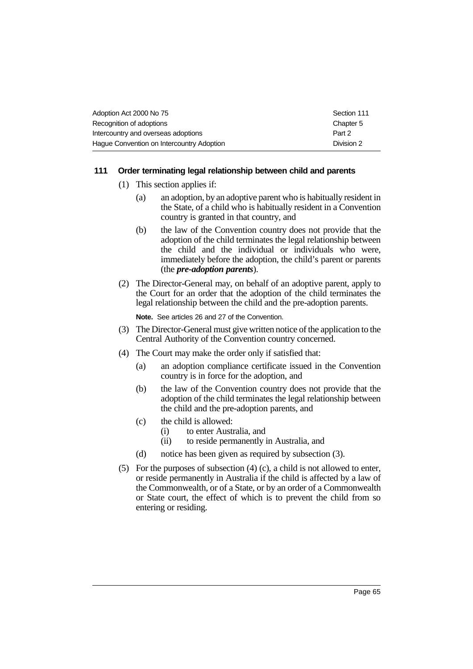| Adoption Act 2000 No 75                   | Section 111 |
|-------------------------------------------|-------------|
| Recognition of adoptions                  | Chapter 5   |
| Intercountry and overseas adoptions       | Part 2      |
| Haque Convention on Intercountry Adoption | Division 2  |

## **111 Order terminating legal relationship between child and parents**

- (1) This section applies if:
	- (a) an adoption, by an adoptive parent who is habitually resident in the State, of a child who is habitually resident in a Convention country is granted in that country, and
	- (b) the law of the Convention country does not provide that the adoption of the child terminates the legal relationship between the child and the individual or individuals who were, immediately before the adoption, the child's parent or parents (the *pre-adoption parents*).
- (2) The Director-General may, on behalf of an adoptive parent, apply to the Court for an order that the adoption of the child terminates the legal relationship between the child and the pre-adoption parents.

**Note.** See articles 26 and 27 of the Convention.

- (3) The Director-General must give written notice of the application to the Central Authority of the Convention country concerned.
- (4) The Court may make the order only if satisfied that:
	- (a) an adoption compliance certificate issued in the Convention country is in force for the adoption, and
	- (b) the law of the Convention country does not provide that the adoption of the child terminates the legal relationship between the child and the pre-adoption parents, and
	- (c) the child is allowed:
		- (i) to enter Australia, and
		- (ii) to reside permanently in Australia, and
	- (d) notice has been given as required by subsection (3).
- (5) For the purposes of subsection (4) (c), a child is not allowed to enter, or reside permanently in Australia if the child is affected by a law of the Commonwealth, or of a State, or by an order of a Commonwealth or State court, the effect of which is to prevent the child from so entering or residing.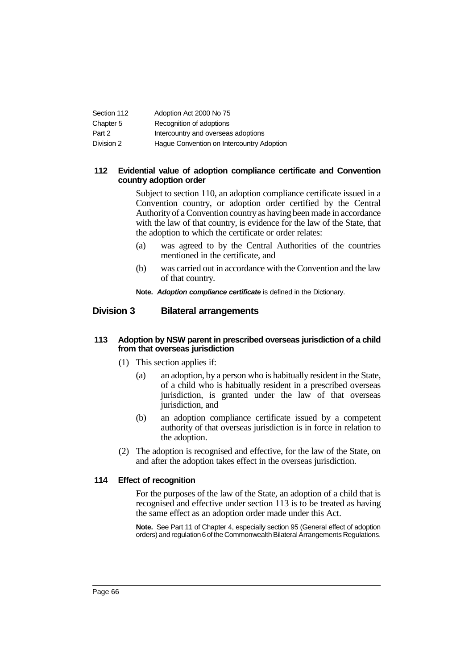| Section 112 | Adoption Act 2000 No 75                   |
|-------------|-------------------------------------------|
| Chapter 5   | Recognition of adoptions                  |
| Part 2      | Intercountry and overseas adoptions       |
| Division 2  | Haque Convention on Intercountry Adoption |

#### **112 Evidential value of adoption compliance certificate and Convention country adoption order**

Subject to section 110, an adoption compliance certificate issued in a Convention country, or adoption order certified by the Central Authority of a Convention country as having been made in accordance with the law of that country, is evidence for the law of the State, that the adoption to which the certificate or order relates:

- (a) was agreed to by the Central Authorities of the countries mentioned in the certificate, and
- (b) was carried out in accordance with the Convention and the law of that country.

**Note. Adoption compliance certificate** is defined in the Dictionary.

## **Division 3 Bilateral arrangements**

## **113 Adoption by NSW parent in prescribed overseas jurisdiction of a child from that overseas jurisdiction**

- (1) This section applies if:
	- (a) an adoption, by a person who is habitually resident in the State, of a child who is habitually resident in a prescribed overseas jurisdiction, is granted under the law of that overseas iurisdiction, and
	- (b) an adoption compliance certificate issued by a competent authority of that overseas jurisdiction is in force in relation to the adoption.
- (2) The adoption is recognised and effective, for the law of the State, on and after the adoption takes effect in the overseas jurisdiction.

## **114 Effect of recognition**

For the purposes of the law of the State, an adoption of a child that is recognised and effective under section 113 is to be treated as having the same effect as an adoption order made under this Act.

**Note.** See Part 11 of Chapter 4, especially section 95 (General effect of adoption orders) and regulation 6 of the Commonwealth Bilateral Arrangements Regulations.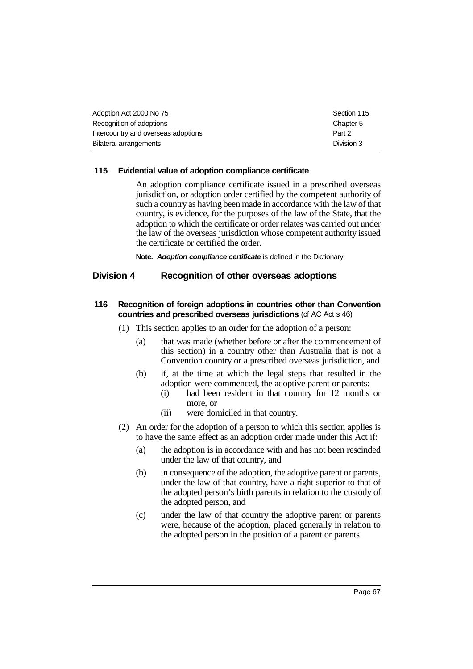| Adoption Act 2000 No 75             | Section 115 |
|-------------------------------------|-------------|
| Recognition of adoptions            | Chapter 5   |
| Intercountry and overseas adoptions | Part 2      |
| Bilateral arrangements              | Division 3  |

## **115 Evidential value of adoption compliance certificate**

An adoption compliance certificate issued in a prescribed overseas jurisdiction, or adoption order certified by the competent authority of such a country as having been made in accordance with the law of that country, is evidence, for the purposes of the law of the State, that the adoption to which the certificate or order relates was carried out under the law of the overseas jurisdiction whose competent authority issued the certificate or certified the order.

**Note. Adoption compliance certificate** is defined in the Dictionary.

## **Division 4 Recognition of other overseas adoptions**

## **116 Recognition of foreign adoptions in countries other than Convention countries and prescribed overseas jurisdictions** (cf AC Act s 46)

- (1) This section applies to an order for the adoption of a person:
	- (a) that was made (whether before or after the commencement of this section) in a country other than Australia that is not a Convention country or a prescribed overseas jurisdiction, and
	- (b) if, at the time at which the legal steps that resulted in the adoption were commenced, the adoptive parent or parents:
		- (i) had been resident in that country for 12 months or more, or
		- (ii) were domiciled in that country.
- (2) An order for the adoption of a person to which this section applies is to have the same effect as an adoption order made under this Act if:
	- (a) the adoption is in accordance with and has not been rescinded under the law of that country, and
	- (b) in consequence of the adoption, the adoptive parent or parents, under the law of that country, have a right superior to that of the adopted person's birth parents in relation to the custody of the adopted person, and
	- (c) under the law of that country the adoptive parent or parents were, because of the adoption, placed generally in relation to the adopted person in the position of a parent or parents.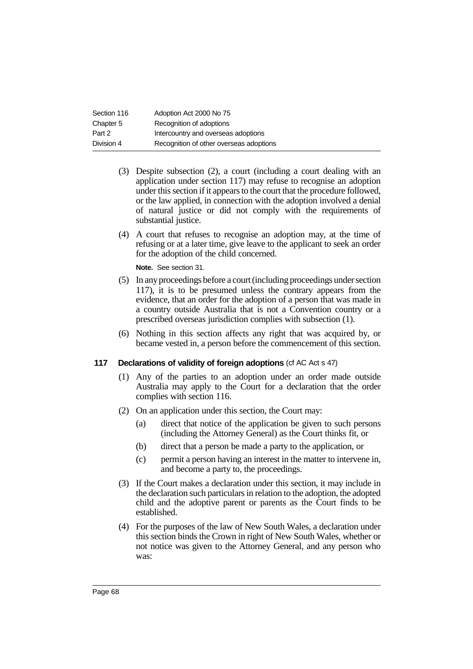| Section 116 | Adoption Act 2000 No 75                 |
|-------------|-----------------------------------------|
| Chapter 5   | Recognition of adoptions                |
| Part 2      | Intercountry and overseas adoptions     |
| Division 4  | Recognition of other overseas adoptions |

- (3) Despite subsection (2), a court (including a court dealing with an application under section 117) may refuse to recognise an adoption under this section if it appears to the court that the procedure followed, or the law applied, in connection with the adoption involved a denial of natural justice or did not comply with the requirements of substantial justice.
- (4) A court that refuses to recognise an adoption may, at the time of refusing or at a later time, give leave to the applicant to seek an order for the adoption of the child concerned.

**Note.** See section 31.

- (5) In any proceedings before a court (including proceedings under section 117), it is to be presumed unless the contrary appears from the evidence, that an order for the adoption of a person that was made in a country outside Australia that is not a Convention country or a prescribed overseas jurisdiction complies with subsection (1).
- (6) Nothing in this section affects any right that was acquired by, or became vested in, a person before the commencement of this section.

## **117 Declarations of validity of foreign adoptions** (cf AC Act s 47)

- (1) Any of the parties to an adoption under an order made outside Australia may apply to the Court for a declaration that the order complies with section 116.
- (2) On an application under this section, the Court may:
	- (a) direct that notice of the application be given to such persons (including the Attorney General) as the Court thinks fit, or
	- (b) direct that a person be made a party to the application, or
	- (c) permit a person having an interest in the matter to intervene in, and become a party to, the proceedings.
- (3) If the Court makes a declaration under this section, it may include in the declaration such particulars in relation to the adoption, the adopted child and the adoptive parent or parents as the Court finds to be established.
- (4) For the purposes of the law of New South Wales, a declaration under this section binds the Crown in right of New South Wales, whether or not notice was given to the Attorney General, and any person who was: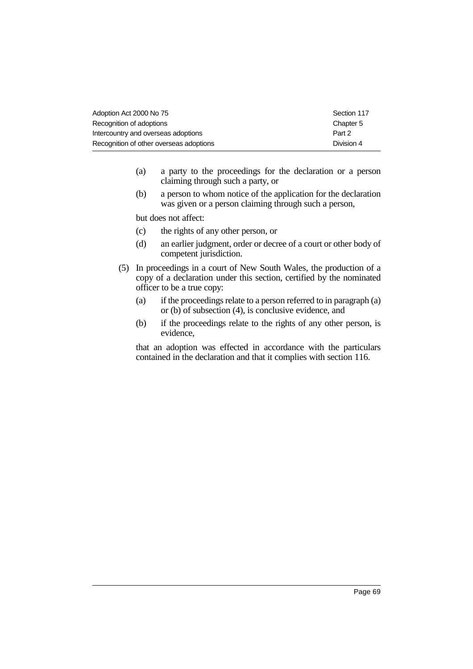| Adoption Act 2000 No 75                 | Section 117 |
|-----------------------------------------|-------------|
| Recognition of adoptions                | Chapter 5   |
| Intercountry and overseas adoptions     | Part 2      |
| Recognition of other overseas adoptions | Division 4  |

- (a) a party to the proceedings for the declaration or a person claiming through such a party, or
- (b) a person to whom notice of the application for the declaration was given or a person claiming through such a person,

but does not affect:

- (c) the rights of any other person, or
- (d) an earlier judgment, order or decree of a court or other body of competent jurisdiction.
- (5) In proceedings in a court of New South Wales, the production of a copy of a declaration under this section, certified by the nominated officer to be a true copy:
	- (a) if the proceedings relate to a person referred to in paragraph (a) or (b) of subsection (4), is conclusive evidence, and
	- (b) if the proceedings relate to the rights of any other person, is evidence,

that an adoption was effected in accordance with the particulars contained in the declaration and that it complies with section 116.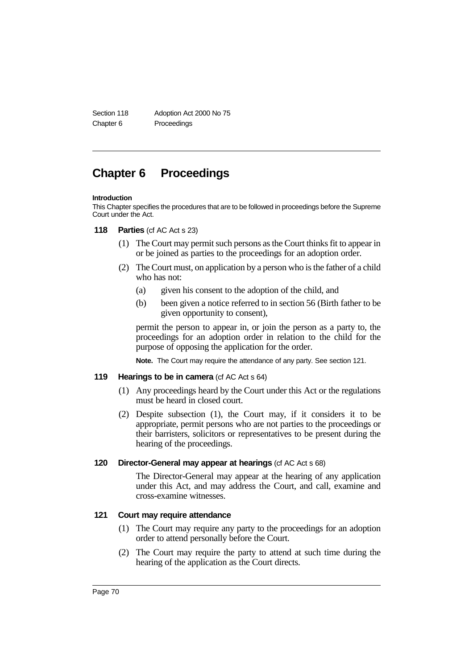| Section 118 | Adoption Act 2000 No 75 |
|-------------|-------------------------|
| Chapter 6   | Proceedings             |

# **Chapter 6 Proceedings**

#### **Introduction**

This Chapter specifies the procedures that are to be followed in proceedings before the Supreme Court under the Act.

- **118 Parties** (cf AC Act s 23)
	- (1) The Court may permit such persons as the Court thinks fit to appear in or be joined as parties to the proceedings for an adoption order.
	- (2) The Court must, on application by a person who is the father of a child who has not:
		- (a) given his consent to the adoption of the child, and
		- (b) been given a notice referred to in section 56 (Birth father to be given opportunity to consent),

permit the person to appear in, or join the person as a party to, the proceedings for an adoption order in relation to the child for the purpose of opposing the application for the order.

**Note.** The Court may require the attendance of any party. See section 121.

#### **119 Hearings to be in camera** (cf AC Act s 64)

- (1) Any proceedings heard by the Court under this Act or the regulations must be heard in closed court.
- (2) Despite subsection (1), the Court may, if it considers it to be appropriate, permit persons who are not parties to the proceedings or their barristers, solicitors or representatives to be present during the hearing of the proceedings.

## **120 Director-General may appear at hearings** (cf AC Act s 68)

The Director-General may appear at the hearing of any application under this Act, and may address the Court, and call, examine and cross-examine witnesses.

## **121 Court may require attendance**

- (1) The Court may require any party to the proceedings for an adoption order to attend personally before the Court.
- (2) The Court may require the party to attend at such time during the hearing of the application as the Court directs.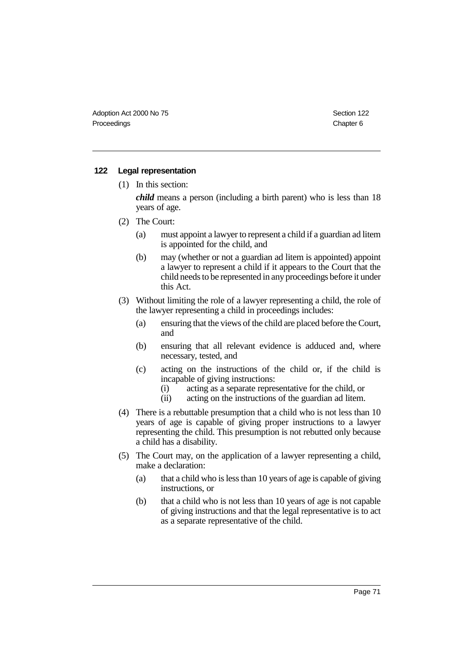## **122 Legal representation**

(1) In this section:

*child* means a person (including a birth parent) who is less than 18 years of age.

- (2) The Court:
	- (a) must appoint a lawyer to represent a child if a guardian ad litem is appointed for the child, and
	- (b) may (whether or not a guardian ad litem is appointed) appoint a lawyer to represent a child if it appears to the Court that the child needs to be represented in any proceedings before it under this Act.
- (3) Without limiting the role of a lawyer representing a child, the role of the lawyer representing a child in proceedings includes:
	- (a) ensuring that the views of the child are placed before the Court, and
	- (b) ensuring that all relevant evidence is adduced and, where necessary, tested, and
	- (c) acting on the instructions of the child or, if the child is incapable of giving instructions:
		- (i) acting as a separate representative for the child, or
		- (ii) acting on the instructions of the guardian ad litem.
- (4) There is a rebuttable presumption that a child who is not less than 10 years of age is capable of giving proper instructions to a lawyer representing the child. This presumption is not rebutted only because a child has a disability.
- (5) The Court may, on the application of a lawyer representing a child, make a declaration:
	- (a) that a child who is less than 10 years of age is capable of giving instructions, or
	- (b) that a child who is not less than 10 years of age is not capable of giving instructions and that the legal representative is to act as a separate representative of the child.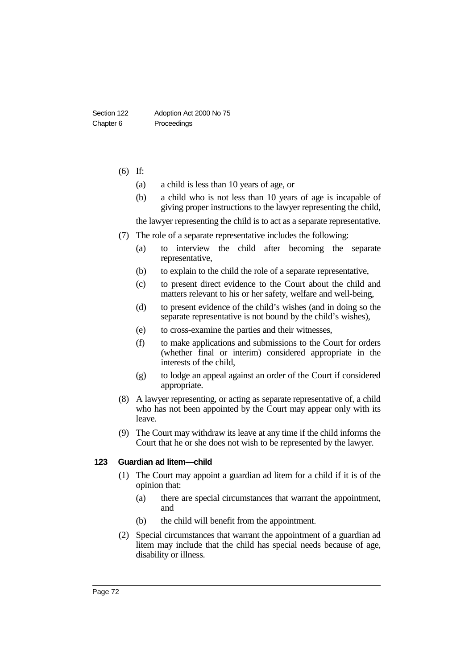Section 122 Adoption Act 2000 No 75 Chapter 6 Proceedings

- (6) If:
	- (a) a child is less than 10 years of age, or
	- (b) a child who is not less than 10 years of age is incapable of giving proper instructions to the lawyer representing the child,

the lawyer representing the child is to act as a separate representative.

- (7) The role of a separate representative includes the following:
	- (a) to interview the child after becoming the separate representative,
	- (b) to explain to the child the role of a separate representative,
	- (c) to present direct evidence to the Court about the child and matters relevant to his or her safety, welfare and well-being,
	- (d) to present evidence of the child's wishes (and in doing so the separate representative is not bound by the child's wishes),
	- (e) to cross-examine the parties and their witnesses,
	- (f) to make applications and submissions to the Court for orders (whether final or interim) considered appropriate in the interests of the child,
	- (g) to lodge an appeal against an order of the Court if considered appropriate.
- (8) A lawyer representing, or acting as separate representative of, a child who has not been appointed by the Court may appear only with its leave.
- (9) The Court may withdraw its leave at any time if the child informs the Court that he or she does not wish to be represented by the lawyer.

## **123 Guardian ad litem—child**

- (1) The Court may appoint a guardian ad litem for a child if it is of the opinion that:
	- (a) there are special circumstances that warrant the appointment, and
	- (b) the child will benefit from the appointment.
- (2) Special circumstances that warrant the appointment of a guardian ad litem may include that the child has special needs because of age, disability or illness.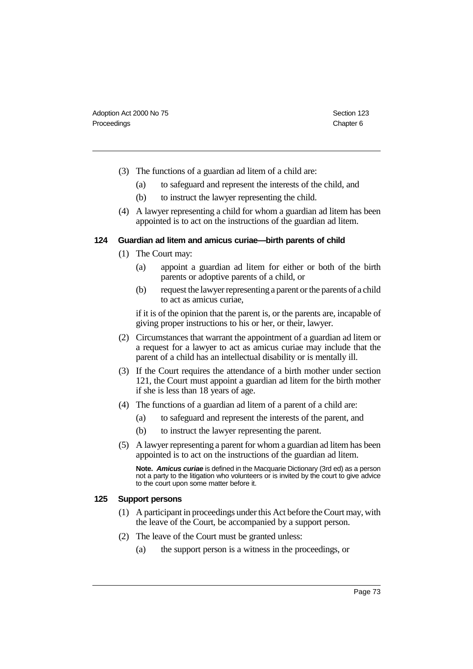- (3) The functions of a guardian ad litem of a child are:
	- (a) to safeguard and represent the interests of the child, and
	- (b) to instruct the lawyer representing the child.
- (4) A lawyer representing a child for whom a guardian ad litem has been appointed is to act on the instructions of the guardian ad litem.

#### **124 Guardian ad litem and amicus curiae—birth parents of child**

- (1) The Court may:
	- (a) appoint a guardian ad litem for either or both of the birth parents or adoptive parents of a child, or
	- (b) request the lawyer representing a parent or the parents of a child to act as amicus curiae,

if it is of the opinion that the parent is, or the parents are, incapable of giving proper instructions to his or her, or their, lawyer.

- (2) Circumstances that warrant the appointment of a guardian ad litem or a request for a lawyer to act as amicus curiae may include that the parent of a child has an intellectual disability or is mentally ill.
- (3) If the Court requires the attendance of a birth mother under section 121, the Court must appoint a guardian ad litem for the birth mother if she is less than 18 years of age.
- (4) The functions of a guardian ad litem of a parent of a child are:
	- (a) to safeguard and represent the interests of the parent, and
	- (b) to instruct the lawyer representing the parent.
- (5) A lawyer representing a parent for whom a guardian ad litem has been appointed is to act on the instructions of the guardian ad litem.

**Note. Amicus curiae** is defined in the Macquarie Dictionary (3rd ed) as a person not a party to the litigation who volunteers or is invited by the court to give advice to the court upon some matter before it.

## **125 Support persons**

- (1) A participant in proceedings under this Act before the Court may, with the leave of the Court, be accompanied by a support person.
- (2) The leave of the Court must be granted unless:
	- (a) the support person is a witness in the proceedings, or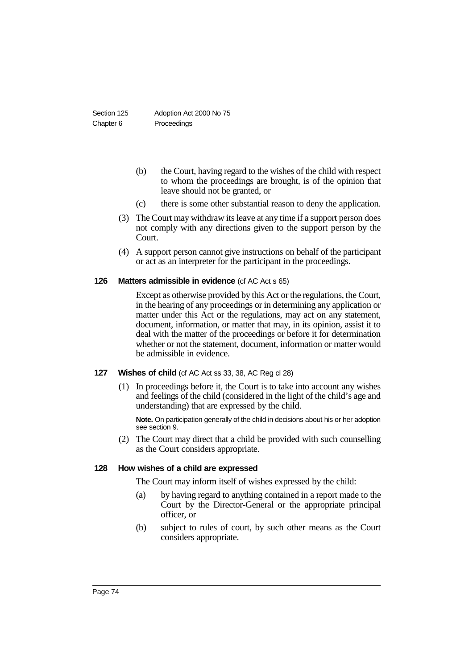Section 125 Adoption Act 2000 No 75 Chapter 6 Proceedings

- (b) the Court, having regard to the wishes of the child with respect to whom the proceedings are brought, is of the opinion that leave should not be granted, or
- (c) there is some other substantial reason to deny the application.
- (3) The Court may withdraw its leave at any time if a support person does not comply with any directions given to the support person by the Court.
- (4) A support person cannot give instructions on behalf of the participant or act as an interpreter for the participant in the proceedings.

## **126 Matters admissible in evidence** (cf AC Act s 65)

Except as otherwise provided by this Act or the regulations, the Court, in the hearing of any proceedings or in determining any application or matter under this Act or the regulations, may act on any statement, document, information, or matter that may, in its opinion, assist it to deal with the matter of the proceedings or before it for determination whether or not the statement, document, information or matter would be admissible in evidence.

## **127 Wishes of child** (cf AC Act ss 33, 38, AC Reg cl 28)

(1) In proceedings before it, the Court is to take into account any wishes and feelings of the child (considered in the light of the child's age and understanding) that are expressed by the child.

**Note.** On participation generally of the child in decisions about his or her adoption see section 9.

(2) The Court may direct that a child be provided with such counselling as the Court considers appropriate.

#### **128 How wishes of a child are expressed**

The Court may inform itself of wishes expressed by the child:

- (a) by having regard to anything contained in a report made to the Court by the Director-General or the appropriate principal officer, or
- (b) subject to rules of court, by such other means as the Court considers appropriate.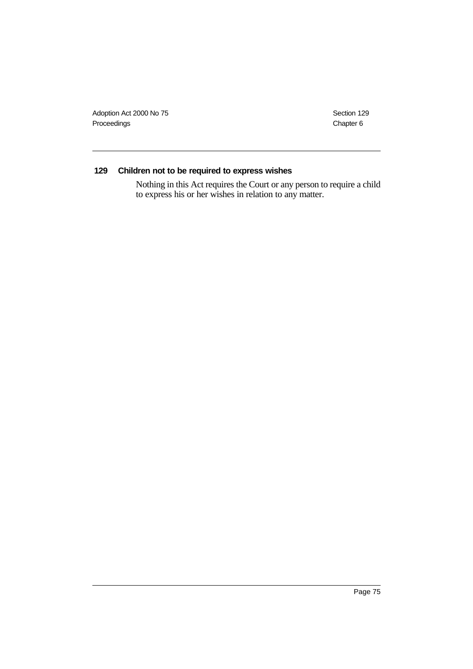Adoption Act 2000 No 75 Section 129 Proceedings **Chapter 6** 

## **129 Children not to be required to express wishes**

Nothing in this Act requires the Court or any person to require a child to express his or her wishes in relation to any matter.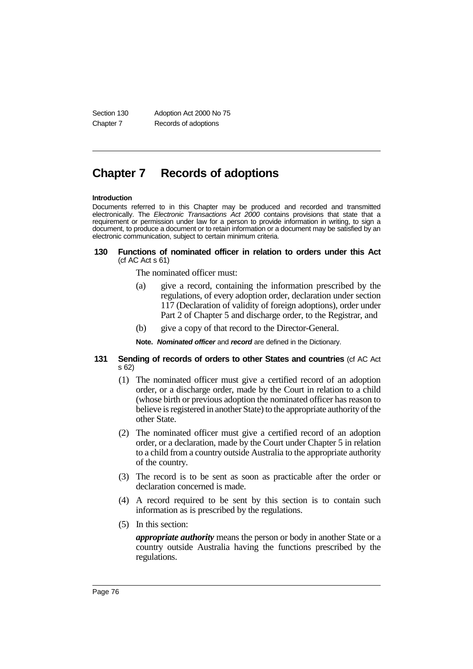| Section 130 | Adoption Act 2000 No 75 |
|-------------|-------------------------|
| Chapter 7   | Records of adoptions    |

# **Chapter 7 Records of adoptions**

#### **Introduction**

Documents referred to in this Chapter may be produced and recorded and transmitted electronically. The Electronic Transactions Act 2000 contains provisions that state that a requirement or permission under law for a person to provide information in writing, to sign a document, to produce a document or to retain information or a document may be satisfied by an electronic communication, subject to certain minimum criteria.

#### **130 Functions of nominated officer in relation to orders under this Act** (cf AC Act s 61)

The nominated officer must:

- (a) give a record, containing the information prescribed by the regulations, of every adoption order, declaration under section 117 (Declaration of validity of foreign adoptions), order under Part 2 of Chapter 5 and discharge order, to the Registrar, and
- (b) give a copy of that record to the Director-General.

**Note. Nominated officer** and **record** are defined in the Dictionary.

#### **131 Sending of records of orders to other States and countries (cf AC Act** s 62)

- (1) The nominated officer must give a certified record of an adoption order, or a discharge order, made by the Court in relation to a child (whose birth or previous adoption the nominated officer has reason to believe is registered in another State) to the appropriate authority of the other State.
- (2) The nominated officer must give a certified record of an adoption order, or a declaration, made by the Court under Chapter 5 in relation to a child from a country outside Australia to the appropriate authority of the country.
- (3) The record is to be sent as soon as practicable after the order or declaration concerned is made.
- (4) A record required to be sent by this section is to contain such information as is prescribed by the regulations.
- (5) In this section:

*appropriate authority* means the person or body in another State or a country outside Australia having the functions prescribed by the regulations.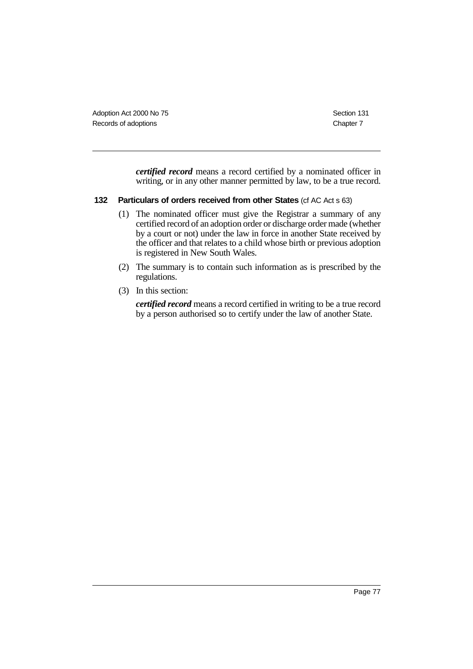*certified record* means a record certified by a nominated officer in writing, or in any other manner permitted by law, to be a true record.

## **132 Particulars of orders received from other States** (cf AC Act s 63)

- (1) The nominated officer must give the Registrar a summary of any certified record of an adoption order or discharge order made (whether by a court or not) under the law in force in another State received by the officer and that relates to a child whose birth or previous adoption is registered in New South Wales.
- (2) The summary is to contain such information as is prescribed by the regulations.
- (3) In this section:

*certified record* means a record certified in writing to be a true record by a person authorised so to certify under the law of another State.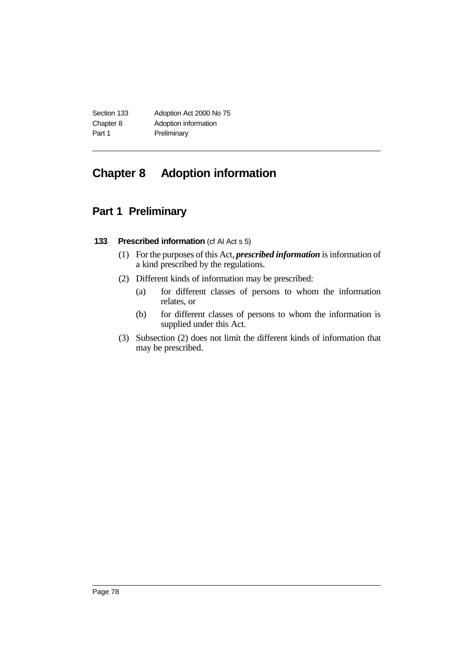| Section 133 | Adoption Act 2000 No 75 |
|-------------|-------------------------|
| Chapter 8   | Adoption information    |
| Part 1      | Preliminary             |

# **Chapter 8 Adoption information**

# **Part 1 Preliminary**

## **133 Prescribed information** (cf AI Act s 5)

- (1) For the purposes of this Act, *prescribed information* is information of a kind prescribed by the regulations.
- (2) Different kinds of information may be prescribed:
	- (a) for different classes of persons to whom the information relates, or
	- (b) for different classes of persons to whom the information is supplied under this Act.
- (3) Subsection (2) does not limit the different kinds of information that may be prescribed.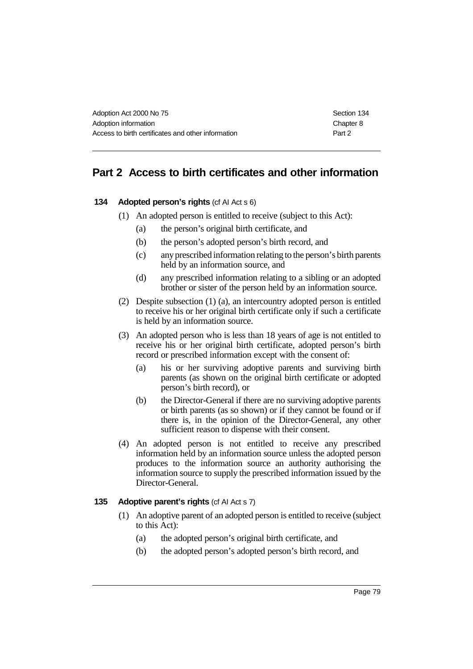| Adoption Act 2000 No 75                            | Sectio |
|----------------------------------------------------|--------|
| Adoption information                               | Chapt  |
| Access to birth certificates and other information | Part 2 |

Section 134 Chapter 8

# **Part 2 Access to birth certificates and other information**

## **134 Adopted person's rights** (cf AI Act s 6)

- (1) An adopted person is entitled to receive (subject to this Act):
	- (a) the person's original birth certificate, and
	- (b) the person's adopted person's birth record, and
	- (c) any prescribed information relating to the person's birth parents held by an information source, and
	- (d) any prescribed information relating to a sibling or an adopted brother or sister of the person held by an information source.
- (2) Despite subsection (1) (a), an intercountry adopted person is entitled to receive his or her original birth certificate only if such a certificate is held by an information source.
- (3) An adopted person who is less than 18 years of age is not entitled to receive his or her original birth certificate, adopted person's birth record or prescribed information except with the consent of:
	- (a) his or her surviving adoptive parents and surviving birth parents (as shown on the original birth certificate or adopted person's birth record), or
	- (b) the Director-General if there are no surviving adoptive parents or birth parents (as so shown) or if they cannot be found or if there is, in the opinion of the Director-General, any other sufficient reason to dispense with their consent.
- (4) An adopted person is not entitled to receive any prescribed information held by an information source unless the adopted person produces to the information source an authority authorising the information source to supply the prescribed information issued by the Director-General.

## **135 Adoptive parent's rights** (cf AI Act s 7)

- (1) An adoptive parent of an adopted person is entitled to receive (subject to this Act):
	- (a) the adopted person's original birth certificate, and
	- (b) the adopted person's adopted person's birth record, and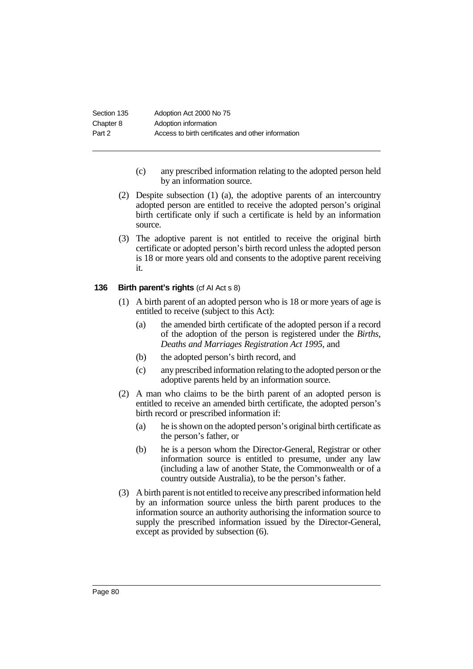| Section 135 | Adoption Act 2000 No 75                            |
|-------------|----------------------------------------------------|
| Chapter 8   | Adoption information                               |
| Part 2      | Access to birth certificates and other information |

- (c) any prescribed information relating to the adopted person held by an information source.
- (2) Despite subsection (1) (a), the adoptive parents of an intercountry adopted person are entitled to receive the adopted person's original birth certificate only if such a certificate is held by an information source.
- (3) The adoptive parent is not entitled to receive the original birth certificate or adopted person's birth record unless the adopted person is 18 or more years old and consents to the adoptive parent receiving it.

## **136 Birth parent's rights** (cf AI Act s 8)

- (1) A birth parent of an adopted person who is 18 or more years of age is entitled to receive (subject to this Act):
	- (a) the amended birth certificate of the adopted person if a record of the adoption of the person is registered under the *Births, Deaths and Marriages Registration Act 1995*, and
	- (b) the adopted person's birth record, and
	- (c) any prescribed information relating to the adopted person or the adoptive parents held by an information source.
- (2) A man who claims to be the birth parent of an adopted person is entitled to receive an amended birth certificate, the adopted person's birth record or prescribed information if:
	- (a) he is shown on the adopted person's original birth certificate as the person's father, or
	- (b) he is a person whom the Director-General, Registrar or other information source is entitled to presume, under any law (including a law of another State, the Commonwealth or of a country outside Australia), to be the person's father.
- (3) A birth parent is not entitled to receive any prescribed information held by an information source unless the birth parent produces to the information source an authority authorising the information source to supply the prescribed information issued by the Director-General, except as provided by subsection (6).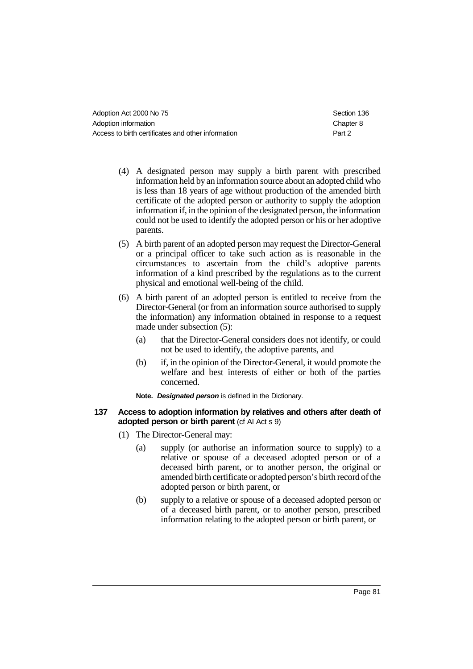| Adoption Act 2000 No 75                            | Section 136 |
|----------------------------------------------------|-------------|
| Adoption information                               | Chapter 8   |
| Access to birth certificates and other information | Part 2      |

- (4) A designated person may supply a birth parent with prescribed information held by an information source about an adopted child who is less than 18 years of age without production of the amended birth certificate of the adopted person or authority to supply the adoption information if, in the opinion of the designated person, the information could not be used to identify the adopted person or his or her adoptive parents.
- (5) A birth parent of an adopted person may request the Director-General or a principal officer to take such action as is reasonable in the circumstances to ascertain from the child's adoptive parents information of a kind prescribed by the regulations as to the current physical and emotional well-being of the child.
- (6) A birth parent of an adopted person is entitled to receive from the Director-General (or from an information source authorised to supply the information) any information obtained in response to a request made under subsection (5):
	- (a) that the Director-General considers does not identify, or could not be used to identify, the adoptive parents, and
	- (b) if, in the opinion of the Director-General, it would promote the welfare and best interests of either or both of the parties concerned.

**Note. Designated person** is defined in the Dictionary.

## **137 Access to adoption information by relatives and others after death of adopted person or birth parent** (cf AI Act s 9)

- (1) The Director-General may:
	- (a) supply (or authorise an information source to supply) to a relative or spouse of a deceased adopted person or of a deceased birth parent, or to another person, the original or amended birth certificate or adopted person's birth record of the adopted person or birth parent, or
	- (b) supply to a relative or spouse of a deceased adopted person or of a deceased birth parent, or to another person, prescribed information relating to the adopted person or birth parent, or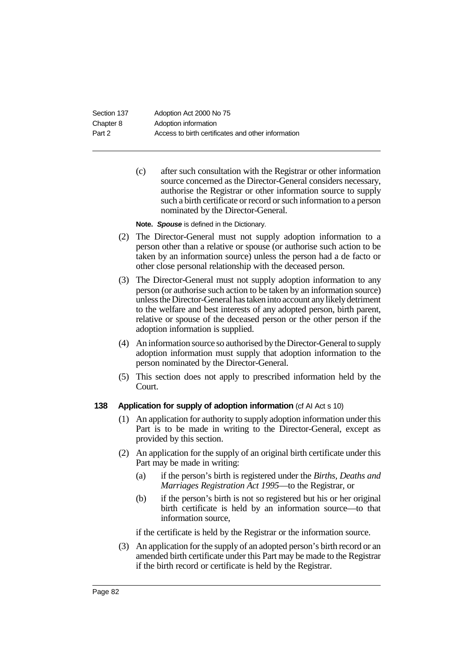| Section 137 | Adoption Act 2000 No 75                            |
|-------------|----------------------------------------------------|
| Chapter 8   | Adoption information                               |
| Part 2      | Access to birth certificates and other information |

(c) after such consultation with the Registrar or other information source concerned as the Director-General considers necessary, authorise the Registrar or other information source to supply such a birth certificate or record or such information to a person nominated by the Director-General.

**Note. Spouse** is defined in the Dictionary.

- (2) The Director-General must not supply adoption information to a person other than a relative or spouse (or authorise such action to be taken by an information source) unless the person had a de facto or other close personal relationship with the deceased person.
- (3) The Director-General must not supply adoption information to any person (or authorise such action to be taken by an information source) unless the Director-General has taken into account any likely detriment to the welfare and best interests of any adopted person, birth parent, relative or spouse of the deceased person or the other person if the adoption information is supplied.
- (4) An information source so authorised by the Director-General to supply adoption information must supply that adoption information to the person nominated by the Director-General.
- (5) This section does not apply to prescribed information held by the Court.

## **138 Application for supply of adoption information** (cf AI Act s 10)

- (1) An application for authority to supply adoption information under this Part is to be made in writing to the Director-General, except as provided by this section.
- (2) An application for the supply of an original birth certificate under this Part may be made in writing:
	- (a) if the person's birth is registered under the *Births, Deaths and Marriages Registration Act 1995*—to the Registrar, or
	- (b) if the person's birth is not so registered but his or her original birth certificate is held by an information source—to that information source,

if the certificate is held by the Registrar or the information source.

(3) An application for the supply of an adopted person's birth record or an amended birth certificate under this Part may be made to the Registrar if the birth record or certificate is held by the Registrar.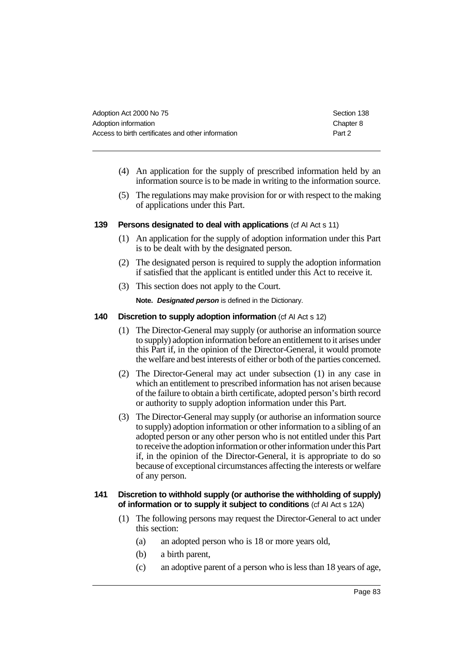| Adoption Act 2000 No 75                            | Section 138 |
|----------------------------------------------------|-------------|
| Adoption information                               | Chapter 8   |
| Access to birth certificates and other information | Part 2      |

- (4) An application for the supply of prescribed information held by an information source is to be made in writing to the information source.
- (5) The regulations may make provision for or with respect to the making of applications under this Part.

#### **139 Persons designated to deal with applications** (cf AI Act s 11)

- (1) An application for the supply of adoption information under this Part is to be dealt with by the designated person.
- (2) The designated person is required to supply the adoption information if satisfied that the applicant is entitled under this Act to receive it.
- (3) This section does not apply to the Court.

**Note. Designated person** is defined in the Dictionary.

#### **140 Discretion to supply adoption information** (cf AI Act s 12)

- (1) The Director-General may supply (or authorise an information source to supply) adoption information before an entitlement to it arises under this Part if, in the opinion of the Director-General, it would promote the welfare and best interests of either or both of the parties concerned.
- (2) The Director-General may act under subsection (1) in any case in which an entitlement to prescribed information has not arisen because of the failure to obtain a birth certificate, adopted person's birth record or authority to supply adoption information under this Part.
- (3) The Director-General may supply (or authorise an information source to supply) adoption information or other information to a sibling of an adopted person or any other person who is not entitled under this Part to receive the adoption information or other information under this Part if, in the opinion of the Director-General, it is appropriate to do so because of exceptional circumstances affecting the interests or welfare of any person.

#### **141 Discretion to withhold supply (or authorise the withholding of supply) of information or to supply it subject to conditions** (cf AI Act s 12A)

- (1) The following persons may request the Director-General to act under this section:
	- (a) an adopted person who is 18 or more years old,
	- (b) a birth parent,
	- (c) an adoptive parent of a person who is less than 18 years of age,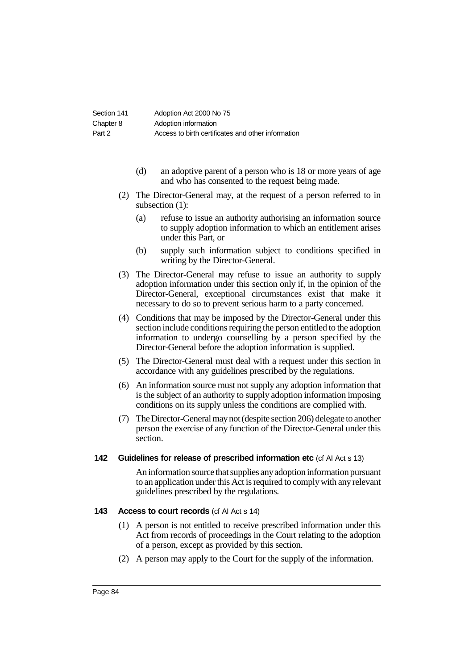| Section 141 | Adoption Act 2000 No 75                            |
|-------------|----------------------------------------------------|
| Chapter 8   | Adoption information                               |
| Part 2      | Access to birth certificates and other information |

- (d) an adoptive parent of a person who is 18 or more years of age and who has consented to the request being made.
- (2) The Director-General may, at the request of a person referred to in subsection (1):
	- (a) refuse to issue an authority authorising an information source to supply adoption information to which an entitlement arises under this Part, or
	- (b) supply such information subject to conditions specified in writing by the Director-General.
- (3) The Director-General may refuse to issue an authority to supply adoption information under this section only if, in the opinion of the Director-General, exceptional circumstances exist that make it necessary to do so to prevent serious harm to a party concerned.
- (4) Conditions that may be imposed by the Director-General under this section include conditions requiring the person entitled to the adoption information to undergo counselling by a person specified by the Director-General before the adoption information is supplied.
- (5) The Director-General must deal with a request under this section in accordance with any guidelines prescribed by the regulations.
- (6) An information source must not supply any adoption information that is the subject of an authority to supply adoption information imposing conditions on its supply unless the conditions are complied with.
- (7) The Director-General may not (despite section 206) delegate to another person the exercise of any function of the Director-General under this section.

## **142 Guidelines for release of prescribed information etc** (cf AI Act s 13)

An information source that supplies any adoption information pursuant to an application under this Act is required to comply with any relevant guidelines prescribed by the regulations.

## **143 Access to court records** (cf AI Act s 14)

- (1) A person is not entitled to receive prescribed information under this Act from records of proceedings in the Court relating to the adoption of a person, except as provided by this section.
- (2) A person may apply to the Court for the supply of the information.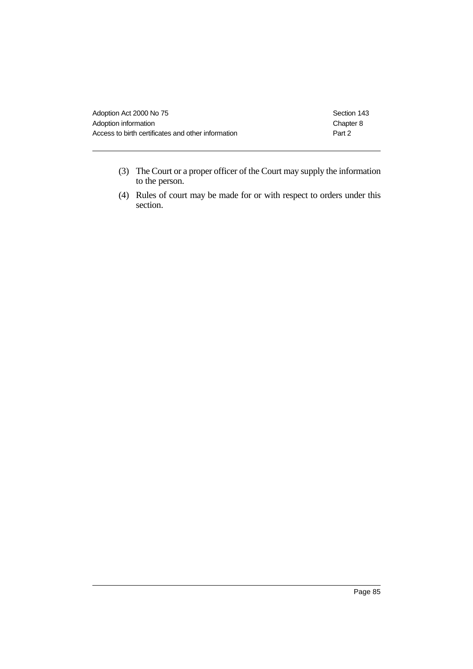| Adoption Act 2000 No 75                            | Section 143 |
|----------------------------------------------------|-------------|
| Adoption information                               | Chapter 8   |
| Access to birth certificates and other information | Part 2      |

- (3) The Court or a proper officer of the Court may supply the information to the person.
- (4) Rules of court may be made for or with respect to orders under this section.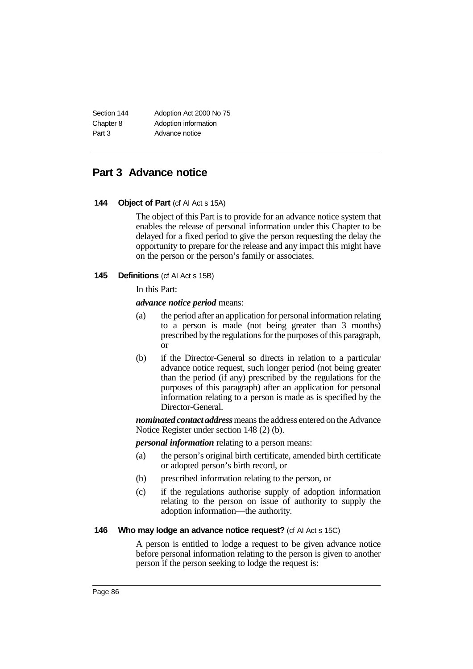Section 144 Adoption Act 2000 No 75 Chapter 8 Adoption information Part 3 Advance notice

## **Part 3 Advance notice**

## **144 Object of Part** (cf AI Act s 15A)

The object of this Part is to provide for an advance notice system that enables the release of personal information under this Chapter to be delayed for a fixed period to give the person requesting the delay the opportunity to prepare for the release and any impact this might have on the person or the person's family or associates.

#### **145 Definitions** (cf AI Act s 15B)

In this Part:

#### *advance notice period* means:

- (a) the period after an application for personal information relating to a person is made (not being greater than 3 months) prescribed by the regulations for the purposes of this paragraph, or
- (b) if the Director-General so directs in relation to a particular advance notice request, such longer period (not being greater than the period (if any) prescribed by the regulations for the purposes of this paragraph) after an application for personal information relating to a person is made as is specified by the Director-General.

*nominated contact address* means the address entered on the Advance Notice Register under section 148 (2) (b).

*personal information* relating to a person means:

- (a) the person's original birth certificate, amended birth certificate or adopted person's birth record, or
- (b) prescribed information relating to the person, or
- (c) if the regulations authorise supply of adoption information relating to the person on issue of authority to supply the adoption information—the authority.

#### **146 Who may lodge an advance notice request?** (cf AI Act s 15C)

A person is entitled to lodge a request to be given advance notice before personal information relating to the person is given to another person if the person seeking to lodge the request is: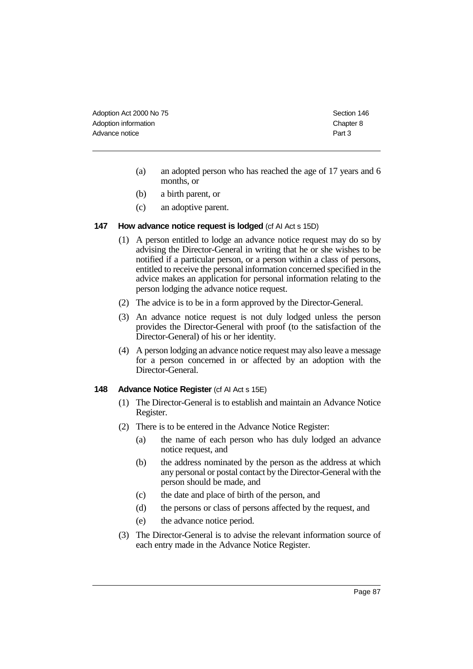| Adoption Act 2000 No 75 | Sectic |
|-------------------------|--------|
| Adoption information    | Chapt  |
| Advance notice          | Part 3 |

Section 146 Chapter 8

- (a) an adopted person who has reached the age of 17 years and 6 months, or
- (b) a birth parent, or
- (c) an adoptive parent.

#### **147 How advance notice request is lodged** (cf AI Act s 15D)

- (1) A person entitled to lodge an advance notice request may do so by advising the Director-General in writing that he or she wishes to be notified if a particular person, or a person within a class of persons, entitled to receive the personal information concerned specified in the advice makes an application for personal information relating to the person lodging the advance notice request.
- (2) The advice is to be in a form approved by the Director-General.
- (3) An advance notice request is not duly lodged unless the person provides the Director-General with proof (to the satisfaction of the Director-General) of his or her identity.
- (4) A person lodging an advance notice request may also leave a message for a person concerned in or affected by an adoption with the Director-General.

#### **148 Advance Notice Register** (cf AI Act s 15E)

- (1) The Director-General is to establish and maintain an Advance Notice Register.
- (2) There is to be entered in the Advance Notice Register:
	- (a) the name of each person who has duly lodged an advance notice request, and
	- (b) the address nominated by the person as the address at which any personal or postal contact by the Director-General with the person should be made, and
	- (c) the date and place of birth of the person, and
	- (d) the persons or class of persons affected by the request, and
	- (e) the advance notice period.
- (3) The Director-General is to advise the relevant information source of each entry made in the Advance Notice Register.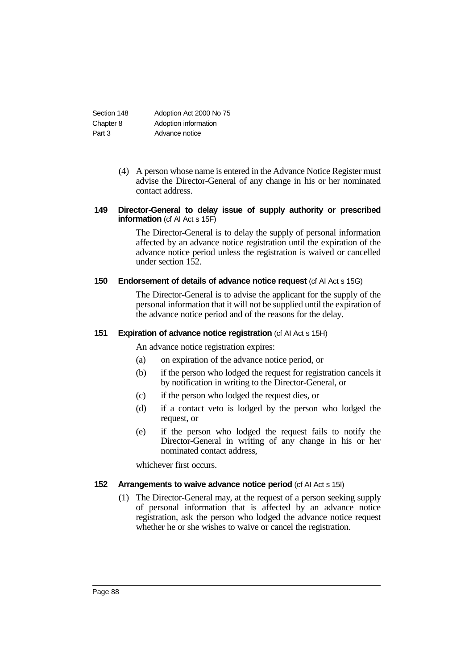| Section 148 | Adoption Act 2000 No 75 |
|-------------|-------------------------|
| Chapter 8   | Adoption information    |
| Part 3      | Advance notice          |

(4) A person whose name is entered in the Advance Notice Register must advise the Director-General of any change in his or her nominated contact address.

## **149 Director-General to delay issue of supply authority or prescribed information** (cf AI Act s 15F)

The Director-General is to delay the supply of personal information affected by an advance notice registration until the expiration of the advance notice period unless the registration is waived or cancelled under section 152.

## **150 Endorsement of details of advance notice request** (cf AI Act s 15G)

The Director-General is to advise the applicant for the supply of the personal information that it will not be supplied until the expiration of the advance notice period and of the reasons for the delay.

## **151 Expiration of advance notice registration** (cf AI Act s 15H)

An advance notice registration expires:

- (a) on expiration of the advance notice period, or
- (b) if the person who lodged the request for registration cancels it by notification in writing to the Director-General, or
- (c) if the person who lodged the request dies, or
- (d) if a contact veto is lodged by the person who lodged the request, or
- (e) if the person who lodged the request fails to notify the Director-General in writing of any change in his or her nominated contact address,

whichever first occurs.

## **152 Arrangements to waive advance notice period** (cf AI Act s 15I)

(1) The Director-General may, at the request of a person seeking supply of personal information that is affected by an advance notice registration, ask the person who lodged the advance notice request whether he or she wishes to waive or cancel the registration.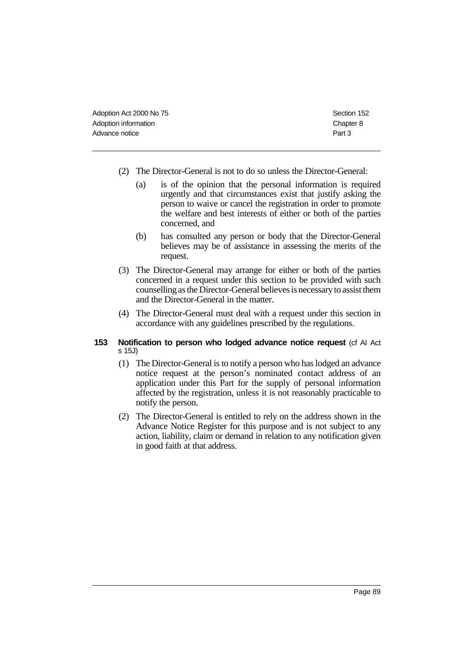| Adoption Act 2000 No 75 | Section 152 |
|-------------------------|-------------|
| Adoption information    | Chapter 8   |
| Advance notice          | Part 3      |

- (2) The Director-General is not to do so unless the Director-General:
	- (a) is of the opinion that the personal information is required urgently and that circumstances exist that justify asking the person to waive or cancel the registration in order to promote the welfare and best interests of either or both of the parties concerned, and
	- (b) has consulted any person or body that the Director-General believes may be of assistance in assessing the merits of the request.
- (3) The Director-General may arrange for either or both of the parties concerned in a request under this section to be provided with such counselling as the Director-General believes is necessary to assist them and the Director-General in the matter.
- (4) The Director-General must deal with a request under this section in accordance with any guidelines prescribed by the regulations.

## **153 Notification to person who lodged advance notice request** (cf AI Act s 15J)

- (1) The Director-General is to notify a person who has lodged an advance notice request at the person's nominated contact address of an application under this Part for the supply of personal information affected by the registration, unless it is not reasonably practicable to notify the person.
- (2) The Director-General is entitled to rely on the address shown in the Advance Notice Register for this purpose and is not subject to any action, liability, claim or demand in relation to any notification given in good faith at that address.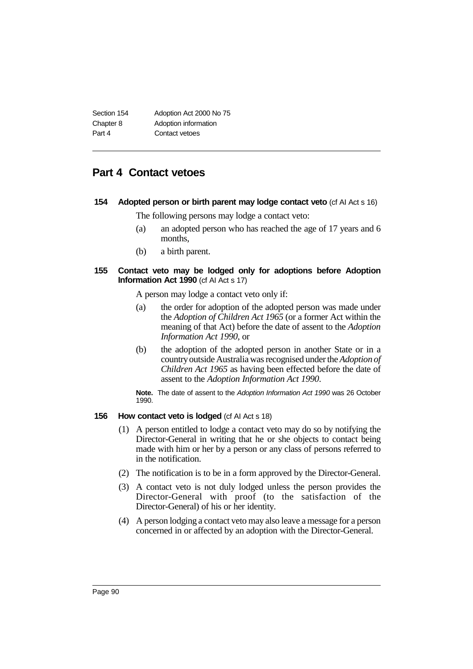| Section 154 | Adoption Act 2000 No 75 |
|-------------|-------------------------|
| Chapter 8   | Adoption information    |
| Part 4      | Contact vetoes          |

# **Part 4 Contact vetoes**

**154 Adopted person or birth parent may lodge contact veto** (cf AI Act s 16)

The following persons may lodge a contact veto:

- (a) an adopted person who has reached the age of 17 years and 6 months,
- (b) a birth parent.

#### **155 Contact veto may be lodged only for adoptions before Adoption Information Act 1990** (cf AI Act s 17)

A person may lodge a contact veto only if:

- (a) the order for adoption of the adopted person was made under the *Adoption of Children Act 1965* (or a former Act within the meaning of that Act) before the date of assent to the *Adoption Information Act 1990*, or
- (b) the adoption of the adopted person in another State or in a country outside Australia was recognised under the *Adoption of Children Act 1965* as having been effected before the date of assent to the *Adoption Information Act 1990*.

**Note.** The date of assent to the Adoption Information Act 1990 was 26 October 1990.

## **156 How contact veto is lodged** (cf AI Act s 18)

- (1) A person entitled to lodge a contact veto may do so by notifying the Director-General in writing that he or she objects to contact being made with him or her by a person or any class of persons referred to in the notification.
- (2) The notification is to be in a form approved by the Director-General.
- (3) A contact veto is not duly lodged unless the person provides the Director-General with proof (to the satisfaction of the Director-General) of his or her identity.
- (4) A person lodging a contact veto may also leave a message for a person concerned in or affected by an adoption with the Director-General.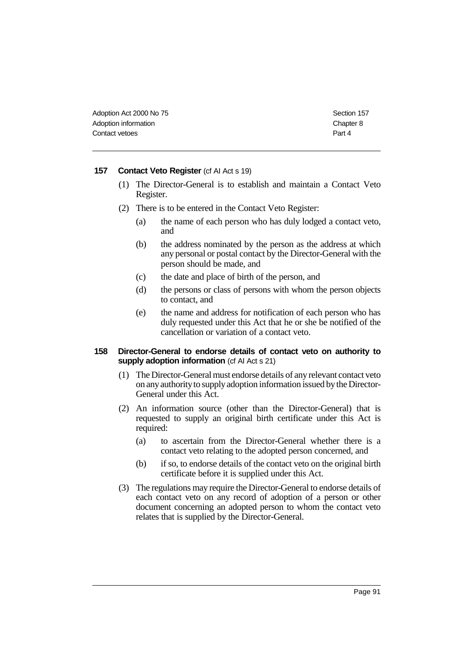| Adoption Act 2000 No 75 | Section 157 |
|-------------------------|-------------|
| Adoption information    | Chapter 8   |
| Contact vetoes          | Part 4      |

## **157 Contact Veto Register** (cf AI Act s 19)

- (1) The Director-General is to establish and maintain a Contact Veto Register.
- (2) There is to be entered in the Contact Veto Register:
	- (a) the name of each person who has duly lodged a contact veto, and
	- (b) the address nominated by the person as the address at which any personal or postal contact by the Director-General with the person should be made, and
	- (c) the date and place of birth of the person, and
	- (d) the persons or class of persons with whom the person objects to contact, and
	- (e) the name and address for notification of each person who has duly requested under this Act that he or she be notified of the cancellation or variation of a contact veto.

#### **158 Director-General to endorse details of contact veto on authority to supply adoption information** (cf AI Act s 21)

- (1) The Director-General must endorse details of any relevant contact veto on any authority to supply adoption information issued by the Director-General under this Act.
- (2) An information source (other than the Director-General) that is requested to supply an original birth certificate under this Act is required:
	- (a) to ascertain from the Director-General whether there is a contact veto relating to the adopted person concerned, and
	- (b) if so, to endorse details of the contact veto on the original birth certificate before it is supplied under this Act.
- (3) The regulations may require the Director-General to endorse details of each contact veto on any record of adoption of a person or other document concerning an adopted person to whom the contact veto relates that is supplied by the Director-General.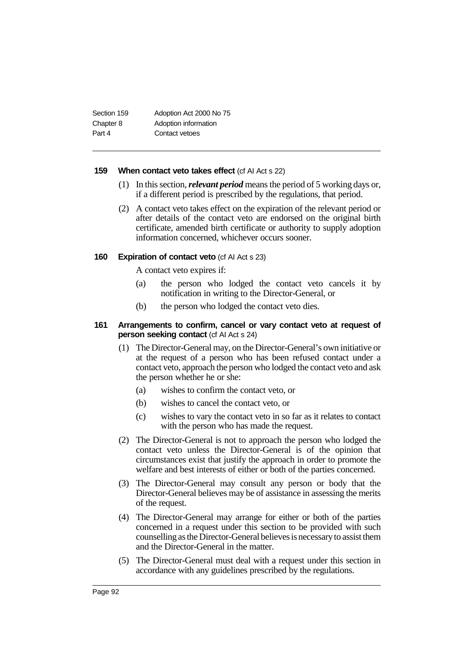| Section 159 | Adoption Act 2000 No 75 |
|-------------|-------------------------|
| Chapter 8   | Adoption information    |
| Part 4      | Contact vetoes          |

#### **159 When contact veto takes effect** (cf AI Act s 22)

- (1) In this section, *relevant period* means the period of 5 working days or, if a different period is prescribed by the regulations, that period.
- (2) A contact veto takes effect on the expiration of the relevant period or after details of the contact veto are endorsed on the original birth certificate, amended birth certificate or authority to supply adoption information concerned, whichever occurs sooner.

#### **160 Expiration of contact veto** (cf AI Act s 23)

A contact veto expires if:

- (a) the person who lodged the contact veto cancels it by notification in writing to the Director-General, or
- (b) the person who lodged the contact veto dies.

#### **161 Arrangements to confirm, cancel or vary contact veto at request of person seeking contact** (cf AI Act s 24)

- (1) The Director-General may, on the Director-General's own initiative or at the request of a person who has been refused contact under a contact veto, approach the person who lodged the contact veto and ask the person whether he or she:
	- (a) wishes to confirm the contact veto, or
	- (b) wishes to cancel the contact veto, or
	- (c) wishes to vary the contact veto in so far as it relates to contact with the person who has made the request.
- (2) The Director-General is not to approach the person who lodged the contact veto unless the Director-General is of the opinion that circumstances exist that justify the approach in order to promote the welfare and best interests of either or both of the parties concerned.
- (3) The Director-General may consult any person or body that the Director-General believes may be of assistance in assessing the merits of the request.
- (4) The Director-General may arrange for either or both of the parties concerned in a request under this section to be provided with such counselling as the Director-General believes is necessary to assist them and the Director-General in the matter.
- (5) The Director-General must deal with a request under this section in accordance with any guidelines prescribed by the regulations.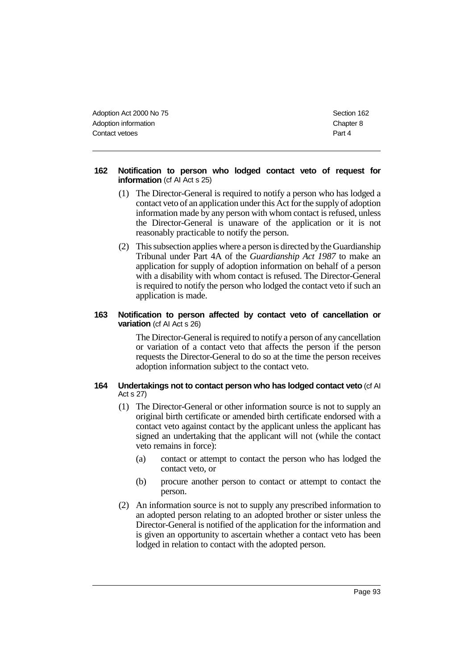| Section 162 |
|-------------|
| Chapter 8   |
| Part 4      |
|             |

#### **162 Notification to person who lodged contact veto of request for information** (cf AI Act s 25)

- (1) The Director-General is required to notify a person who has lodged a contact veto of an application under this Act for the supply of adoption information made by any person with whom contact is refused, unless the Director-General is unaware of the application or it is not reasonably practicable to notify the person.
- (2) This subsection applies where a person is directed by the Guardianship Tribunal under Part 4A of the *Guardianship Act 1987* to make an application for supply of adoption information on behalf of a person with a disability with whom contact is refused. The Director-General is required to notify the person who lodged the contact veto if such an application is made.

## **163 Notification to person affected by contact veto of cancellation or variation** (cf AI Act s 26)

The Director-General is required to notify a person of any cancellation or variation of a contact veto that affects the person if the person requests the Director-General to do so at the time the person receives adoption information subject to the contact veto.

## **164 Undertakings not to contact person who has lodged contact veto** (cf AI Act s 27)

- (1) The Director-General or other information source is not to supply an original birth certificate or amended birth certificate endorsed with a contact veto against contact by the applicant unless the applicant has signed an undertaking that the applicant will not (while the contact veto remains in force):
	- (a) contact or attempt to contact the person who has lodged the contact veto, or
	- (b) procure another person to contact or attempt to contact the person.
- (2) An information source is not to supply any prescribed information to an adopted person relating to an adopted brother or sister unless the Director-General is notified of the application for the information and is given an opportunity to ascertain whether a contact veto has been lodged in relation to contact with the adopted person.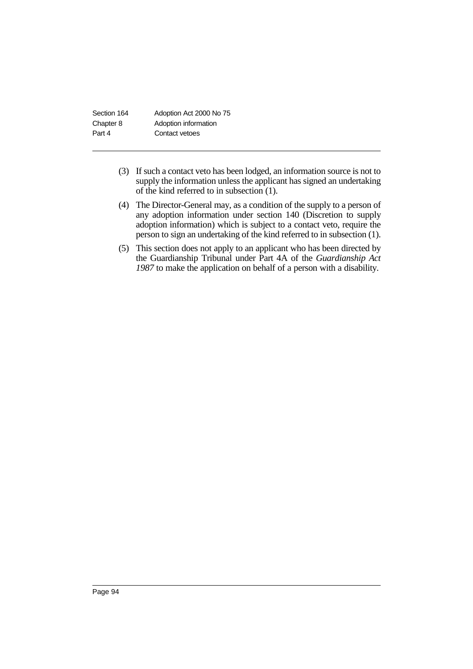| Section 164 | Adoption Act 2000 No 75 |
|-------------|-------------------------|
| Chapter 8   | Adoption information    |
| Part 4      | Contact vetoes          |

- (3) If such a contact veto has been lodged, an information source is not to supply the information unless the applicant has signed an undertaking of the kind referred to in subsection (1).
- (4) The Director-General may, as a condition of the supply to a person of any adoption information under section 140 (Discretion to supply adoption information) which is subject to a contact veto, require the person to sign an undertaking of the kind referred to in subsection (1).
- (5) This section does not apply to an applicant who has been directed by the Guardianship Tribunal under Part 4A of the *Guardianship Act 1987* to make the application on behalf of a person with a disability.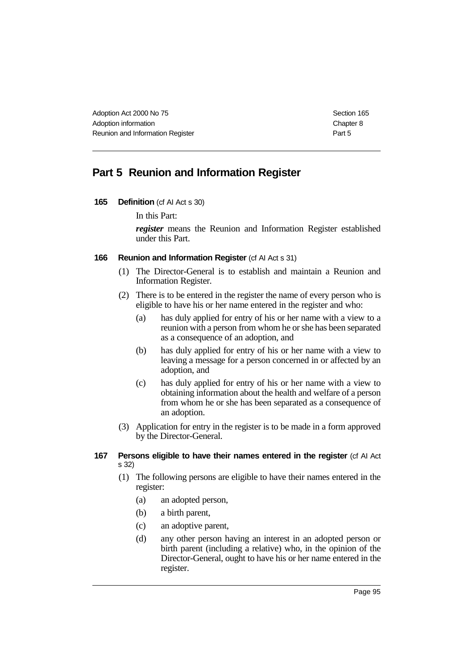| Adoption Act 2000 No 75          | Sectic |
|----------------------------------|--------|
| Adoption information             | Chapt  |
| Reunion and Information Register | Part 5 |

Section 165 Chapter 8

## **Part 5 Reunion and Information Register**

**165 Definition** (cf AI Act s 30)

In this Part:

*register* means the Reunion and Information Register established under this Part.

## **166 Reunion and Information Register** (cf AI Act s 31)

- (1) The Director-General is to establish and maintain a Reunion and Information Register.
- (2) There is to be entered in the register the name of every person who is eligible to have his or her name entered in the register and who:
	- (a) has duly applied for entry of his or her name with a view to a reunion with a person from whom he or she has been separated as a consequence of an adoption, and
	- (b) has duly applied for entry of his or her name with a view to leaving a message for a person concerned in or affected by an adoption, and
	- (c) has duly applied for entry of his or her name with a view to obtaining information about the health and welfare of a person from whom he or she has been separated as a consequence of an adoption.
- (3) Application for entry in the register is to be made in a form approved by the Director-General.

#### **167 Persons eligible to have their names entered in the register** (cf AI Act s 32)

- (1) The following persons are eligible to have their names entered in the register:
	- (a) an adopted person,
	- (b) a birth parent,
	- (c) an adoptive parent,
	- (d) any other person having an interest in an adopted person or birth parent (including a relative) who, in the opinion of the Director-General, ought to have his or her name entered in the register.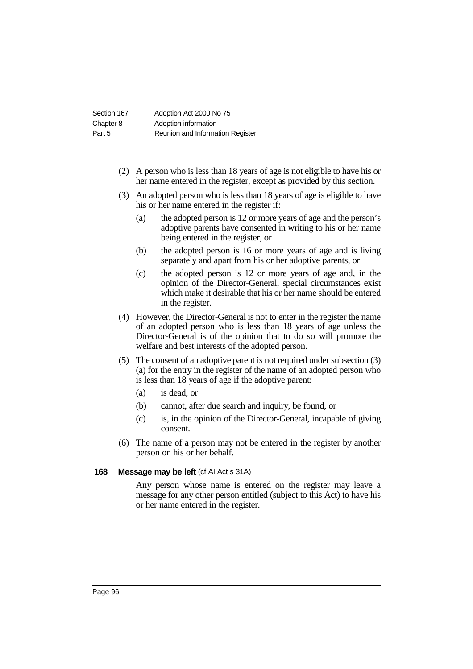| Section 167 | Adoption Act 2000 No 75                 |
|-------------|-----------------------------------------|
| Chapter 8   | Adoption information                    |
| Part 5      | <b>Reunion and Information Register</b> |

- (2) A person who is less than 18 years of age is not eligible to have his or her name entered in the register, except as provided by this section.
- (3) An adopted person who is less than 18 years of age is eligible to have his or her name entered in the register if:
	- (a) the adopted person is 12 or more years of age and the person's adoptive parents have consented in writing to his or her name being entered in the register, or
	- (b) the adopted person is 16 or more years of age and is living separately and apart from his or her adoptive parents, or
	- (c) the adopted person is 12 or more years of age and, in the opinion of the Director-General, special circumstances exist which make it desirable that his or her name should be entered in the register.
- (4) However, the Director-General is not to enter in the register the name of an adopted person who is less than 18 years of age unless the Director-General is of the opinion that to do so will promote the welfare and best interests of the adopted person.
- (5) The consent of an adoptive parent is not required under subsection (3) (a) for the entry in the register of the name of an adopted person who is less than 18 years of age if the adoptive parent:
	- (a) is dead, or
	- (b) cannot, after due search and inquiry, be found, or
	- (c) is, in the opinion of the Director-General, incapable of giving consent.
- (6) The name of a person may not be entered in the register by another person on his or her behalf.

## **168 Message may be left** (cf AI Act s 31A)

Any person whose name is entered on the register may leave a message for any other person entitled (subject to this Act) to have his or her name entered in the register.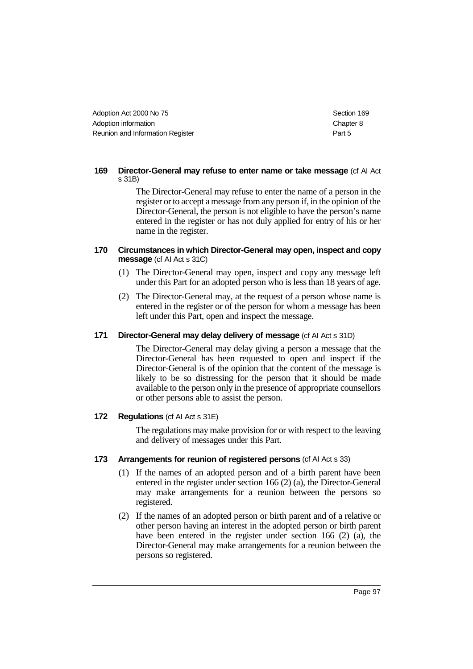| Adoption Act 2000 No 75          | Section 169 |
|----------------------------------|-------------|
| Adoption information             | Chapter 8   |
| Reunion and Information Register | Part 5      |

#### **169 Director-General may refuse to enter name or take message** (cf AI Act s 31B)

The Director-General may refuse to enter the name of a person in the register or to accept a message from any person if, in the opinion of the Director-General, the person is not eligible to have the person's name entered in the register or has not duly applied for entry of his or her name in the register.

#### **170 Circumstances in which Director-General may open, inspect and copy message** (cf AI Act s 31C)

- (1) The Director-General may open, inspect and copy any message left under this Part for an adopted person who is less than 18 years of age.
- (2) The Director-General may, at the request of a person whose name is entered in the register or of the person for whom a message has been left under this Part, open and inspect the message.

## **171 Director-General may delay delivery of message** (cf AI Act s 31D)

The Director-General may delay giving a person a message that the Director-General has been requested to open and inspect if the Director-General is of the opinion that the content of the message is likely to be so distressing for the person that it should be made available to the person only in the presence of appropriate counsellors or other persons able to assist the person.

## **172 Regulations** (cf AI Act s 31E)

The regulations may make provision for or with respect to the leaving and delivery of messages under this Part.

## **173 Arrangements for reunion of registered persons** (cf AI Act s 33)

- (1) If the names of an adopted person and of a birth parent have been entered in the register under section 166 (2) (a), the Director-General may make arrangements for a reunion between the persons so registered.
- (2) If the names of an adopted person or birth parent and of a relative or other person having an interest in the adopted person or birth parent have been entered in the register under section 166 (2) (a), the Director-General may make arrangements for a reunion between the persons so registered.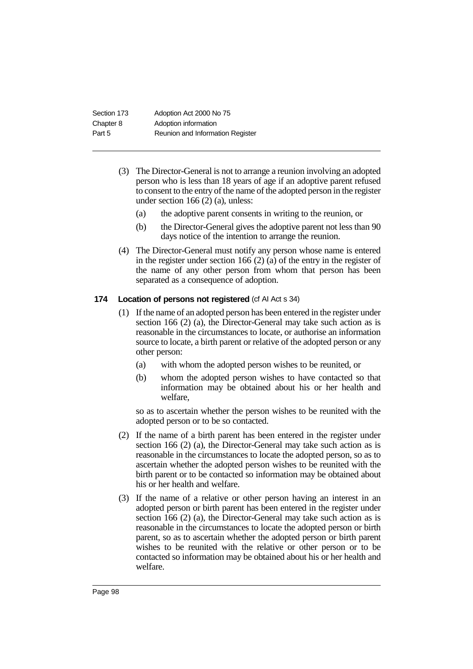| Section 173 | Adoption Act 2000 No 75          |
|-------------|----------------------------------|
| Chapter 8   | Adoption information             |
| Part 5      | Reunion and Information Register |

- (3) The Director-General is not to arrange a reunion involving an adopted person who is less than 18 years of age if an adoptive parent refused to consent to the entry of the name of the adopted person in the register under section 166 (2) (a), unless:
	- (a) the adoptive parent consents in writing to the reunion, or
	- (b) the Director-General gives the adoptive parent not less than 90 days notice of the intention to arrange the reunion.
- (4) The Director-General must notify any person whose name is entered in the register under section 166 (2) (a) of the entry in the register of the name of any other person from whom that person has been separated as a consequence of adoption.

# **174 Location of persons not registered** (cf AI Act s 34)

- (1) If the name of an adopted person has been entered in the register under section 166 (2) (a), the Director-General may take such action as is reasonable in the circumstances to locate, or authorise an information source to locate, a birth parent or relative of the adopted person or any other person:
	- (a) with whom the adopted person wishes to be reunited, or
	- (b) whom the adopted person wishes to have contacted so that information may be obtained about his or her health and welfare,

so as to ascertain whether the person wishes to be reunited with the adopted person or to be so contacted.

- (2) If the name of a birth parent has been entered in the register under section 166 (2) (a), the Director-General may take such action as is reasonable in the circumstances to locate the adopted person, so as to ascertain whether the adopted person wishes to be reunited with the birth parent or to be contacted so information may be obtained about his or her health and welfare.
- (3) If the name of a relative or other person having an interest in an adopted person or birth parent has been entered in the register under section 166 (2) (a), the Director-General may take such action as is reasonable in the circumstances to locate the adopted person or birth parent, so as to ascertain whether the adopted person or birth parent wishes to be reunited with the relative or other person or to be contacted so information may be obtained about his or her health and welfare.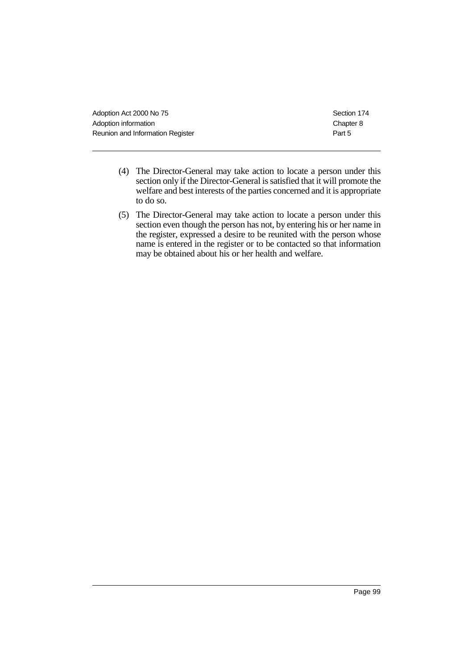| Adoption Act 2000 No 75          | Section 174 |
|----------------------------------|-------------|
| Adoption information             | Chapter 8   |
| Reunion and Information Register | Part 5      |

- (4) The Director-General may take action to locate a person under this section only if the Director-General is satisfied that it will promote the welfare and best interests of the parties concerned and it is appropriate to do so.
- (5) The Director-General may take action to locate a person under this section even though the person has not, by entering his or her name in the register, expressed a desire to be reunited with the person whose name is entered in the register or to be contacted so that information may be obtained about his or her health and welfare.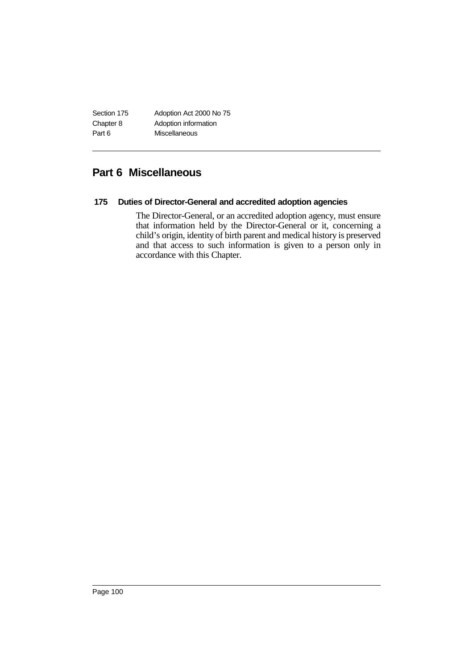Section 175 Adoption Act 2000 No 75 Chapter 8 Adoption information Part 6 Miscellaneous

# **Part 6 Miscellaneous**

# **175 Duties of Director-General and accredited adoption agencies**

The Director-General, or an accredited adoption agency, must ensure that information held by the Director-General or it, concerning a child's origin, identity of birth parent and medical history is preserved and that access to such information is given to a person only in accordance with this Chapter.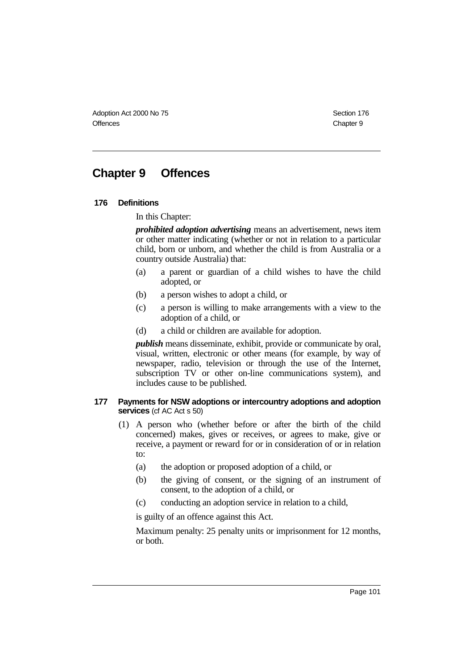Adoption Act 2000 No 75 Section 176 Offences Chapter 9

# **Chapter 9 Offences**

#### **176 Definitions**

In this Chapter:

*prohibited adoption advertising* means an advertisement, news item or other matter indicating (whether or not in relation to a particular child, born or unborn, and whether the child is from Australia or a country outside Australia) that:

- (a) a parent or guardian of a child wishes to have the child adopted, or
- (b) a person wishes to adopt a child, or
- (c) a person is willing to make arrangements with a view to the adoption of a child, or
- (d) a child or children are available for adoption.

*publish* means disseminate, exhibit, provide or communicate by oral, visual, written, electronic or other means (for example, by way of newspaper, radio, television or through the use of the Internet, subscription TV or other on-line communications system), and includes cause to be published.

#### **177 Payments for NSW adoptions or intercountry adoptions and adoption services** (cf AC Act s 50)

- (1) A person who (whether before or after the birth of the child concerned) makes, gives or receives, or agrees to make, give or receive, a payment or reward for or in consideration of or in relation to:
	- (a) the adoption or proposed adoption of a child, or
	- (b) the giving of consent, or the signing of an instrument of consent, to the adoption of a child, or
	- (c) conducting an adoption service in relation to a child,

is guilty of an offence against this Act.

Maximum penalty: 25 penalty units or imprisonment for 12 months, or both.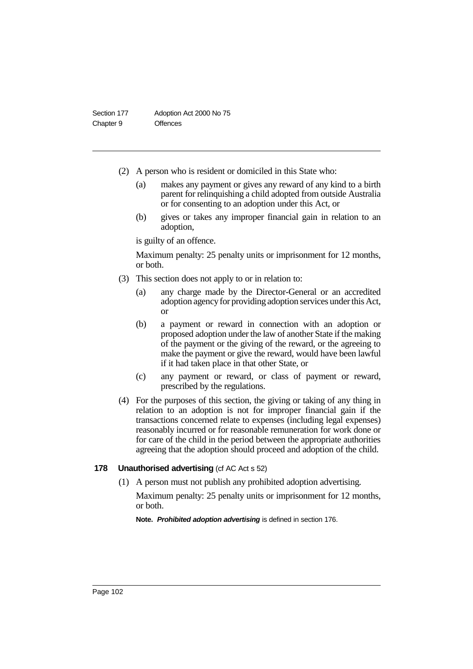Section 177 Adoption Act 2000 No 75 Chapter 9 Offences

- (2) A person who is resident or domiciled in this State who:
	- (a) makes any payment or gives any reward of any kind to a birth parent for relinquishing a child adopted from outside Australia or for consenting to an adoption under this Act, or
	- (b) gives or takes any improper financial gain in relation to an adoption,

is guilty of an offence.

Maximum penalty: 25 penalty units or imprisonment for 12 months, or both.

- (3) This section does not apply to or in relation to:
	- (a) any charge made by the Director-General or an accredited adoption agency for providing adoption services under this Act, or
	- (b) a payment or reward in connection with an adoption or proposed adoption under the law of another State if the making of the payment or the giving of the reward, or the agreeing to make the payment or give the reward, would have been lawful if it had taken place in that other State, or
	- (c) any payment or reward, or class of payment or reward, prescribed by the regulations.
- (4) For the purposes of this section, the giving or taking of any thing in relation to an adoption is not for improper financial gain if the transactions concerned relate to expenses (including legal expenses) reasonably incurred or for reasonable remuneration for work done or for care of the child in the period between the appropriate authorities agreeing that the adoption should proceed and adoption of the child.

#### **178 Unauthorised advertising** (cf AC Act s 52)

(1) A person must not publish any prohibited adoption advertising.

Maximum penalty: 25 penalty units or imprisonment for 12 months, or both.

**Note. Prohibited adoption advertising** is defined in section 176.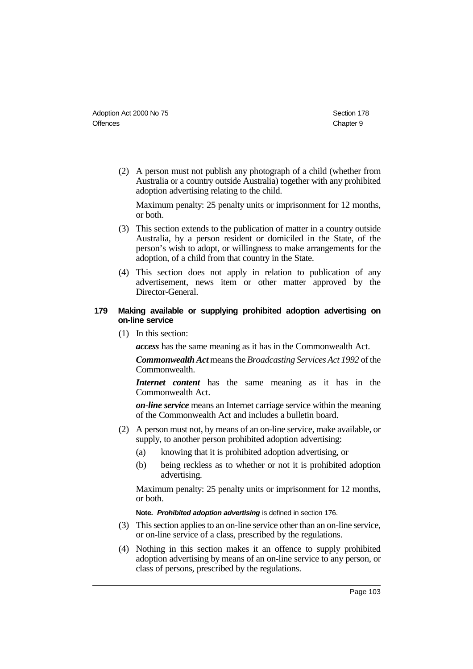(2) A person must not publish any photograph of a child (whether from Australia or a country outside Australia) together with any prohibited adoption advertising relating to the child.

Maximum penalty: 25 penalty units or imprisonment for 12 months, or both.

- (3) This section extends to the publication of matter in a country outside Australia, by a person resident or domiciled in the State, of the person's wish to adopt, or willingness to make arrangements for the adoption, of a child from that country in the State.
- (4) This section does not apply in relation to publication of any advertisement, news item or other matter approved by the Director-General.

## **179 Making available or supplying prohibited adoption advertising on on-line service**

(1) In this section:

*access* has the same meaning as it has in the Commonwealth Act.

*Commonwealth Act* means the *Broadcasting Services Act 1992* of the Commonwealth.

*Internet content* has the same meaning as it has in the Commonwealth Act.

*on-line service* means an Internet carriage service within the meaning of the Commonwealth Act and includes a bulletin board.

- (2) A person must not, by means of an on-line service, make available, or supply, to another person prohibited adoption advertising:
	- (a) knowing that it is prohibited adoption advertising, or
	- (b) being reckless as to whether or not it is prohibited adoption advertising.

Maximum penalty: 25 penalty units or imprisonment for 12 months, or both.

**Note. Prohibited adoption advertising** is defined in section 176.

- (3) This section applies to an on-line service other than an on-line service, or on-line service of a class, prescribed by the regulations.
- (4) Nothing in this section makes it an offence to supply prohibited adoption advertising by means of an on-line service to any person, or class of persons, prescribed by the regulations.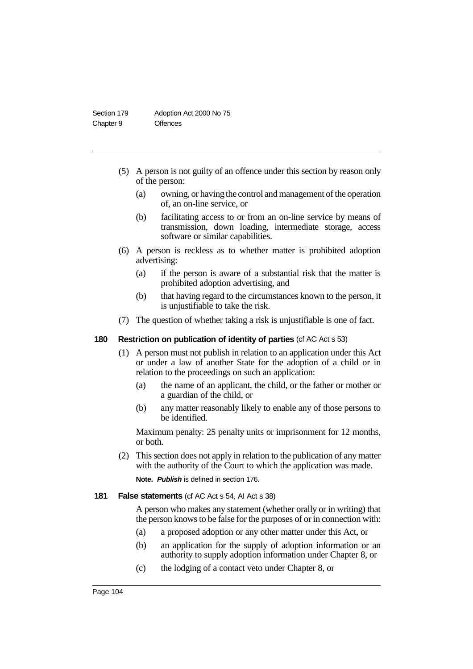| Section 179 | Adoption Act 2000 No 75 |
|-------------|-------------------------|
| Chapter 9   | Offences                |

- (5) A person is not guilty of an offence under this section by reason only of the person:
	- (a) owning, or having the control and management of the operation of, an on-line service, or
	- (b) facilitating access to or from an on-line service by means of transmission, down loading, intermediate storage, access software or similar capabilities.
- (6) A person is reckless as to whether matter is prohibited adoption advertising:
	- (a) if the person is aware of a substantial risk that the matter is prohibited adoption advertising, and
	- (b) that having regard to the circumstances known to the person, it is unjustifiable to take the risk.
- (7) The question of whether taking a risk is unjustifiable is one of fact.

### **180 Restriction on publication of identity of parties** (cf AC Act s 53)

- (1) A person must not publish in relation to an application under this Act or under a law of another State for the adoption of a child or in relation to the proceedings on such an application:
	- (a) the name of an applicant, the child, or the father or mother or a guardian of the child, or
	- (b) any matter reasonably likely to enable any of those persons to be identified.

Maximum penalty: 25 penalty units or imprisonment for 12 months, or both.

(2) This section does not apply in relation to the publication of any matter with the authority of the Court to which the application was made.

**Note. Publish** is defined in section 176.

#### **181 False statements** (cf AC Act s 54, AI Act s 38)

A person who makes any statement (whether orally or in writing) that the person knows to be false for the purposes of or in connection with:

- (a) a proposed adoption or any other matter under this Act, or
- (b) an application for the supply of adoption information or an authority to supply adoption information under Chapter 8, or
- (c) the lodging of a contact veto under Chapter 8, or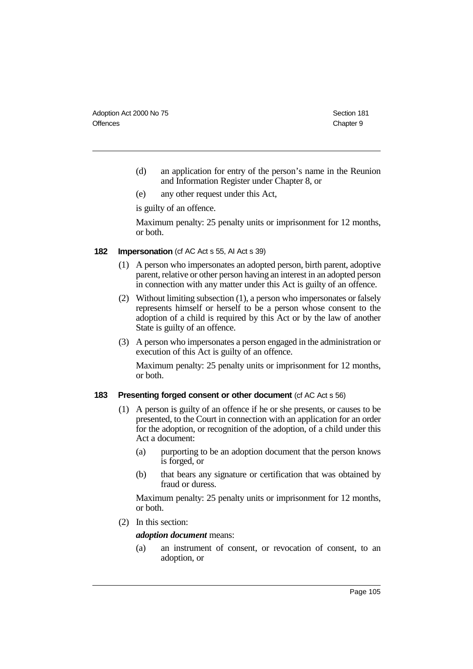- (d) an application for entry of the person's name in the Reunion and Information Register under Chapter 8, or
- (e) any other request under this Act,

is guilty of an offence.

Maximum penalty: 25 penalty units or imprisonment for 12 months, or both.

## **182 Impersonation** (cf AC Act s 55, AI Act s 39)

- (1) A person who impersonates an adopted person, birth parent, adoptive parent, relative or other person having an interest in an adopted person in connection with any matter under this Act is guilty of an offence.
- (2) Without limiting subsection (1), a person who impersonates or falsely represents himself or herself to be a person whose consent to the adoption of a child is required by this Act or by the law of another State is guilty of an offence.
- (3) A person who impersonates a person engaged in the administration or execution of this Act is guilty of an offence.

Maximum penalty: 25 penalty units or imprisonment for 12 months, or both.

# **183 Presenting forged consent or other document** (cf AC Act s 56)

- (1) A person is guilty of an offence if he or she presents, or causes to be presented, to the Court in connection with an application for an order for the adoption, or recognition of the adoption, of a child under this Act a document:
	- (a) purporting to be an adoption document that the person knows is forged, or
	- (b) that bears any signature or certification that was obtained by fraud or duress.

Maximum penalty: 25 penalty units or imprisonment for 12 months, or both.

(2) In this section:

# *adoption document* means:

(a) an instrument of consent, or revocation of consent, to an adoption, or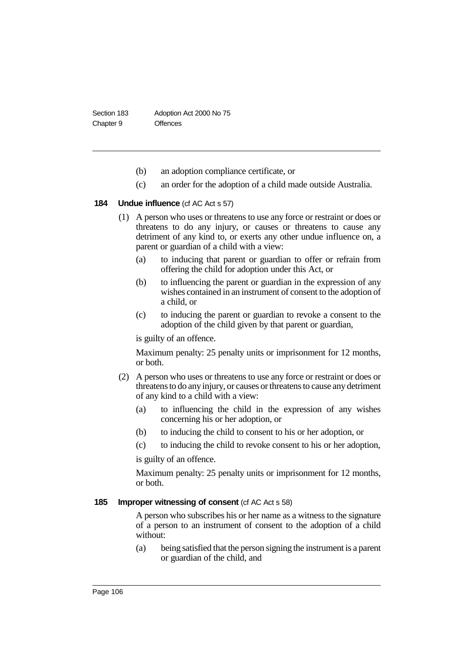Section 183 Adoption Act 2000 No 75 Chapter 9 Offences

- (b) an adoption compliance certificate, or
- (c) an order for the adoption of a child made outside Australia.

#### **184 Undue influence** (cf AC Act s 57)

- (1) A person who uses or threatens to use any force or restraint or does or threatens to do any injury, or causes or threatens to cause any detriment of any kind to, or exerts any other undue influence on, a parent or guardian of a child with a view:
	- (a) to inducing that parent or guardian to offer or refrain from offering the child for adoption under this Act, or
	- (b) to influencing the parent or guardian in the expression of any wishes contained in an instrument of consent to the adoption of a child, or
	- (c) to inducing the parent or guardian to revoke a consent to the adoption of the child given by that parent or guardian,

is guilty of an offence.

Maximum penalty: 25 penalty units or imprisonment for 12 months, or both.

- (2) A person who uses or threatens to use any force or restraint or does or threatens to do any injury, or causes or threatens to cause any detriment of any kind to a child with a view:
	- (a) to influencing the child in the expression of any wishes concerning his or her adoption, or
	- (b) to inducing the child to consent to his or her adoption, or
	- (c) to inducing the child to revoke consent to his or her adoption,

is guilty of an offence.

Maximum penalty: 25 penalty units or imprisonment for 12 months, or both.

#### **185 Improper witnessing of consent** (cf AC Act s 58)

A person who subscribes his or her name as a witness to the signature of a person to an instrument of consent to the adoption of a child without:

(a) being satisfied that the person signing the instrument is a parent or guardian of the child, and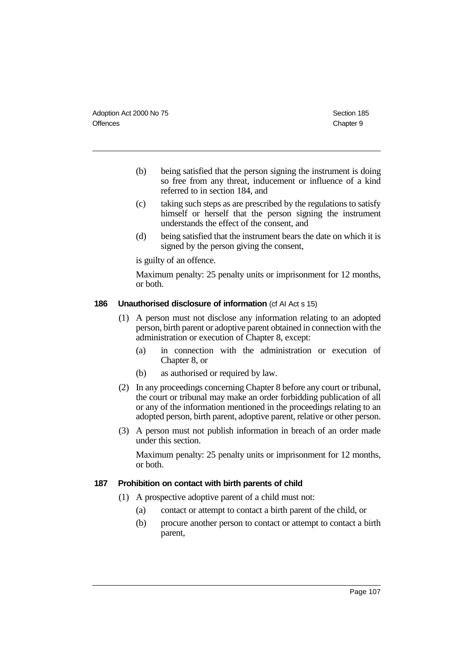- (b) being satisfied that the person signing the instrument is doing so free from any threat, inducement or influence of a kind referred to in section 184, and
- (c) taking such steps as are prescribed by the regulations to satisfy himself or herself that the person signing the instrument understands the effect of the consent, and
- (d) being satisfied that the instrument bears the date on which it is signed by the person giving the consent,

is guilty of an offence.

Maximum penalty: 25 penalty units or imprisonment for 12 months, or both.

## **186 Unauthorised disclosure of information** (cf AI Act s 15)

- (1) A person must not disclose any information relating to an adopted person, birth parent or adoptive parent obtained in connection with the administration or execution of Chapter 8, except:
	- (a) in connection with the administration or execution of Chapter 8, or
	- (b) as authorised or required by law.
- (2) In any proceedings concerning Chapter 8 before any court or tribunal, the court or tribunal may make an order forbidding publication of all or any of the information mentioned in the proceedings relating to an adopted person, birth parent, adoptive parent, relative or other person.
- (3) A person must not publish information in breach of an order made under this section.

Maximum penalty: 25 penalty units or imprisonment for 12 months, or both.

# **187 Prohibition on contact with birth parents of child**

- (1) A prospective adoptive parent of a child must not:
	- (a) contact or attempt to contact a birth parent of the child, or
	- (b) procure another person to contact or attempt to contact a birth parent,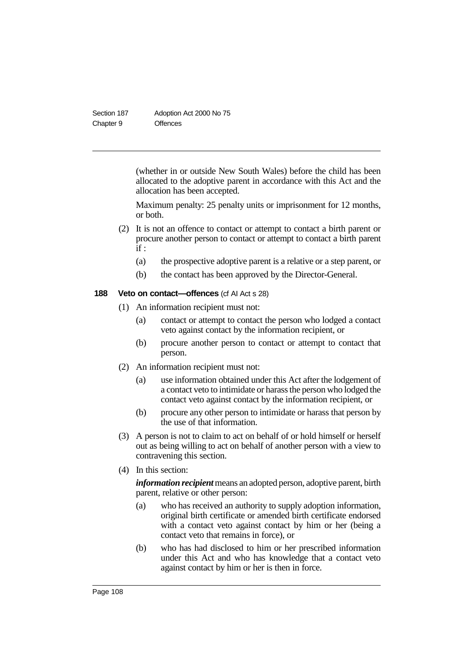Section 187 Adoption Act 2000 No 75 Chapter 9 Offences

> (whether in or outside New South Wales) before the child has been allocated to the adoptive parent in accordance with this Act and the allocation has been accepted.

> Maximum penalty: 25 penalty units or imprisonment for 12 months, or both.

- (2) It is not an offence to contact or attempt to contact a birth parent or procure another person to contact or attempt to contact a birth parent  $\overline{\textbf{i}}$  f :
	- (a) the prospective adoptive parent is a relative or a step parent, or
	- (b) the contact has been approved by the Director-General.

#### **188 Veto on contact—offences** (cf AI Act s 28)

- (1) An information recipient must not:
	- (a) contact or attempt to contact the person who lodged a contact veto against contact by the information recipient, or
	- (b) procure another person to contact or attempt to contact that person.
- (2) An information recipient must not:
	- (a) use information obtained under this Act after the lodgement of a contact veto to intimidate or harass the person who lodged the contact veto against contact by the information recipient, or
	- (b) procure any other person to intimidate or harass that person by the use of that information.
- (3) A person is not to claim to act on behalf of or hold himself or herself out as being willing to act on behalf of another person with a view to contravening this section.
- (4) In this section:

*information recipient* means an adopted person, adoptive parent, birth parent, relative or other person:

- (a) who has received an authority to supply adoption information, original birth certificate or amended birth certificate endorsed with a contact veto against contact by him or her (being a contact veto that remains in force), or
- (b) who has had disclosed to him or her prescribed information under this Act and who has knowledge that a contact veto against contact by him or her is then in force.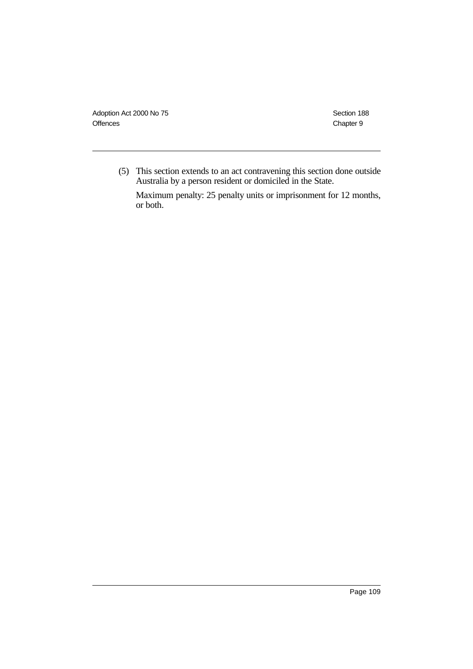Adoption Act 2000 No 75 Section 188 Offences Chapter 9

(5) This section extends to an act contravening this section done outside Australia by a person resident or domiciled in the State.

Maximum penalty: 25 penalty units or imprisonment for 12 months, or both.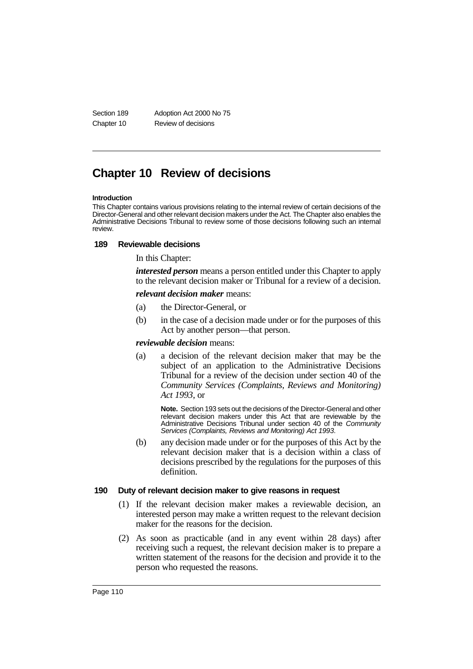Section 189 Adoption Act 2000 No 75 Chapter 10 Review of decisions

# **Chapter 10 Review of decisions**

#### **Introduction**

This Chapter contains various provisions relating to the internal review of certain decisions of the Director-General and other relevant decision makers under the Act. The Chapter also enables the Administrative Decisions Tribunal to review some of those decisions following such an internal review.

#### **189 Reviewable decisions**

In this Chapter:

*interested person* means a person entitled under this Chapter to apply to the relevant decision maker or Tribunal for a review of a decision.

*relevant decision maker* means:

- (a) the Director-General, or
- (b) in the case of a decision made under or for the purposes of this Act by another person—that person.

#### *reviewable decision* means:

(a) a decision of the relevant decision maker that may be the subject of an application to the Administrative Decisions Tribunal for a review of the decision under section 40 of the *Community Services (Complaints, Reviews and Monitoring) Act 1993*, or

> **Note.** Section 193 sets out the decisions of the Director-General and other relevant decision makers under this Act that are reviewable by the Administrative Decisions Tribunal under section 40 of the Community Services (Complaints, Reviews and Monitoring) Act 1993.

(b) any decision made under or for the purposes of this Act by the relevant decision maker that is a decision within a class of decisions prescribed by the regulations for the purposes of this definition.

#### **190 Duty of relevant decision maker to give reasons in request**

- (1) If the relevant decision maker makes a reviewable decision, an interested person may make a written request to the relevant decision maker for the reasons for the decision.
- (2) As soon as practicable (and in any event within 28 days) after receiving such a request, the relevant decision maker is to prepare a written statement of the reasons for the decision and provide it to the person who requested the reasons.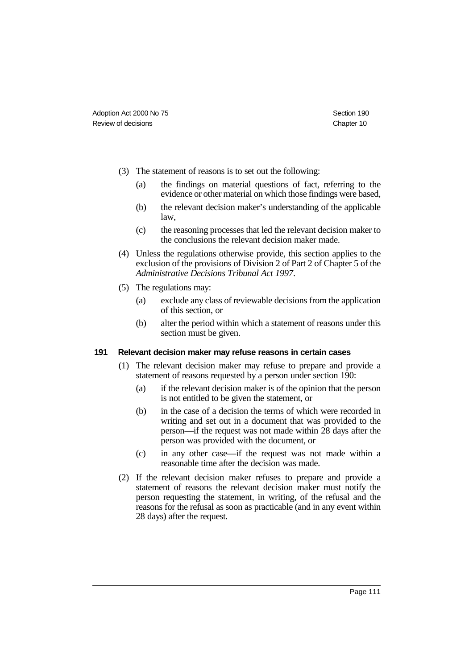- (3) The statement of reasons is to set out the following:
	- (a) the findings on material questions of fact, referring to the evidence or other material on which those findings were based,
	- (b) the relevant decision maker's understanding of the applicable law,
	- (c) the reasoning processes that led the relevant decision maker to the conclusions the relevant decision maker made.
- (4) Unless the regulations otherwise provide, this section applies to the exclusion of the provisions of Division 2 of Part 2 of Chapter 5 of the *Administrative Decisions Tribunal Act 1997*.
- (5) The regulations may:
	- (a) exclude any class of reviewable decisions from the application of this section, or
	- (b) alter the period within which a statement of reasons under this section must be given.

# **191 Relevant decision maker may refuse reasons in certain cases**

- (1) The relevant decision maker may refuse to prepare and provide a statement of reasons requested by a person under section 190:
	- (a) if the relevant decision maker is of the opinion that the person is not entitled to be given the statement, or
	- (b) in the case of a decision the terms of which were recorded in writing and set out in a document that was provided to the person—if the request was not made within 28 days after the person was provided with the document, or
	- (c) in any other case—if the request was not made within a reasonable time after the decision was made.
- (2) If the relevant decision maker refuses to prepare and provide a statement of reasons the relevant decision maker must notify the person requesting the statement, in writing, of the refusal and the reasons for the refusal as soon as practicable (and in any event within 28 days) after the request.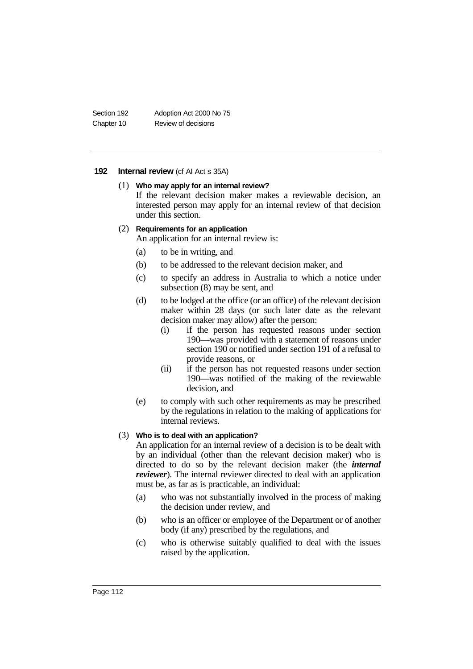Section 192 Adoption Act 2000 No 75 Chapter 10 Review of decisions

#### **192 Internal review** (cf AI Act s 35A)

#### (1) **Who may apply for an internal review?**

If the relevant decision maker makes a reviewable decision, an interested person may apply for an internal review of that decision under this section.

#### (2) **Requirements for an application**

An application for an internal review is:

- (a) to be in writing, and
- (b) to be addressed to the relevant decision maker, and
- (c) to specify an address in Australia to which a notice under subsection (8) may be sent, and
- (d) to be lodged at the office (or an office) of the relevant decision maker within 28 days (or such later date as the relevant decision maker may allow) after the person:
	- (i) if the person has requested reasons under section 190—was provided with a statement of reasons under section 190 or notified under section 191 of a refusal to provide reasons, or
	- (ii) if the person has not requested reasons under section 190—was notified of the making of the reviewable decision, and
- (e) to comply with such other requirements as may be prescribed by the regulations in relation to the making of applications for internal reviews.

#### (3) **Who is to deal with an application?**

An application for an internal review of a decision is to be dealt with by an individual (other than the relevant decision maker) who is directed to do so by the relevant decision maker (the *internal reviewer*). The internal reviewer directed to deal with an application must be, as far as is practicable, an individual:

- (a) who was not substantially involved in the process of making the decision under review, and
- (b) who is an officer or employee of the Department or of another body (if any) prescribed by the regulations, and
- (c) who is otherwise suitably qualified to deal with the issues raised by the application.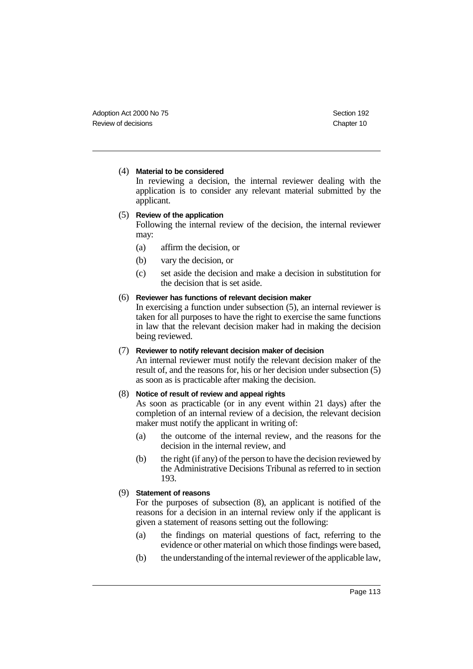Adoption Act 2000 No 75 Section 192 Review of decisions **Chapter 10** 

#### (4) **Material to be considered**

In reviewing a decision, the internal reviewer dealing with the application is to consider any relevant material submitted by the applicant.

#### (5) **Review of the application**

Following the internal review of the decision, the internal reviewer may:

- (a) affirm the decision, or
- (b) vary the decision, or
- (c) set aside the decision and make a decision in substitution for the decision that is set aside.

#### (6) **Reviewer has functions of relevant decision maker**

In exercising a function under subsection (5), an internal reviewer is taken for all purposes to have the right to exercise the same functions in law that the relevant decision maker had in making the decision being reviewed.

#### (7) **Reviewer to notify relevant decision maker of decision**

An internal reviewer must notify the relevant decision maker of the result of, and the reasons for, his or her decision under subsection (5) as soon as is practicable after making the decision.

#### (8) **Notice of result of review and appeal rights**

As soon as practicable (or in any event within 21 days) after the completion of an internal review of a decision, the relevant decision maker must notify the applicant in writing of:

- (a) the outcome of the internal review, and the reasons for the decision in the internal review, and
- (b) the right (if any) of the person to have the decision reviewed by the Administrative Decisions Tribunal as referred to in section 193.

#### (9) **Statement of reasons**

For the purposes of subsection (8), an applicant is notified of the reasons for a decision in an internal review only if the applicant is given a statement of reasons setting out the following:

- (a) the findings on material questions of fact, referring to the evidence or other material on which those findings were based,
- (b) the understanding of the internal reviewer of the applicable law,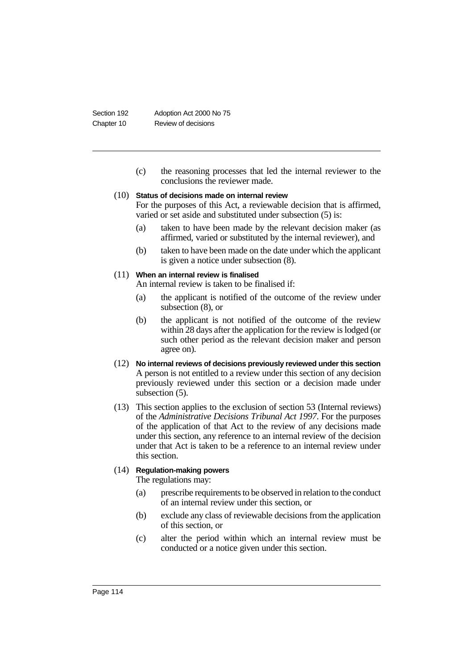Section 192 Adoption Act 2000 No 75 Chapter 10 Review of decisions

> (c) the reasoning processes that led the internal reviewer to the conclusions the reviewer made.

### (10) **Status of decisions made on internal review** For the purposes of this Act, a reviewable decision that is affirmed, varied or set aside and substituted under subsection (5) is:

- (a) taken to have been made by the relevant decision maker (as affirmed, varied or substituted by the internal reviewer), and
- (b) taken to have been made on the date under which the applicant is given a notice under subsection (8).

## (11) **When an internal review is finalised**

An internal review is taken to be finalised if:

- (a) the applicant is notified of the outcome of the review under subsection (8), or
- (b) the applicant is not notified of the outcome of the review within 28 days after the application for the review is lodged (or such other period as the relevant decision maker and person agree on).
- (12) **No internal reviews of decisions previously reviewed under this section** A person is not entitled to a review under this section of any decision previously reviewed under this section or a decision made under subsection (5).
- (13) This section applies to the exclusion of section 53 (Internal reviews) of the *Administrative Decisions Tribunal Act 1997*. For the purposes of the application of that Act to the review of any decisions made under this section, any reference to an internal review of the decision under that Act is taken to be a reference to an internal review under this section.

# (14) **Regulation-making powers**

The regulations may:

- (a) prescribe requirements to be observed in relation to the conduct of an internal review under this section, or
- (b) exclude any class of reviewable decisions from the application of this section, or
- (c) alter the period within which an internal review must be conducted or a notice given under this section.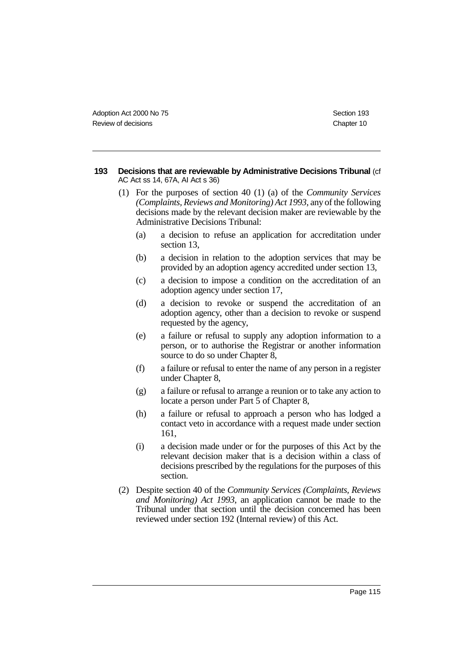#### **193 Decisions that are reviewable by Administrative Decisions Tribunal** (cf AC Act ss 14, 67A, AI Act s 36)

- (1) For the purposes of section 40 (1) (a) of the *Community Services (Complaints, Reviews and Monitoring) Act 1993*, any of the following decisions made by the relevant decision maker are reviewable by the Administrative Decisions Tribunal:
	- (a) a decision to refuse an application for accreditation under section 13,
	- (b) a decision in relation to the adoption services that may be provided by an adoption agency accredited under section 13,
	- (c) a decision to impose a condition on the accreditation of an adoption agency under section 17,
	- (d) a decision to revoke or suspend the accreditation of an adoption agency, other than a decision to revoke or suspend requested by the agency,
	- (e) a failure or refusal to supply any adoption information to a person, or to authorise the Registrar or another information source to do so under Chapter 8,
	- (f) a failure or refusal to enter the name of any person in a register under Chapter 8,
	- (g) a failure or refusal to arrange a reunion or to take any action to locate a person under Part 5 of Chapter 8,
	- (h) a failure or refusal to approach a person who has lodged a contact veto in accordance with a request made under section 161,
	- (i) a decision made under or for the purposes of this Act by the relevant decision maker that is a decision within a class of decisions prescribed by the regulations for the purposes of this section.
- (2) Despite section 40 of the *Community Services (Complaints, Reviews and Monitoring) Act 1993*, an application cannot be made to the Tribunal under that section until the decision concerned has been reviewed under section 192 (Internal review) of this Act.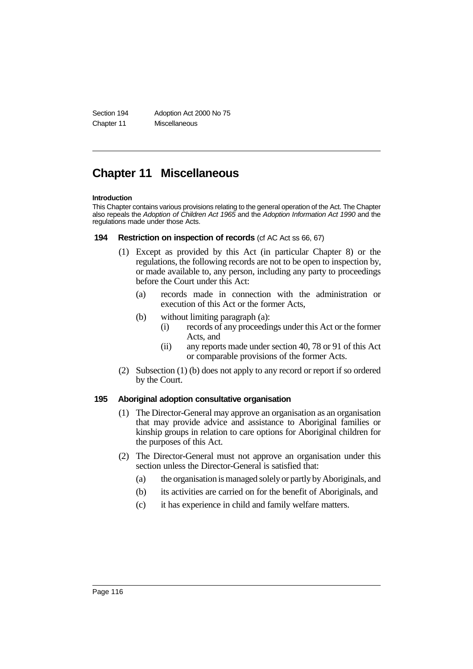Section 194 Adoption Act 2000 No 75 Chapter 11 Miscellaneous

# **Chapter 11 Miscellaneous**

#### **Introduction**

This Chapter contains various provisions relating to the general operation of the Act. The Chapter also repeals the Adoption of Children Act 1965 and the Adoption Information Act 1990 and the regulations made under those Acts.

#### **194 Restriction on inspection of records** (cf AC Act ss 66, 67)

- (1) Except as provided by this Act (in particular Chapter 8) or the regulations, the following records are not to be open to inspection by, or made available to, any person, including any party to proceedings before the Court under this Act:
	- (a) records made in connection with the administration or execution of this Act or the former Acts,
	- (b) without limiting paragraph (a):
		- (i) records of any proceedings under this Act or the former Acts, and
		- (ii) any reports made under section 40, 78 or 91 of this Act or comparable provisions of the former Acts.
- (2) Subsection (1) (b) does not apply to any record or report if so ordered by the Court.

#### **195 Aboriginal adoption consultative organisation**

- (1) The Director-General may approve an organisation as an organisation that may provide advice and assistance to Aboriginal families or kinship groups in relation to care options for Aboriginal children for the purposes of this Act.
- (2) The Director-General must not approve an organisation under this section unless the Director-General is satisfied that:
	- (a) the organisation is managed solely or partly by Aboriginals, and
	- (b) its activities are carried on for the benefit of Aboriginals, and
	- (c) it has experience in child and family welfare matters.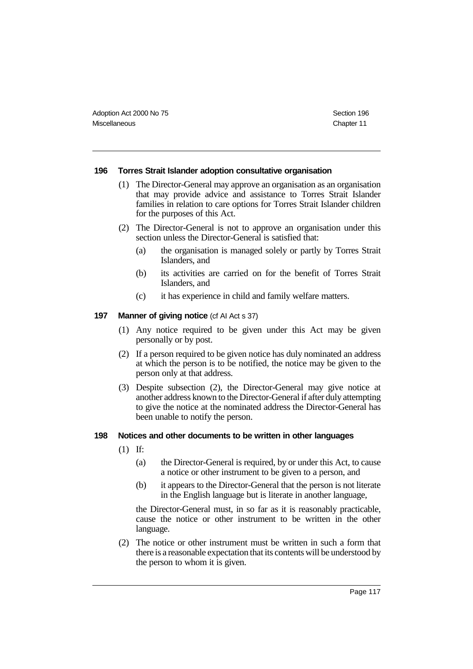## **196 Torres Strait Islander adoption consultative organisation**

- (1) The Director-General may approve an organisation as an organisation that may provide advice and assistance to Torres Strait Islander families in relation to care options for Torres Strait Islander children for the purposes of this Act.
- (2) The Director-General is not to approve an organisation under this section unless the Director-General is satisfied that:
	- (a) the organisation is managed solely or partly by Torres Strait Islanders, and
	- (b) its activities are carried on for the benefit of Torres Strait Islanders, and
	- (c) it has experience in child and family welfare matters.

# **197 Manner of giving notice** (cf AI Act s 37)

- (1) Any notice required to be given under this Act may be given personally or by post.
- (2) If a person required to be given notice has duly nominated an address at which the person is to be notified, the notice may be given to the person only at that address.
- (3) Despite subsection (2), the Director-General may give notice at another address known to the Director-General if after duly attempting to give the notice at the nominated address the Director-General has been unable to notify the person.

#### **198 Notices and other documents to be written in other languages**

- (1) If:
	- (a) the Director-General is required, by or under this Act, to cause a notice or other instrument to be given to a person, and
	- (b) it appears to the Director-General that the person is not literate in the English language but is literate in another language,

the Director-General must, in so far as it is reasonably practicable, cause the notice or other instrument to be written in the other language.

(2) The notice or other instrument must be written in such a form that there is a reasonable expectation that its contents will be understood by the person to whom it is given.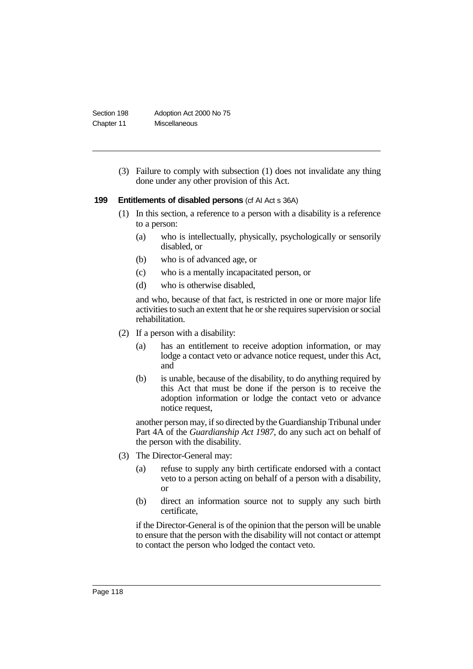Section 198 Adoption Act 2000 No 75 Chapter 11 Miscellaneous

> (3) Failure to comply with subsection (1) does not invalidate any thing done under any other provision of this Act.

#### **199 Entitlements of disabled persons** (cf AI Act s 36A)

- (1) In this section, a reference to a person with a disability is a reference to a person:
	- (a) who is intellectually, physically, psychologically or sensorily disabled, or
	- (b) who is of advanced age, or
	- (c) who is a mentally incapacitated person, or
	- (d) who is otherwise disabled,

and who, because of that fact, is restricted in one or more major life activities to such an extent that he or she requires supervision or social rehabilitation.

- (2) If a person with a disability:
	- (a) has an entitlement to receive adoption information, or may lodge a contact veto or advance notice request, under this Act, and
	- (b) is unable, because of the disability, to do anything required by this Act that must be done if the person is to receive the adoption information or lodge the contact veto or advance notice request,

another person may, if so directed by the Guardianship Tribunal under Part 4A of the *Guardianship Act 1987*, do any such act on behalf of the person with the disability.

- (3) The Director-General may:
	- (a) refuse to supply any birth certificate endorsed with a contact veto to a person acting on behalf of a person with a disability, or
	- (b) direct an information source not to supply any such birth certificate,

if the Director-General is of the opinion that the person will be unable to ensure that the person with the disability will not contact or attempt to contact the person who lodged the contact veto.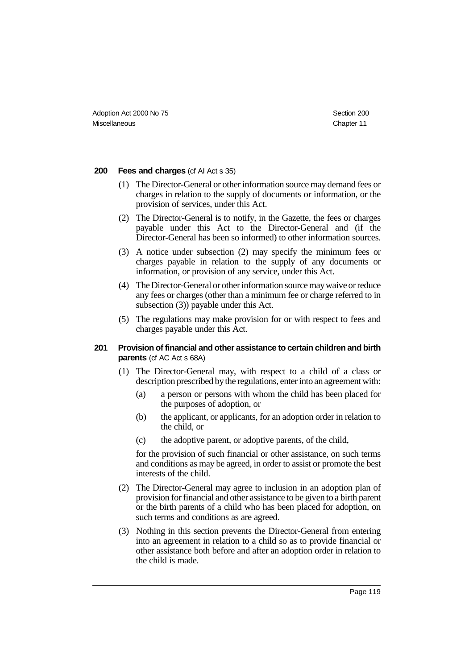#### **200 Fees and charges** (cf AI Act s 35)

- (1) The Director-General or other information source may demand fees or charges in relation to the supply of documents or information, or the provision of services, under this Act.
- (2) The Director-General is to notify, in the Gazette, the fees or charges payable under this Act to the Director-General and (if the Director-General has been so informed) to other information sources.
- (3) A notice under subsection (2) may specify the minimum fees or charges payable in relation to the supply of any documents or information, or provision of any service, under this Act.
- (4) The Director-General or other information source may waive or reduce any fees or charges (other than a minimum fee or charge referred to in subsection (3)) payable under this Act.
- (5) The regulations may make provision for or with respect to fees and charges payable under this Act.

#### **201 Provision of financial and other assistance to certain children and birth parents** (cf AC Act s 68A)

- (1) The Director-General may, with respect to a child of a class or description prescribed by the regulations, enter into an agreement with:
	- (a) a person or persons with whom the child has been placed for the purposes of adoption, or
	- (b) the applicant, or applicants, for an adoption order in relation to the child, or
	- (c) the adoptive parent, or adoptive parents, of the child,

for the provision of such financial or other assistance, on such terms and conditions as may be agreed, in order to assist or promote the best interests of the child.

- (2) The Director-General may agree to inclusion in an adoption plan of provision for financial and other assistance to be given to a birth parent or the birth parents of a child who has been placed for adoption, on such terms and conditions as are agreed.
- (3) Nothing in this section prevents the Director-General from entering into an agreement in relation to a child so as to provide financial or other assistance both before and after an adoption order in relation to the child is made.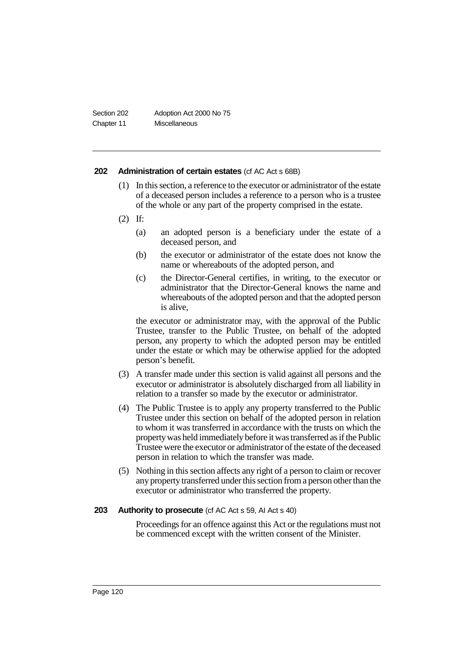Section 202 Adoption Act 2000 No 75 Chapter 11 Miscellaneous

#### **202 Administration of certain estates** (cf AC Act s 68B)

- (1) In this section, a reference to the executor or administrator of the estate of a deceased person includes a reference to a person who is a trustee of the whole or any part of the property comprised in the estate.
- (2) If:
	- (a) an adopted person is a beneficiary under the estate of a deceased person, and
	- (b) the executor or administrator of the estate does not know the name or whereabouts of the adopted person, and
	- (c) the Director-General certifies, in writing, to the executor or administrator that the Director-General knows the name and whereabouts of the adopted person and that the adopted person is alive,

the executor or administrator may, with the approval of the Public Trustee, transfer to the Public Trustee, on behalf of the adopted person, any property to which the adopted person may be entitled under the estate or which may be otherwise applied for the adopted person's benefit.

- (3) A transfer made under this section is valid against all persons and the executor or administrator is absolutely discharged from all liability in relation to a transfer so made by the executor or administrator.
- (4) The Public Trustee is to apply any property transferred to the Public Trustee under this section on behalf of the adopted person in relation to whom it was transferred in accordance with the trusts on which the property was held immediately before it was transferred as if the Public Trustee were the executor or administrator of the estate of the deceased person in relation to which the transfer was made.
- (5) Nothing in this section affects any right of a person to claim or recover any property transferred under this section from a person other than the executor or administrator who transferred the property.

#### **203 Authority to prosecute** (cf AC Act s 59, AI Act s 40)

Proceedings for an offence against this Act or the regulations must not be commenced except with the written consent of the Minister.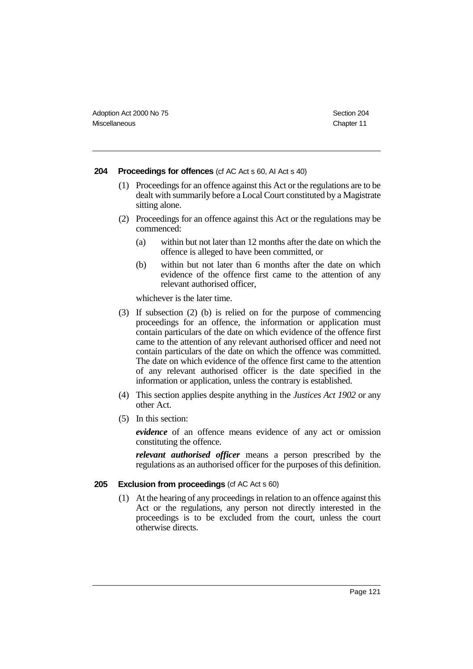## **204 Proceedings for offences** (cf AC Act s 60, AI Act s 40)

- (1) Proceedings for an offence against this Act or the regulations are to be dealt with summarily before a Local Court constituted by a Magistrate sitting alone.
- (2) Proceedings for an offence against this Act or the regulations may be commenced:
	- (a) within but not later than 12 months after the date on which the offence is alleged to have been committed, or
	- (b) within but not later than 6 months after the date on which evidence of the offence first came to the attention of any relevant authorised officer,

whichever is the later time.

- (3) If subsection (2) (b) is relied on for the purpose of commencing proceedings for an offence, the information or application must contain particulars of the date on which evidence of the offence first came to the attention of any relevant authorised officer and need not contain particulars of the date on which the offence was committed. The date on which evidence of the offence first came to the attention of any relevant authorised officer is the date specified in the information or application, unless the contrary is established.
- (4) This section applies despite anything in the *Justices Act 1902* or any other Act.
- (5) In this section:

*evidence* of an offence means evidence of any act or omission constituting the offence.

*relevant authorised officer* means a person prescribed by the regulations as an authorised officer for the purposes of this definition.

# **205 Exclusion from proceedings** (cf AC Act s 60)

(1) At the hearing of any proceedings in relation to an offence against this Act or the regulations, any person not directly interested in the proceedings is to be excluded from the court, unless the court otherwise directs.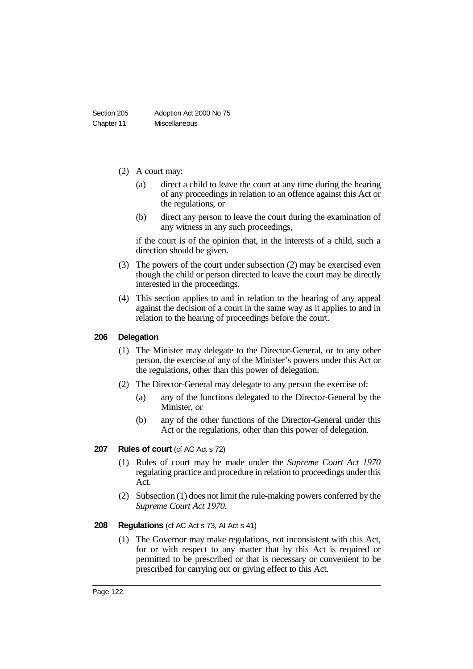Section 205 Adoption Act 2000 No 75 Chapter 11 Miscellaneous

- (2) A court may:
	- (a) direct a child to leave the court at any time during the hearing of any proceedings in relation to an offence against this Act or the regulations, or
	- (b) direct any person to leave the court during the examination of any witness in any such proceedings,

if the court is of the opinion that, in the interests of a child, such a direction should be given.

- (3) The powers of the court under subsection (2) may be exercised even though the child or person directed to leave the court may be directly interested in the proceedings.
- (4) This section applies to and in relation to the hearing of any appeal against the decision of a court in the same way as it applies to and in relation to the hearing of proceedings before the court.

## **206 Delegation**

- (1) The Minister may delegate to the Director-General, or to any other person, the exercise of any of the Minister's powers under this Act or the regulations, other than this power of delegation.
- (2) The Director-General may delegate to any person the exercise of:
	- (a) any of the functions delegated to the Director-General by the Minister, or
	- (b) any of the other functions of the Director-General under this Act or the regulations, other than this power of delegation.

#### 207 Rules of court (cf AC Act s 72)

- (1) Rules of court may be made under the *Supreme Court Act 1970* regulating practice and procedure in relation to proceedings under this Act.
- (2) Subsection (1) does not limit the rule-making powers conferred by the *Supreme Court Act 1970*.

# **208 Regulations** (cf AC Act s 73, AI Act s 41)

(1) The Governor may make regulations, not inconsistent with this Act, for or with respect to any matter that by this Act is required or permitted to be prescribed or that is necessary or convenient to be prescribed for carrying out or giving effect to this Act.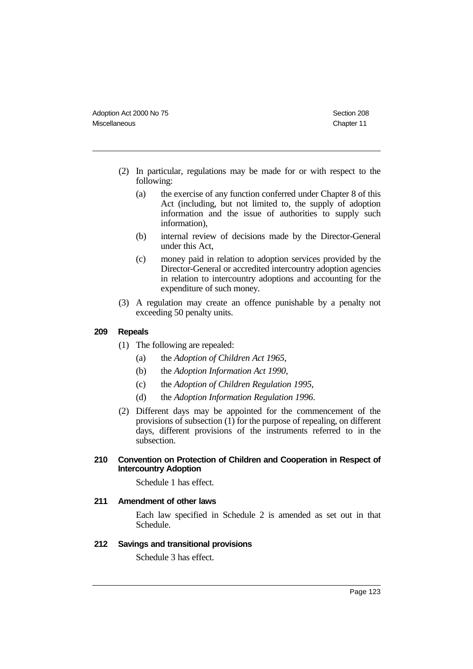- (2) In particular, regulations may be made for or with respect to the following:
	- (a) the exercise of any function conferred under Chapter 8 of this Act (including, but not limited to, the supply of adoption information and the issue of authorities to supply such information),
	- (b) internal review of decisions made by the Director-General under this Act,
	- (c) money paid in relation to adoption services provided by the Director-General or accredited intercountry adoption agencies in relation to intercountry adoptions and accounting for the expenditure of such money.
- (3) A regulation may create an offence punishable by a penalty not exceeding 50 penalty units.

## **209 Repeals**

- (1) The following are repealed:
	- (a) the *Adoption of Children Act 1965*,
	- (b) the *Adoption Information Act 1990*,
	- (c) the *Adoption of Children Regulation 1995*,
	- (d) the *Adoption Information Regulation 1996*.
- (2) Different days may be appointed for the commencement of the provisions of subsection (1) for the purpose of repealing, on different days, different provisions of the instruments referred to in the subsection.

#### **210 Convention on Protection of Children and Cooperation in Respect of Intercountry Adoption**

Schedule 1 has effect.

#### **211 Amendment of other laws**

Each law specified in Schedule 2 is amended as set out in that Schedule.

#### **212 Savings and transitional provisions**

Schedule 3 has effect.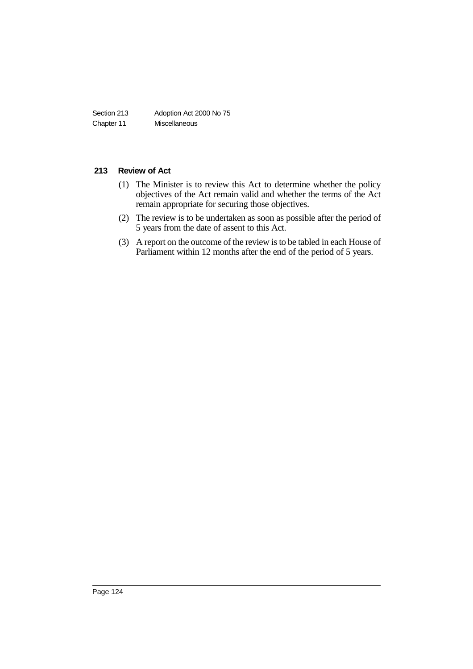Section 213 Adoption Act 2000 No 75 Chapter 11 Miscellaneous

# **213 Review of Act**

- (1) The Minister is to review this Act to determine whether the policy objectives of the Act remain valid and whether the terms of the Act remain appropriate for securing those objectives.
- (2) The review is to be undertaken as soon as possible after the period of 5 years from the date of assent to this Act.
- (3) A report on the outcome of the review is to be tabled in each House of Parliament within 12 months after the end of the period of 5 years.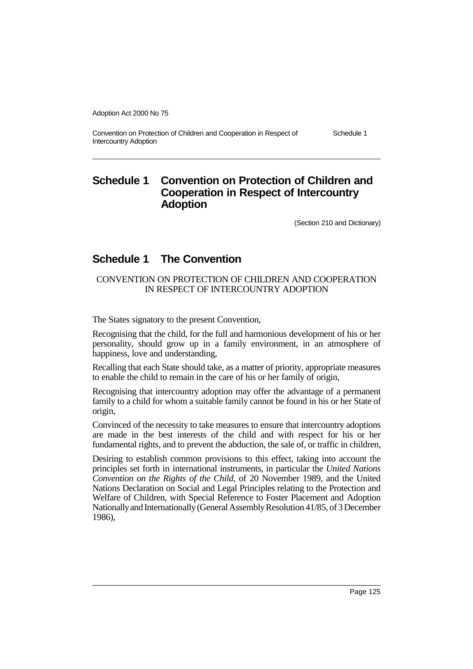Convention on Protection of Children and Cooperation in Respect of Intercountry Adoption Schedule 1

**Schedule 1 Convention on Protection of Children and Cooperation in Respect of Intercountry**

(Section 210 and Dictionary)

# **Schedule 1 The Convention**

**Adoption**

### CONVENTION ON PROTECTION OF CHILDREN AND COOPERATION IN RESPECT OF INTERCOUNTRY ADOPTION

The States signatory to the present Convention,

Recognising that the child, for the full and harmonious development of his or her personality, should grow up in a family environment, in an atmosphere of happiness, love and understanding,

Recalling that each State should take, as a matter of priority, appropriate measures to enable the child to remain in the care of his or her family of origin,

Recognising that intercountry adoption may offer the advantage of a permanent family to a child for whom a suitable family cannot be found in his or her State of origin,

Convinced of the necessity to take measures to ensure that intercountry adoptions are made in the best interests of the child and with respect for his or her fundamental rights, and to prevent the abduction, the sale of, or traffic in children,

Desiring to establish common provisions to this effect, taking into account the principles set forth in international instruments, in particular the *United Nations Convention on the Rights of the Child*, of 20 November 1989, and the United Nations Declaration on Social and Legal Principles relating to the Protection and Welfare of Children, with Special Reference to Foster Placement and Adoption Nationally and Internationally (General Assembly Resolution 41/85, of 3 December 1986),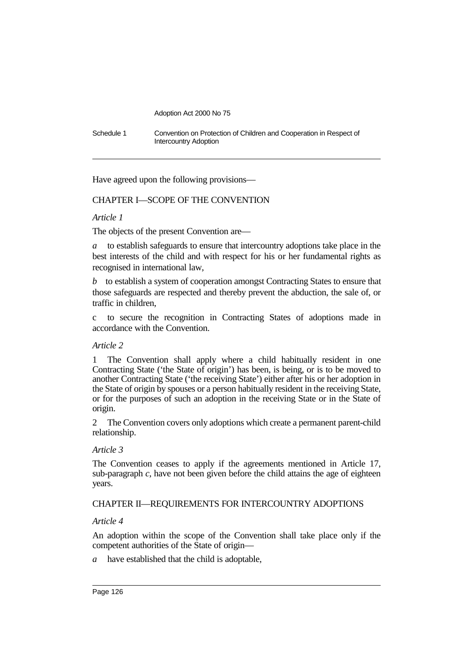Schedule 1 Convention on Protection of Children and Cooperation in Respect of Intercountry Adoption

Have agreed upon the following provisions—

## CHAPTER I—SCOPE OF THE CONVENTION

#### *Article 1*

The objects of the present Convention are—

*a* to establish safeguards to ensure that intercountry adoptions take place in the best interests of the child and with respect for his or her fundamental rights as recognised in international law,

*b* to establish a system of cooperation amongst Contracting States to ensure that those safeguards are respected and thereby prevent the abduction, the sale of, or traffic in children,

c to secure the recognition in Contracting States of adoptions made in accordance with the Convention.

#### *Article 2*

1 The Convention shall apply where a child habitually resident in one Contracting State ('the State of origin') has been, is being, or is to be moved to another Contracting State ('the receiving State') either after his or her adoption in the State of origin by spouses or a person habitually resident in the receiving State, or for the purposes of such an adoption in the receiving State or in the State of origin.

2 The Convention covers only adoptions which create a permanent parent-child relationship.

#### *Article 3*

The Convention ceases to apply if the agreements mentioned in Article 17, sub-paragraph  $c$ , have not been given before the child attains the age of eighteen years.

# CHAPTER II—REQUIREMENTS FOR INTERCOUNTRY ADOPTIONS

## *Article 4*

An adoption within the scope of the Convention shall take place only if the competent authorities of the State of origin—

*a* have established that the child is adoptable,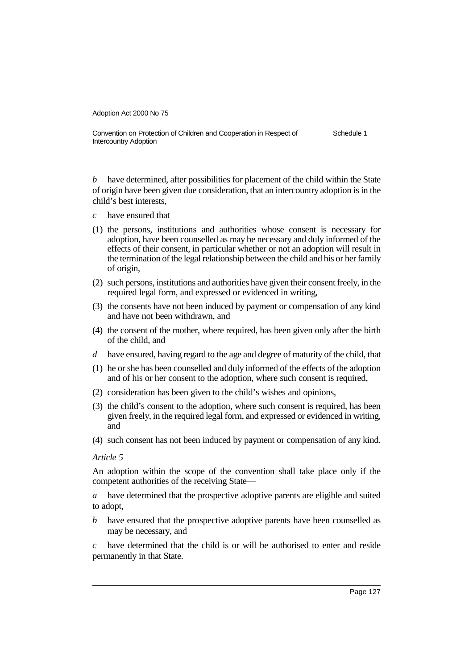Convention on Protection of Children and Cooperation in Respect of Intercountry Adoption Schedule 1

*b* have determined, after possibilities for placement of the child within the State of origin have been given due consideration, that an intercountry adoption is in the child's best interests,

- *c* have ensured that
- (1) the persons, institutions and authorities whose consent is necessary for adoption, have been counselled as may be necessary and duly informed of the effects of their consent, in particular whether or not an adoption will result in the termination of the legal relationship between the child and his or her family of origin,
- (2) such persons, institutions and authorities have given their consent freely, in the required legal form, and expressed or evidenced in writing,
- (3) the consents have not been induced by payment or compensation of any kind and have not been withdrawn, and
- (4) the consent of the mother, where required, has been given only after the birth of the child, and
- *d* have ensured, having regard to the age and degree of maturity of the child, that
- (1) he or she has been counselled and duly informed of the effects of the adoption and of his or her consent to the adoption, where such consent is required,
- (2) consideration has been given to the child's wishes and opinions,
- (3) the child's consent to the adoption, where such consent is required, has been given freely, in the required legal form, and expressed or evidenced in writing, and
- (4) such consent has not been induced by payment or compensation of any kind.

## *Article 5*

An adoption within the scope of the convention shall take place only if the competent authorities of the receiving State—

*a* have determined that the prospective adoptive parents are eligible and suited to adopt,

*b* have ensured that the prospective adoptive parents have been counselled as may be necessary, and

*c* have determined that the child is or will be authorised to enter and reside permanently in that State.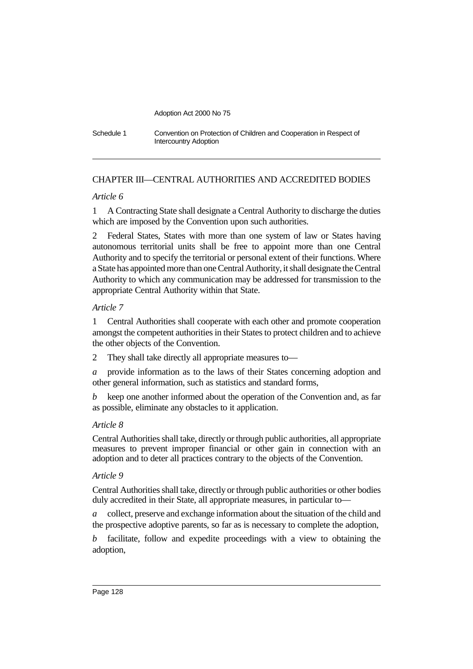Schedule 1 Convention on Protection of Children and Cooperation in Respect of Intercountry Adoption

## CHAPTER III—CENTRAL AUTHORITIES AND ACCREDITED BODIES

## *Article 6*

1 A Contracting State shall designate a Central Authority to discharge the duties which are imposed by the Convention upon such authorities.

2 Federal States, States with more than one system of law or States having autonomous territorial units shall be free to appoint more than one Central Authority and to specify the territorial or personal extent of their functions. Where a State has appointed more than one Central Authority, it shall designate the Central Authority to which any communication may be addressed for transmission to the appropriate Central Authority within that State.

## *Article 7*

1 Central Authorities shall cooperate with each other and promote cooperation amongst the competent authorities in their States to protect children and to achieve the other objects of the Convention.

2 They shall take directly all appropriate measures to—

*a* provide information as to the laws of their States concerning adoption and other general information, such as statistics and standard forms,

*b* keep one another informed about the operation of the Convention and, as far as possible, eliminate any obstacles to it application.

#### *Article 8*

Central Authorities shall take, directly or through public authorities, all appropriate measures to prevent improper financial or other gain in connection with an adoption and to deter all practices contrary to the objects of the Convention.

# *Article 9*

Central Authorities shall take, directly or through public authorities or other bodies duly accredited in their State, all appropriate measures, in particular to—

*a* collect, preserve and exchange information about the situation of the child and the prospective adoptive parents, so far as is necessary to complete the adoption,

*b* facilitate, follow and expedite proceedings with a view to obtaining the adoption,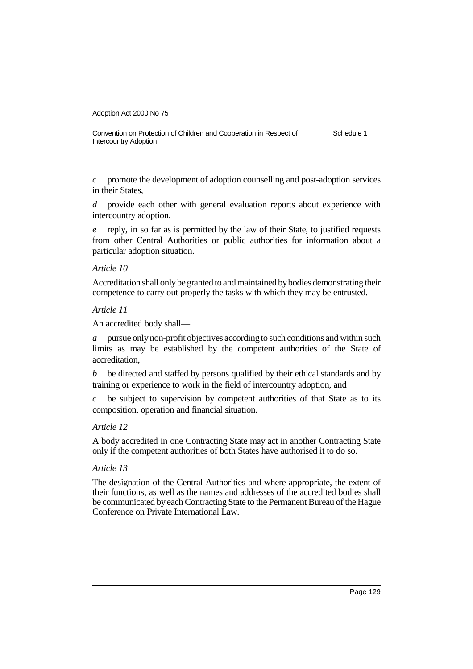Convention on Protection of Children and Cooperation in Respect of Intercountry Adoption Schedule 1

*c* promote the development of adoption counselling and post-adoption services in their States,

*d* provide each other with general evaluation reports about experience with intercountry adoption,

*e* reply, in so far as is permitted by the law of their State, to justified requests from other Central Authorities or public authorities for information about a particular adoption situation.

## *Article 10*

Accreditation shall only be granted to and maintained by bodies demonstrating their competence to carry out properly the tasks with which they may be entrusted.

## *Article 11*

An accredited body shall—

*a* pursue only non-profit objectives according to such conditions and within such limits as may be established by the competent authorities of the State of accreditation,

*b* be directed and staffed by persons qualified by their ethical standards and by training or experience to work in the field of intercountry adoption, and

*c* be subject to supervision by competent authorities of that State as to its composition, operation and financial situation.

# *Article 12*

A body accredited in one Contracting State may act in another Contracting State only if the competent authorities of both States have authorised it to do so.

# *Article 13*

The designation of the Central Authorities and where appropriate, the extent of their functions, as well as the names and addresses of the accredited bodies shall be communicated by each Contracting State to the Permanent Bureau of the Hague Conference on Private International Law.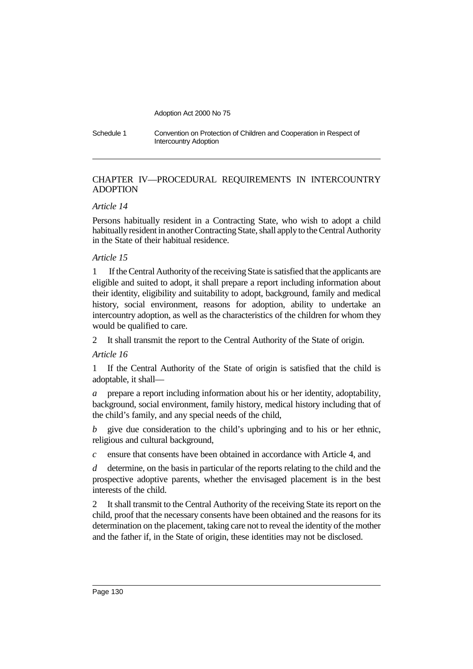Schedule 1 Convention on Protection of Children and Cooperation in Respect of Intercountry Adoption

# CHAPTER IV—PROCEDURAL REQUIREMENTS IN INTERCOUNTRY ADOPTION

#### *Article 14*

Persons habitually resident in a Contracting State, who wish to adopt a child habitually resident in another Contracting State, shall apply to the Central Authority in the State of their habitual residence.

## *Article 15*

1 If the Central Authority of the receiving State is satisfied that the applicants are eligible and suited to adopt, it shall prepare a report including information about their identity, eligibility and suitability to adopt, background, family and medical history, social environment, reasons for adoption, ability to undertake an intercountry adoption, as well as the characteristics of the children for whom they would be qualified to care.

2 It shall transmit the report to the Central Authority of the State of origin.

*Article 16*

1 If the Central Authority of the State of origin is satisfied that the child is adoptable, it shall—

*a* prepare a report including information about his or her identity, adoptability, background, social environment, family history, medical history including that of the child's family, and any special needs of the child,

*b* give due consideration to the child's upbringing and to his or her ethnic, religious and cultural background,

*c* ensure that consents have been obtained in accordance with Article 4, and

*d* determine, on the basis in particular of the reports relating to the child and the prospective adoptive parents, whether the envisaged placement is in the best interests of the child.

2 It shall transmit to the Central Authority of the receiving State its report on the child, proof that the necessary consents have been obtained and the reasons for its determination on the placement, taking care not to reveal the identity of the mother and the father if, in the State of origin, these identities may not be disclosed.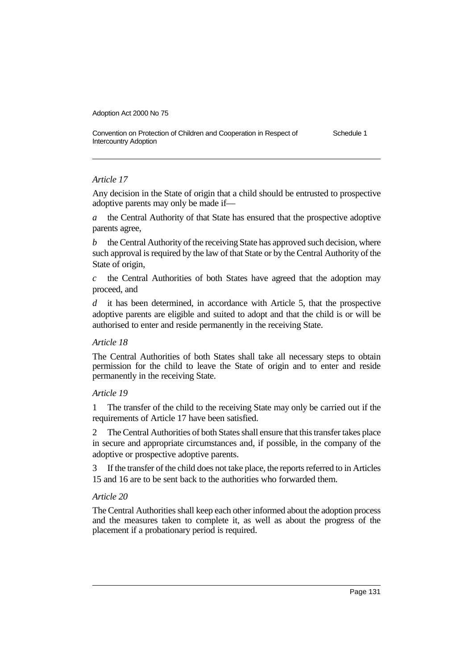Convention on Protection of Children and Cooperation in Respect of Intercountry Adoption Schedule 1

#### *Article 17*

Any decision in the State of origin that a child should be entrusted to prospective adoptive parents may only be made if—

*a* the Central Authority of that State has ensured that the prospective adoptive parents agree,

*b* the Central Authority of the receiving State has approved such decision, where such approval is required by the law of that State or by the Central Authority of the State of origin,

*c* the Central Authorities of both States have agreed that the adoption may proceed, and

*d* it has been determined, in accordance with Article 5, that the prospective adoptive parents are eligible and suited to adopt and that the child is or will be authorised to enter and reside permanently in the receiving State.

#### *Article 18*

The Central Authorities of both States shall take all necessary steps to obtain permission for the child to leave the State of origin and to enter and reside permanently in the receiving State.

#### *Article 19*

1 The transfer of the child to the receiving State may only be carried out if the requirements of Article 17 have been satisfied.

2 The Central Authorities of both States shall ensure that this transfer takes place in secure and appropriate circumstances and, if possible, in the company of the adoptive or prospective adoptive parents.

3 If the transfer of the child does not take place, the reports referred to in Articles 15 and 16 are to be sent back to the authorities who forwarded them.

# *Article 20*

The Central Authorities shall keep each other informed about the adoption process and the measures taken to complete it, as well as about the progress of the placement if a probationary period is required.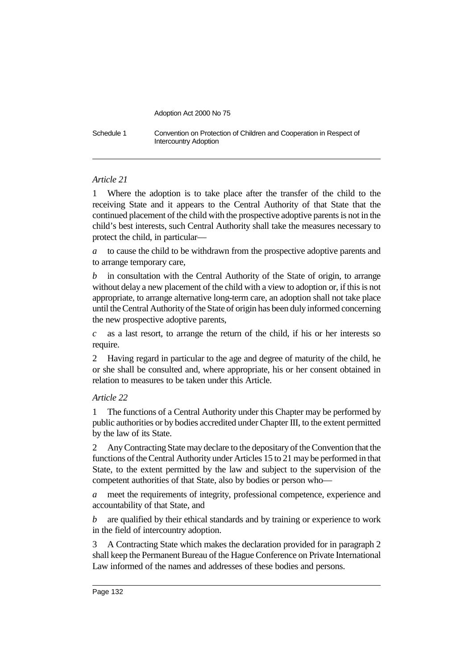Schedule 1 Convention on Protection of Children and Cooperation in Respect of Intercountry Adoption

#### *Article 21*

1 Where the adoption is to take place after the transfer of the child to the receiving State and it appears to the Central Authority of that State that the continued placement of the child with the prospective adoptive parents is not in the child's best interests, such Central Authority shall take the measures necessary to protect the child, in particular—

*a* to cause the child to be withdrawn from the prospective adoptive parents and to arrange temporary care,

*b* in consultation with the Central Authority of the State of origin, to arrange without delay a new placement of the child with a view to adoption or, if this is not appropriate, to arrange alternative long-term care, an adoption shall not take place until the Central Authority of the State of origin has been duly informed concerning the new prospective adoptive parents,

*c* as a last resort, to arrange the return of the child, if his or her interests so require.

2 Having regard in particular to the age and degree of maturity of the child, he or she shall be consulted and, where appropriate, his or her consent obtained in relation to measures to be taken under this Article.

#### *Article 22*

1 The functions of a Central Authority under this Chapter may be performed by public authorities or by bodies accredited under Chapter III, to the extent permitted by the law of its State.

2 Any Contracting State may declare to the depositary of the Convention that the functions of the Central Authority under Articles 15 to 21 may be performed in that State, to the extent permitted by the law and subject to the supervision of the competent authorities of that State, also by bodies or person who—

*a* meet the requirements of integrity, professional competence, experience and accountability of that State, and

*b* are qualified by their ethical standards and by training or experience to work in the field of intercountry adoption.

3 A Contracting State which makes the declaration provided for in paragraph 2 shall keep the Permanent Bureau of the Hague Conference on Private International Law informed of the names and addresses of these bodies and persons.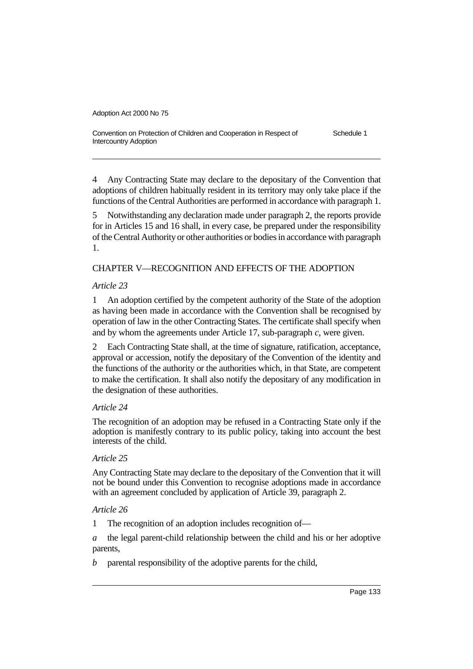| Convention on Protection of Children and Cooperation in Respect of | Schedule 1 |
|--------------------------------------------------------------------|------------|
| Intercountry Adoption                                              |            |

4 Any Contracting State may declare to the depositary of the Convention that adoptions of children habitually resident in its territory may only take place if the functions of the Central Authorities are performed in accordance with paragraph 1.

5 Notwithstanding any declaration made under paragraph 2, the reports provide for in Articles 15 and 16 shall, in every case, be prepared under the responsibility of the Central Authority or other authorities or bodies in accordance with paragraph 1.

# CHAPTER V—RECOGNITION AND EFFECTS OF THE ADOPTION

# *Article 23*

1 An adoption certified by the competent authority of the State of the adoption as having been made in accordance with the Convention shall be recognised by operation of law in the other Contracting States. The certificate shall specify when and by whom the agreements under Article 17, sub-paragraph *c*, were given.

2 Each Contracting State shall, at the time of signature, ratification, acceptance, approval or accession, notify the depositary of the Convention of the identity and the functions of the authority or the authorities which, in that State, are competent to make the certification. It shall also notify the depositary of any modification in the designation of these authorities.

#### *Article 24*

The recognition of an adoption may be refused in a Contracting State only if the adoption is manifestly contrary to its public policy, taking into account the best interests of the child.

# *Article 25*

Any Contracting State may declare to the depositary of the Convention that it will not be bound under this Convention to recognise adoptions made in accordance with an agreement concluded by application of Article 39, paragraph 2.

# *Article 26*

1 The recognition of an adoption includes recognition of—

*a* the legal parent-child relationship between the child and his or her adoptive parents,

*b* parental responsibility of the adoptive parents for the child,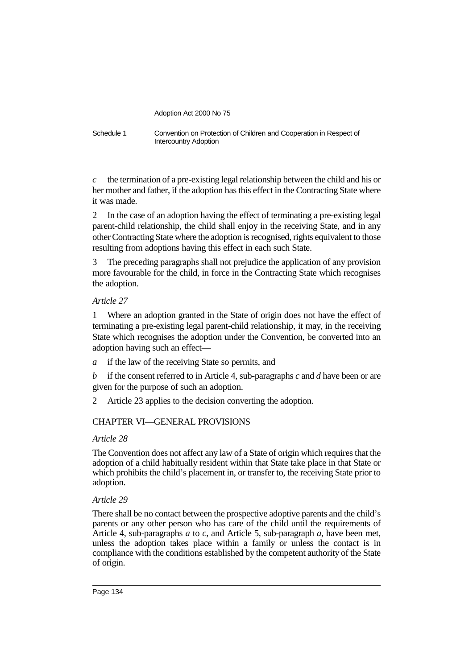Schedule 1 Convention on Protection of Children and Cooperation in Respect of Intercountry Adoption

*c* the termination of a pre-existing legal relationship between the child and his or her mother and father, if the adoption has this effect in the Contracting State where it was made.

2 In the case of an adoption having the effect of terminating a pre-existing legal parent-child relationship, the child shall enjoy in the receiving State, and in any other Contracting State where the adoption is recognised, rights equivalent to those resulting from adoptions having this effect in each such State.

3 The preceding paragraphs shall not prejudice the application of any provision more favourable for the child, in force in the Contracting State which recognises the adoption.

## *Article 27*

1 Where an adoption granted in the State of origin does not have the effect of terminating a pre-existing legal parent-child relationship, it may, in the receiving State which recognises the adoption under the Convention, be converted into an adoption having such an effect—

*a* if the law of the receiving State so permits, and

*b* if the consent referred to in Article 4, sub-paragraphs *c* and *d* have been or are given for the purpose of such an adoption.

2 Article 23 applies to the decision converting the adoption.

## CHAPTER VI—GENERAL PROVISIONS

## *Article 28*

The Convention does not affect any law of a State of origin which requires that the adoption of a child habitually resident within that State take place in that State or which prohibits the child's placement in, or transfer to, the receiving State prior to adoption.

## *Article 29*

There shall be no contact between the prospective adoptive parents and the child's parents or any other person who has care of the child until the requirements of Article 4, sub-paragraphs *a* to *c*, and Article 5, sub-paragraph *a*, have been met, unless the adoption takes place within a family or unless the contact is in compliance with the conditions established by the competent authority of the State of origin.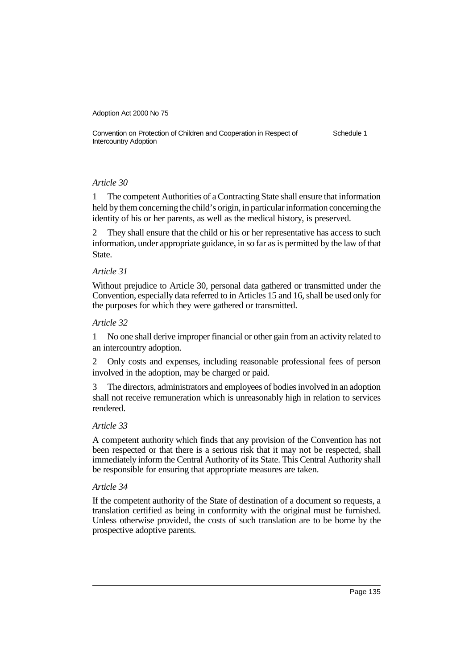Convention on Protection of Children and Cooperation in Respect of Intercountry Adoption Schedule 1

## *Article 30*

1 The competent Authorities of a Contracting State shall ensure that information held by them concerning the child's origin, in particular information concerning the identity of his or her parents, as well as the medical history, is preserved.

2 They shall ensure that the child or his or her representative has access to such information, under appropriate guidance, in so far as is permitted by the law of that State.

## *Article 31*

Without prejudice to Article 30, personal data gathered or transmitted under the Convention, especially data referred to in Articles 15 and 16, shall be used only for the purposes for which they were gathered or transmitted.

## *Article 32*

1 No one shall derive improper financial or other gain from an activity related to an intercountry adoption.

2 Only costs and expenses, including reasonable professional fees of person involved in the adoption, may be charged or paid.

3 The directors, administrators and employees of bodies involved in an adoption shall not receive remuneration which is unreasonably high in relation to services rendered.

## *Article 33*

A competent authority which finds that any provision of the Convention has not been respected or that there is a serious risk that it may not be respected, shall immediately inform the Central Authority of its State. This Central Authority shall be responsible for ensuring that appropriate measures are taken.

## *Article 34*

If the competent authority of the State of destination of a document so requests, a translation certified as being in conformity with the original must be furnished. Unless otherwise provided, the costs of such translation are to be borne by the prospective adoptive parents.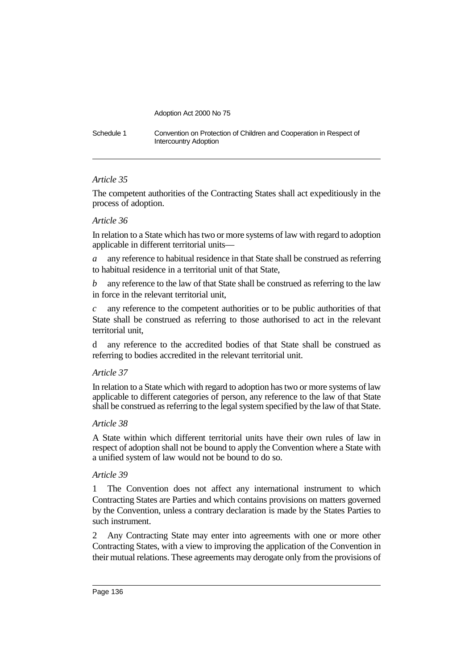Schedule 1 Convention on Protection of Children and Cooperation in Respect of Intercountry Adoption

#### *Article 35*

The competent authorities of the Contracting States shall act expeditiously in the process of adoption.

#### *Article 36*

In relation to a State which has two or more systems of law with regard to adoption applicable in different territorial units—

*a* any reference to habitual residence in that State shall be construed as referring to habitual residence in a territorial unit of that State,

*b* any reference to the law of that State shall be construed as referring to the law in force in the relevant territorial unit,

*c* any reference to the competent authorities or to be public authorities of that State shall be construed as referring to those authorised to act in the relevant territorial unit,

d any reference to the accredited bodies of that State shall be construed as referring to bodies accredited in the relevant territorial unit.

## *Article 37*

In relation to a State which with regard to adoption has two or more systems of law applicable to different categories of person, any reference to the law of that State shall be construed as referring to the legal system specified by the law of that State.

## *Article 38*

A State within which different territorial units have their own rules of law in respect of adoption shall not be bound to apply the Convention where a State with a unified system of law would not be bound to do so.

## *Article 39*

1 The Convention does not affect any international instrument to which Contracting States are Parties and which contains provisions on matters governed by the Convention, unless a contrary declaration is made by the States Parties to such instrument.

2 Any Contracting State may enter into agreements with one or more other Contracting States, with a view to improving the application of the Convention in their mutual relations. These agreements may derogate only from the provisions of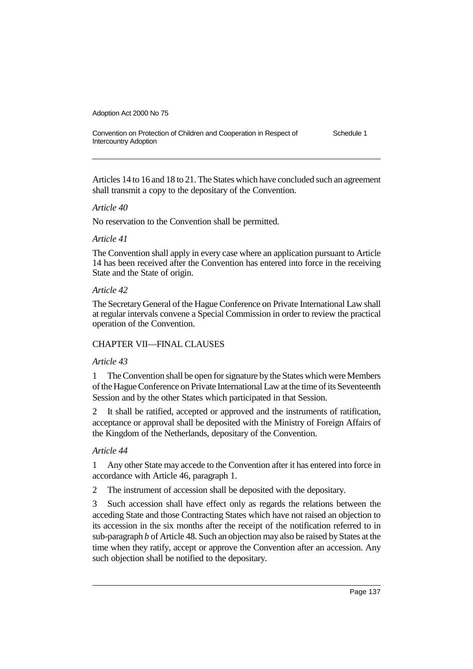Convention on Protection of Children and Cooperation in Respect of Intercountry Adoption Schedule 1

Articles 14 to 16 and 18 to 21. The States which have concluded such an agreement shall transmit a copy to the depositary of the Convention.

## *Article 40*

No reservation to the Convention shall be permitted.

# *Article 41*

The Convention shall apply in every case where an application pursuant to Article 14 has been received after the Convention has entered into force in the receiving State and the State of origin.

# *Article 42*

The Secretary General of the Hague Conference on Private International Law shall at regular intervals convene a Special Commission in order to review the practical operation of the Convention.

# CHAPTER VII—FINAL CLAUSES

# *Article 43*

1 The Convention shall be open for signature by the States which were Members of the Hague Conference on Private International Law at the time of its Seventeenth Session and by the other States which participated in that Session.

2 It shall be ratified, accepted or approved and the instruments of ratification, acceptance or approval shall be deposited with the Ministry of Foreign Affairs of the Kingdom of the Netherlands, depositary of the Convention.

# *Article 44*

1 Any other State may accede to the Convention after it has entered into force in accordance with Article 46, paragraph 1.

2 The instrument of accession shall be deposited with the depositary.

3 Such accession shall have effect only as regards the relations between the acceding State and those Contracting States which have not raised an objection to its accession in the six months after the receipt of the notification referred to in sub-paragraph *b* of Article 48. Such an objection may also be raised by States at the time when they ratify, accept or approve the Convention after an accession. Any such objection shall be notified to the depositary.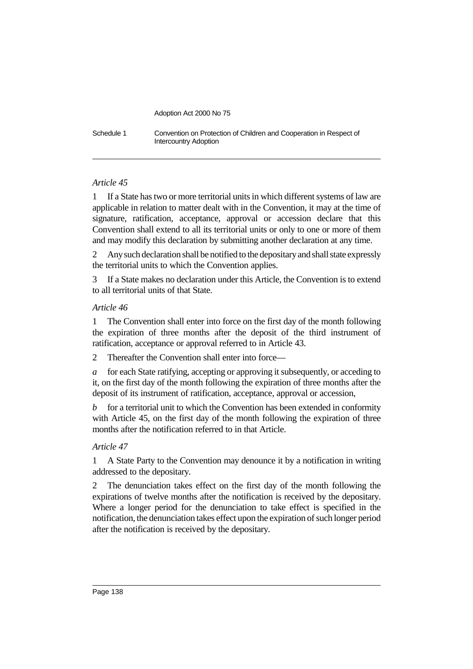Schedule 1 Convention on Protection of Children and Cooperation in Respect of Intercountry Adoption

#### *Article 45*

1 If a State has two or more territorial units in which different systems of law are applicable in relation to matter dealt with in the Convention, it may at the time of signature, ratification, acceptance, approval or accession declare that this Convention shall extend to all its territorial units or only to one or more of them and may modify this declaration by submitting another declaration at any time.

2 Any such declaration shall be notified to the depositary and shall state expressly the territorial units to which the Convention applies.

3 If a State makes no declaration under this Article, the Convention is to extend to all territorial units of that State.

## *Article 46*

1 The Convention shall enter into force on the first day of the month following the expiration of three months after the deposit of the third instrument of ratification, acceptance or approval referred to in Article 43.

2 Thereafter the Convention shall enter into force—

*a* for each State ratifying, accepting or approving it subsequently, or acceding to it, on the first day of the month following the expiration of three months after the deposit of its instrument of ratification, acceptance, approval or accession,

*b* for a territorial unit to which the Convention has been extended in conformity with Article 45, on the first day of the month following the expiration of three months after the notification referred to in that Article.

## *Article 47*

1 A State Party to the Convention may denounce it by a notification in writing addressed to the depositary.

2 The denunciation takes effect on the first day of the month following the expirations of twelve months after the notification is received by the depositary. Where a longer period for the denunciation to take effect is specified in the notification, the denunciation takes effect upon the expiration of such longer period after the notification is received by the depositary.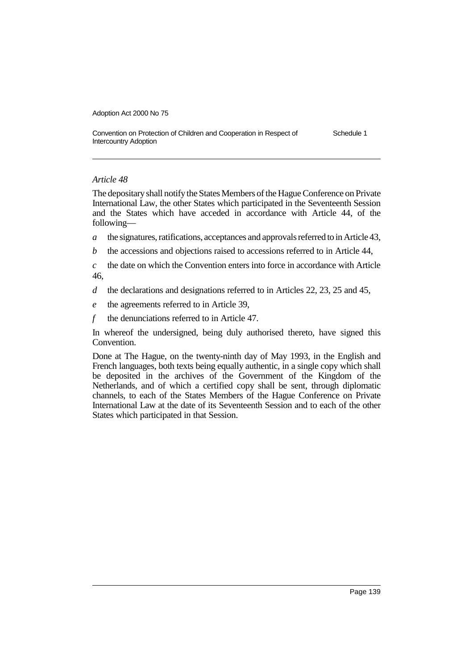Convention on Protection of Children and Cooperation in Respect of Intercountry Adoption Schedule 1

## *Article 48*

The depositary shall notify the States Members of the Hague Conference on Private International Law, the other States which participated in the Seventeenth Session and the States which have acceded in accordance with Article 44, of the following—

*a* the signatures, ratifications, acceptances and approvals referred to in Article 43,

*b* the accessions and objections raised to accessions referred to in Article 44,

*c* the date on which the Convention enters into force in accordance with Article 46,

*d* the declarations and designations referred to in Articles 22, 23, 25 and 45,

*e* the agreements referred to in Article 39,

*f* the denunciations referred to in Article 47.

In whereof the undersigned, being duly authorised thereto, have signed this Convention.

Done at The Hague, on the twenty-ninth day of May 1993, in the English and French languages, both texts being equally authentic, in a single copy which shall be deposited in the archives of the Government of the Kingdom of the Netherlands, and of which a certified copy shall be sent, through diplomatic channels, to each of the States Members of the Hague Conference on Private International Law at the date of its Seventeenth Session and to each of the other States which participated in that Session.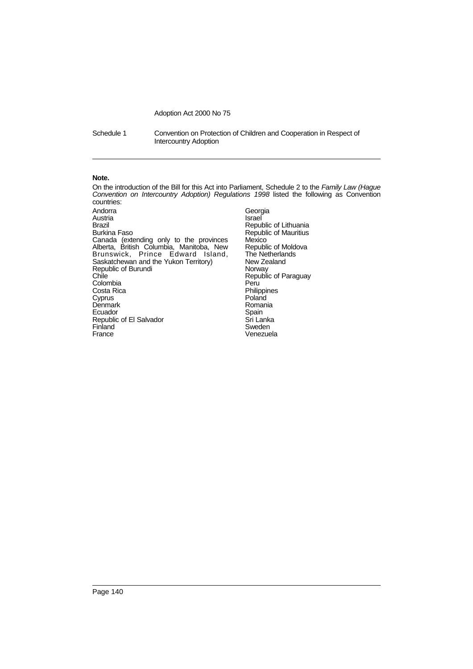Schedule 1 Convention on Protection of Children and Cooperation in Respect of Intercountry Adoption

#### **Note.**

On the introduction of the Bill for this Act into Parliament, Schedule 2 to the Family Law (Hague Convention on Intercountry Adoption) Regulations 1998 listed the following as Convention countries: Andorra Austria Brazil Burkina Faso Canada (extending only to the provinces Alberta, British Columbia, Manitoba, New Brunswick, Prince Edward Island, Saskatchewan and the Yukon Territory) Republic of Burundi Chile Colombia Costa Rica **Cyprus Denmark Ecuador** Republic of El Salvador Finland France Georgia Israel Republic of Lithuania Republic of Mauritius **Mexico** Republic of Moldova The Netherlands New Zealand Norway Republic of Paraguay Peru **Philippines** Poland Romania Spain Sri Lanka Sweden Venezuela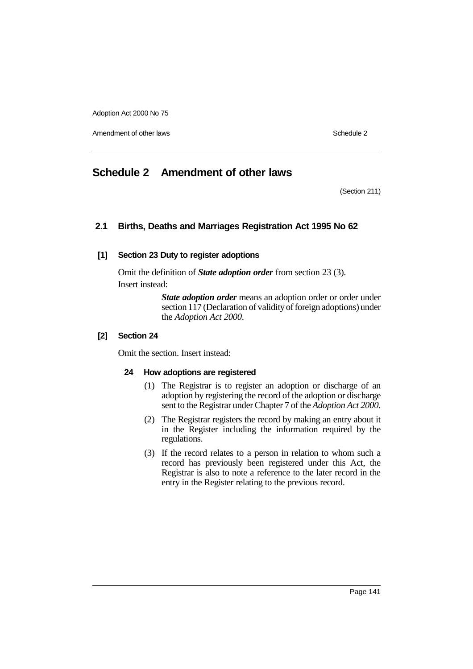Amendment of other laws **Schedule 2** and the 2 and 2 and 2 and 2 and 2 and 2 and 2 and 2 and 2 and 2 and 2 and 2 and 2 and 2 and 2 and 2 and 2 and 2 and 2 and 2 and 2 and 2 and 2 and 2 and 2 and 2 and 2 and 2 and 2 and 2 a

# **Schedule 2 Amendment of other laws**

(Section 211)

# **2.1 Births, Deaths and Marriages Registration Act 1995 No 62**

#### **[1] Section 23 Duty to register adoptions**

Omit the definition of *State adoption order* from section 23 (3). Insert instead:

> *State adoption order* means an adoption order or order under section 117 (Declaration of validity of foreign adoptions) under the *Adoption Act 2000*.

## **[2] Section 24**

Omit the section. Insert instead:

### **24 How adoptions are registered**

- (1) The Registrar is to register an adoption or discharge of an adoption by registering the record of the adoption or discharge sent to the Registrar under Chapter 7 of the *Adoption Act 2000*.
- (2) The Registrar registers the record by making an entry about it in the Register including the information required by the regulations.
- (3) If the record relates to a person in relation to whom such a record has previously been registered under this Act, the Registrar is also to note a reference to the later record in the entry in the Register relating to the previous record.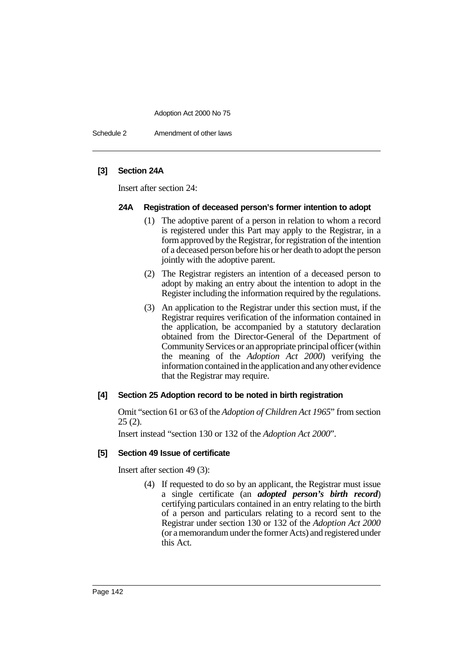Schedule 2 Amendment of other laws

# **[3] Section 24A**

Insert after section 24:

## **24A Registration of deceased person's former intention to adopt**

- (1) The adoptive parent of a person in relation to whom a record is registered under this Part may apply to the Registrar, in a form approved by the Registrar, for registration of the intention of a deceased person before his or her death to adopt the person jointly with the adoptive parent.
- (2) The Registrar registers an intention of a deceased person to adopt by making an entry about the intention to adopt in the Register including the information required by the regulations.
- (3) An application to the Registrar under this section must, if the Registrar requires verification of the information contained in the application, be accompanied by a statutory declaration obtained from the Director-General of the Department of Community Services or an appropriate principal officer (within the meaning of the *Adoption Act 2000*) verifying the information contained in the application and any other evidence that the Registrar may require.

## **[4] Section 25 Adoption record to be noted in birth registration**

Omit "section 61 or 63 of the *Adoption of Children Act 1965*" from section 25 (2).

Insert instead "section 130 or 132 of the *Adoption Act 2000*".

## **[5] Section 49 Issue of certificate**

Insert after section 49 (3):

(4) If requested to do so by an applicant, the Registrar must issue a single certificate (an *adopted person's birth record*) certifying particulars contained in an entry relating to the birth of a person and particulars relating to a record sent to the Registrar under section 130 or 132 of the *Adoption Act 2000* (or a memorandum under the former Acts) and registered under this Act.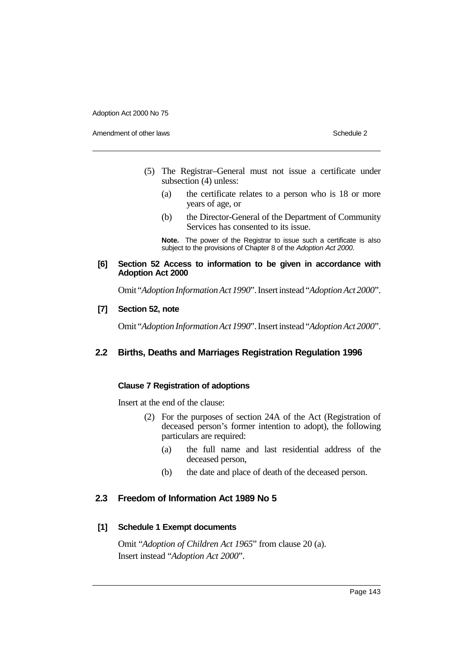Amendment of other laws Schedule 2 and the control of the laws Schedule 2 and 2 and 2 and 2 and 2 and 2 and 2 and 2 and 2 and 2 and 2 and 2 and 2 and 2 and 2 and 2 and 2 and 2 and 2 and 2 and 2 and 2 and 2 and 2 and 2 and

- (5) The Registrar–General must not issue a certificate under subsection (4) unless:
	- (a) the certificate relates to a person who is 18 or more years of age, or
	- (b) the Director-General of the Department of Community Services has consented to its issue.

**Note.** The power of the Registrar to issue such a certificate is also subject to the provisions of Chapter 8 of the Adoption Act 2000.

#### **[6] Section 52 Access to information to be given in accordance with Adoption Act 2000**

Omit "*Adoption Information Act 1990*". Insert instead "*Adoption Act 2000*".

#### **[7] Section 52, note**

Omit "*Adoption Information Act 1990*". Insert instead "*Adoption Act 2000*".

# **2.2 Births, Deaths and Marriages Registration Regulation 1996**

#### **Clause 7 Registration of adoptions**

Insert at the end of the clause:

- (2) For the purposes of section 24A of the Act (Registration of deceased person's former intention to adopt), the following particulars are required:
	- (a) the full name and last residential address of the deceased person,
	- (b) the date and place of death of the deceased person.

#### **2.3 Freedom of Information Act 1989 No 5**

#### **[1] Schedule 1 Exempt documents**

Omit "*Adoption of Children Act 1965*" from clause 20 (a). Insert instead "*Adoption Act 2000*".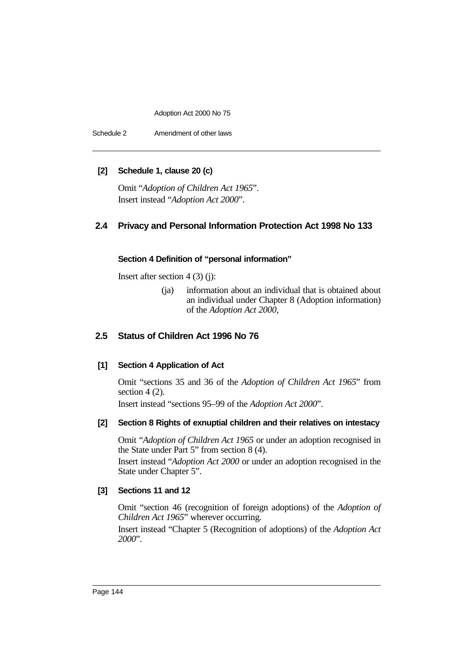Schedule 2 Amendment of other laws

### **[2] Schedule 1, clause 20 (c)**

Omit "*Adoption of Children Act 1965*". Insert instead "*Adoption Act 2000*".

# **2.4 Privacy and Personal Information Protection Act 1998 No 133**

#### **Section 4 Definition of "personal information"**

Insert after section  $4(3)(i)$ :

(ja) information about an individual that is obtained about an individual under Chapter 8 (Adoption information) of the *Adoption Act 2000*,

# **2.5 Status of Children Act 1996 No 76**

## **[1] Section 4 Application of Act**

Omit "sections 35 and 36 of the *Adoption of Children Act 1965*" from section 4 (2).

Insert instead "sections 95–99 of the *Adoption Act 2000*".

## **[2] Section 8 Rights of exnuptial children and their relatives on intestacy**

Omit "*Adoption of Children Act 1965* or under an adoption recognised in the State under Part 5" from section 8 (4).

Insert instead "*Adoption Act 2000* or under an adoption recognised in the State under Chapter 5".

# **[3] Sections 11 and 12**

Omit "section 46 (recognition of foreign adoptions) of the *Adoption of Children Act 1965*" wherever occurring.

Insert instead "Chapter 5 (Recognition of adoptions) of the *Adoption Act 2000*".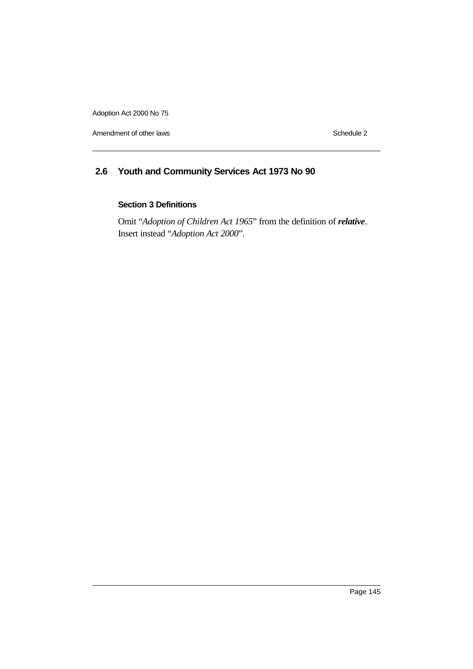Amendment of other laws Schedule 2

# **2.6 Youth and Community Services Act 1973 No 90**

# **Section 3 Definitions**

Omit "*Adoption of Children Act 1965*" from the definition of *relative*. Insert instead "*Adoption Act 2000*".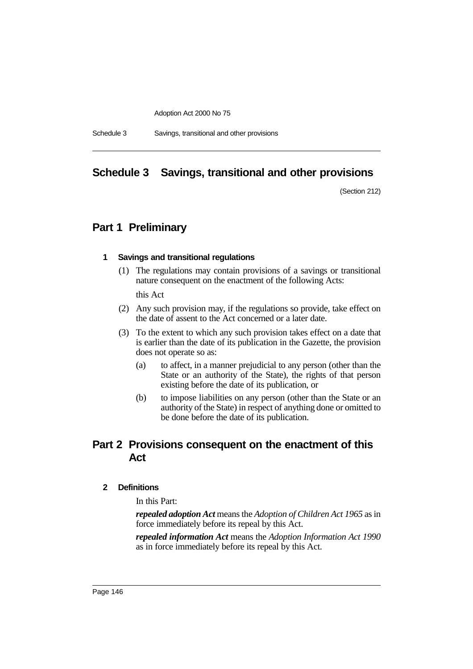Schedule 3 Savings, transitional and other provisions

# **Schedule 3 Savings, transitional and other provisions**

(Section 212)

# **Part 1 Preliminary**

## **1 Savings and transitional regulations**

(1) The regulations may contain provisions of a savings or transitional nature consequent on the enactment of the following Acts:

this Act

- (2) Any such provision may, if the regulations so provide, take effect on the date of assent to the Act concerned or a later date.
- (3) To the extent to which any such provision takes effect on a date that is earlier than the date of its publication in the Gazette, the provision does not operate so as:
	- (a) to affect, in a manner prejudicial to any person (other than the State or an authority of the State), the rights of that person existing before the date of its publication, or
	- (b) to impose liabilities on any person (other than the State or an authority of the State) in respect of anything done or omitted to be done before the date of its publication.

# **Part 2 Provisions consequent on the enactment of this Act**

# **2 Definitions**

In this Part:

*repealed adoption Act* means the *Adoption of Children Act 1965* as in force immediately before its repeal by this Act.

*repealed information Act* means the *Adoption Information Act 1990* as in force immediately before its repeal by this Act.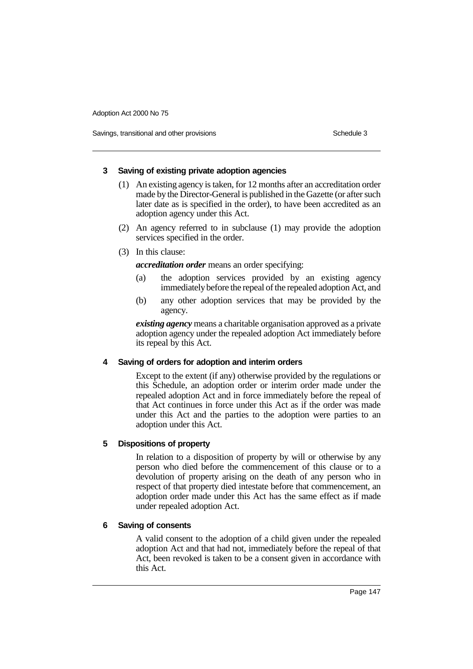Savings, transitional and other provisions Schedule 3

#### **3 Saving of existing private adoption agencies**

- (1) An existing agency is taken, for 12 months after an accreditation order made by the Director-General is published in the Gazette (or after such later date as is specified in the order), to have been accredited as an adoption agency under this Act.
- (2) An agency referred to in subclause (1) may provide the adoption services specified in the order.
- (3) In this clause:

*accreditation order* means an order specifying:

- (a) the adoption services provided by an existing agency immediately before the repeal of the repealed adoption Act, and
- (b) any other adoption services that may be provided by the agency.

*existing agency* means a charitable organisation approved as a private adoption agency under the repealed adoption Act immediately before its repeal by this Act.

## **4 Saving of orders for adoption and interim orders**

Except to the extent (if any) otherwise provided by the regulations or this Schedule, an adoption order or interim order made under the repealed adoption Act and in force immediately before the repeal of that Act continues in force under this Act as if the order was made under this Act and the parties to the adoption were parties to an adoption under this Act.

## **5 Dispositions of property**

In relation to a disposition of property by will or otherwise by any person who died before the commencement of this clause or to a devolution of property arising on the death of any person who in respect of that property died intestate before that commencement, an adoption order made under this Act has the same effect as if made under repealed adoption Act.

## **6 Saving of consents**

A valid consent to the adoption of a child given under the repealed adoption Act and that had not, immediately before the repeal of that Act, been revoked is taken to be a consent given in accordance with this Act.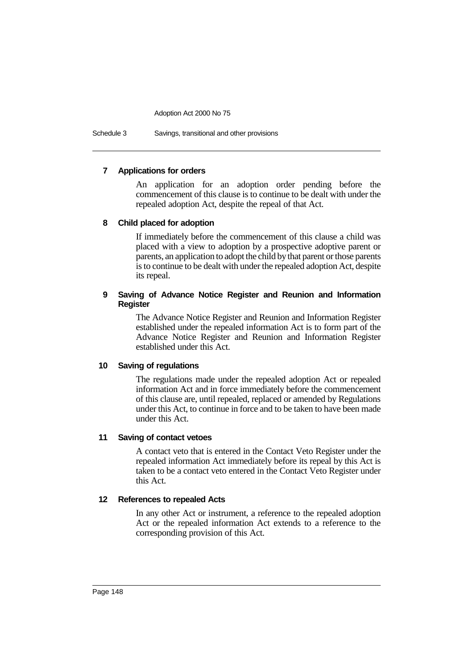Schedule 3 Savings, transitional and other provisions

## **7 Applications for orders**

An application for an adoption order pending before the commencement of this clause is to continue to be dealt with under the repealed adoption Act, despite the repeal of that Act.

#### **8 Child placed for adoption**

If immediately before the commencement of this clause a child was placed with a view to adoption by a prospective adoptive parent or parents, an application to adopt the child by that parent or those parents is to continue to be dealt with under the repealed adoption Act, despite its repeal.

## **9 Saving of Advance Notice Register and Reunion and Information Register**

The Advance Notice Register and Reunion and Information Register established under the repealed information Act is to form part of the Advance Notice Register and Reunion and Information Register established under this Act.

#### **10 Saving of regulations**

The regulations made under the repealed adoption Act or repealed information Act and in force immediately before the commencement of this clause are, until repealed, replaced or amended by Regulations under this Act, to continue in force and to be taken to have been made under this Act.

#### **11 Saving of contact vetoes**

A contact veto that is entered in the Contact Veto Register under the repealed information Act immediately before its repeal by this Act is taken to be a contact veto entered in the Contact Veto Register under this Act.

#### **12 References to repealed Acts**

In any other Act or instrument, a reference to the repealed adoption Act or the repealed information Act extends to a reference to the corresponding provision of this Act.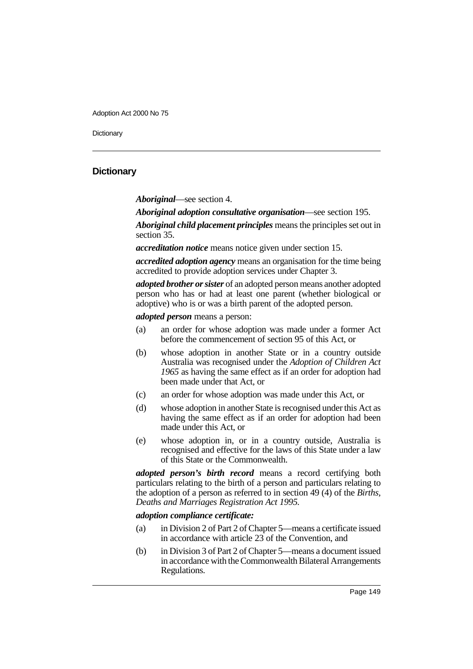**Dictionary** 

## **Dictionary**

*Aboriginal*—see section 4.

*Aboriginal adoption consultative organisation*—see section 195. *Aboriginal child placement principles* means the principles set out in section 35.

*accreditation notice* means notice given under section 15.

*accredited adoption agency* means an organisation for the time being accredited to provide adoption services under Chapter 3.

*adopted brother or sister* of an adopted person means another adopted person who has or had at least one parent (whether biological or adoptive) who is or was a birth parent of the adopted person.

*adopted person* means a person:

- (a) an order for whose adoption was made under a former Act before the commencement of section 95 of this Act, or
- (b) whose adoption in another State or in a country outside Australia was recognised under the *Adoption of Children Act 1965* as having the same effect as if an order for adoption had been made under that Act, or
- (c) an order for whose adoption was made under this Act, or
- (d) whose adoption in another State is recognised under this Act as having the same effect as if an order for adoption had been made under this Act, or
- (e) whose adoption in, or in a country outside, Australia is recognised and effective for the laws of this State under a law of this State or the Commonwealth.

*adopted person's birth record* means a record certifying both particulars relating to the birth of a person and particulars relating to the adoption of a person as referred to in section 49 (4) of the *Births, Deaths and Marriages Registration Act 1995.*

#### *adoption compliance certificate:*

- (a) in Division 2 of Part 2 of Chapter 5—means a certificate issued in accordance with article 23 of the Convention, and
- (b) in Division 3 of Part 2 of Chapter 5—means a document issued in accordance with the Commonwealth Bilateral Arrangements Regulations.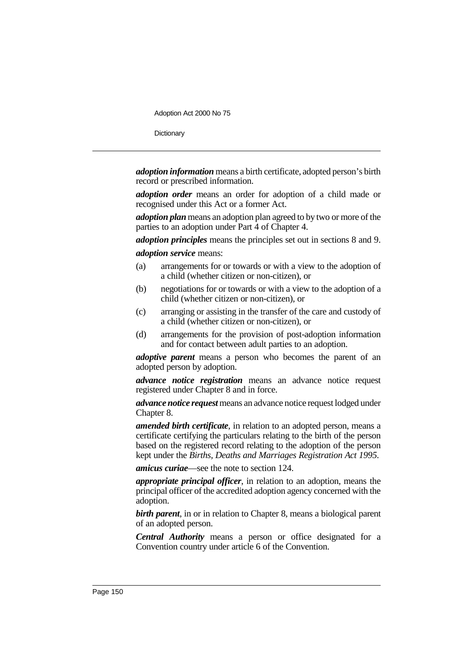**Dictionary** 

*adoption information* means a birth certificate, adopted person's birth record or prescribed information.

*adoption order* means an order for adoption of a child made or recognised under this Act or a former Act.

*adoption plan* means an adoption plan agreed to by two or more of the parties to an adoption under Part 4 of Chapter 4.

*adoption principles* means the principles set out in sections 8 and 9. *adoption service* means:

- (a) arrangements for or towards or with a view to the adoption of a child (whether citizen or non-citizen), or
- (b) negotiations for or towards or with a view to the adoption of a child (whether citizen or non-citizen), or
- (c) arranging or assisting in the transfer of the care and custody of a child (whether citizen or non-citizen), or
- (d) arrangements for the provision of post-adoption information and for contact between adult parties to an adoption.

*adoptive parent* means a person who becomes the parent of an adopted person by adoption.

*advance notice registration* means an advance notice request registered under Chapter 8 and in force.

*advance notice request* means an advance notice request lodged under Chapter 8.

*amended birth certificate*, in relation to an adopted person, means a certificate certifying the particulars relating to the birth of the person based on the registered record relating to the adoption of the person kept under the *Births, Deaths and Marriages Registration Act 1995*.

*amicus curiae*—see the note to section 124.

*appropriate principal officer*, in relation to an adoption, means the principal officer of the accredited adoption agency concerned with the adoption.

*birth parent*, in or in relation to Chapter 8, means a biological parent of an adopted person.

*Central Authority* means a person or office designated for a Convention country under article 6 of the Convention.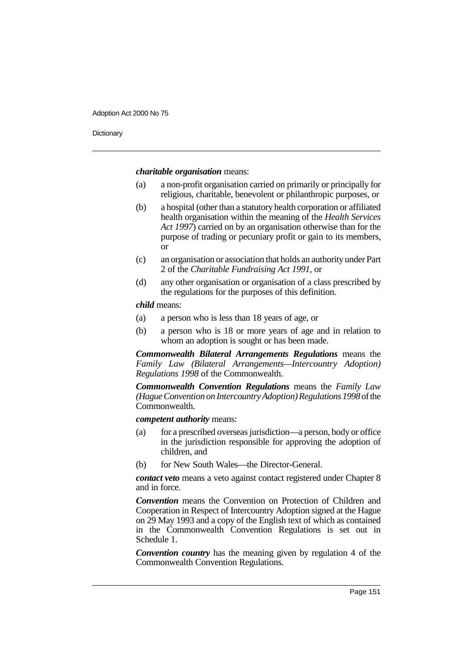#### **Dictionary**

#### *charitable organisation* means:

- (a) a non-profit organisation carried on primarily or principally for religious, charitable, benevolent or philanthropic purposes, or
- (b) a hospital (other than a statutory health corporation or affiliated health organisation within the meaning of the *Health Services Act 1997*) carried on by an organisation otherwise than for the purpose of trading or pecuniary profit or gain to its members, or
- (c) an organisation or association that holds an authority under Part 2 of the *Charitable Fundraising Act 1991*, or
- (d) any other organisation or organisation of a class prescribed by the regulations for the purposes of this definition.

#### *child* means:

- (a) a person who is less than 18 years of age, or
- (b) a person who is 18 or more years of age and in relation to whom an adoption is sought or has been made.

*Commonwealth Bilateral Arrangements Regulations* means the *Family Law (Bilateral Arrangements—Intercountry Adoption) Regulations 1998* of the Commonwealth.

*Commonwealth Convention Regulations* means the *Family Law (Hague Convention on Intercountry Adoption) Regulations 1998* of the Commonwealth.

#### *competent authority* means:

- (a) for a prescribed overseas jurisdiction—a person, body or office in the jurisdiction responsible for approving the adoption of children, and
- (b) for New South Wales—the Director-General.

*contact veto* means a veto against contact registered under Chapter 8 and in force.

*Convention* means the Convention on Protection of Children and Cooperation in Respect of Intercountry Adoption signed at the Hague on 29 May 1993 and a copy of the English text of which as contained in the Commonwealth Convention Regulations is set out in Schedule 1.

*Convention country* has the meaning given by regulation 4 of the Commonwealth Convention Regulations.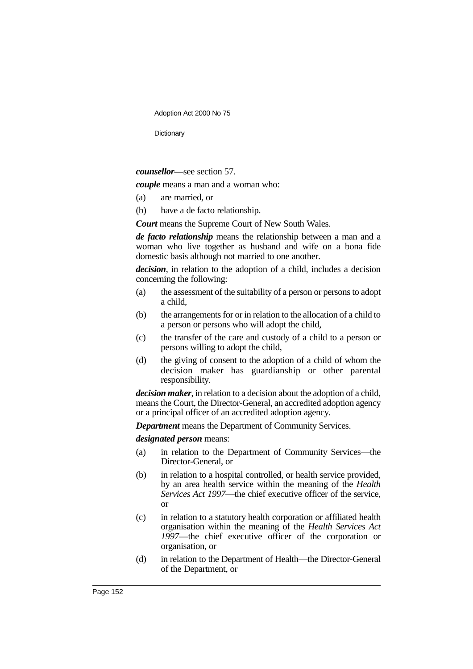**Dictionary** 

*counsellor*—see section 57.

*couple* means a man and a woman who:

- (a) are married, or
- (b) have a de facto relationship.

*Court* means the Supreme Court of New South Wales.

*de facto relationship* means the relationship between a man and a woman who live together as husband and wife on a bona fide domestic basis although not married to one another.

*decision*, in relation to the adoption of a child, includes a decision concerning the following:

- (a) the assessment of the suitability of a person or persons to adopt a child,
- (b) the arrangements for or in relation to the allocation of a child to a person or persons who will adopt the child,
- (c) the transfer of the care and custody of a child to a person or persons willing to adopt the child,
- (d) the giving of consent to the adoption of a child of whom the decision maker has guardianship or other parental responsibility.

*decision maker*, in relation to a decision about the adoption of a child, means the Court, the Director-General, an accredited adoption agency or a principal officer of an accredited adoption agency.

*Department* means the Department of Community Services.

*designated person* means:

- (a) in relation to the Department of Community Services—the Director-General, or
- (b) in relation to a hospital controlled, or health service provided, by an area health service within the meaning of the *Health Services Act 1997*—the chief executive officer of the service, or
- (c) in relation to a statutory health corporation or affiliated health organisation within the meaning of the *Health Services Act 1997*—the chief executive officer of the corporation or organisation, or
- (d) in relation to the Department of Health—the Director-General of the Department, or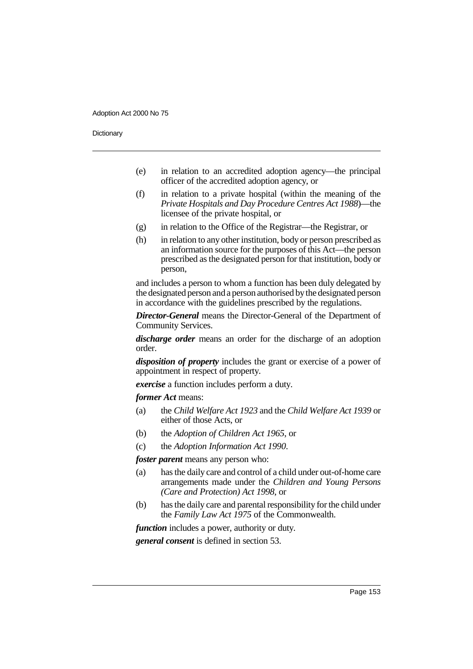#### **Dictionary**

- (e) in relation to an accredited adoption agency—the principal officer of the accredited adoption agency, or
- (f) in relation to a private hospital (within the meaning of the *Private Hospitals and Day Procedure Centres Act 1988*)—the licensee of the private hospital, or
- (g) in relation to the Office of the Registrar—the Registrar, or
- (h) in relation to any other institution, body or person prescribed as an information source for the purposes of this Act—the person prescribed as the designated person for that institution, body or person,

and includes a person to whom a function has been duly delegated by the designated person and a person authorised by the designated person in accordance with the guidelines prescribed by the regulations.

*Director-General* means the Director-General of the Department of Community Services.

*discharge order* means an order for the discharge of an adoption order.

*disposition of property* includes the grant or exercise of a power of appointment in respect of property.

*exercise* a function includes perform a duty.

*former Act* means:

- (a) the *Child Welfare Act 1923* and the *Child Welfare Act 1939* or either of those Acts, or
- (b) the *Adoption of Children Act 1965*, or
- (c) the *Adoption Information Act 1990*.

*foster parent* means any person who:

- (a) has the daily care and control of a child under out-of-home care arrangements made under the *Children and Young Persons (Care and Protection) Act 1998*, or
- (b) has the daily care and parental responsibility for the child under the *Family Law Act 1975* of the Commonwealth.

*function* includes a power, authority or duty.

*general consent* is defined in section 53.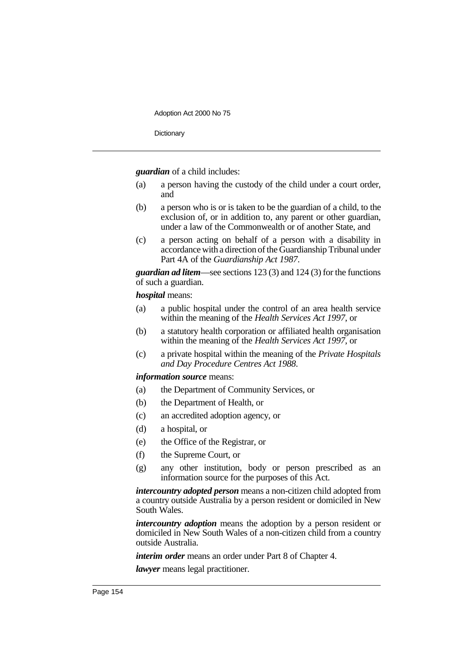**Dictionary** 

*guardian* of a child includes:

- (a) a person having the custody of the child under a court order, and
- (b) a person who is or is taken to be the guardian of a child, to the exclusion of, or in addition to, any parent or other guardian, under a law of the Commonwealth or of another State, and
- (c) a person acting on behalf of a person with a disability in accordance with a direction of the Guardianship Tribunal under Part 4A of the *Guardianship Act 1987*.

*guardian ad litem*—see sections 123 (3) and 124 (3) for the functions of such a guardian.

*hospital* means:

- (a) a public hospital under the control of an area health service within the meaning of the *Health Services Act 1997*, or
- (b) a statutory health corporation or affiliated health organisation within the meaning of the *Health Services Act 1997*, or
- (c) a private hospital within the meaning of the *Private Hospitals and Day Procedure Centres Act 1988*.

*information source* means:

- (a) the Department of Community Services, or
- (b) the Department of Health, or
- (c) an accredited adoption agency, or
- (d) a hospital, or
- (e) the Office of the Registrar, or
- (f) the Supreme Court, or
- (g) any other institution, body or person prescribed as an information source for the purposes of this Act.

*intercountry adopted person* means a non-citizen child adopted from a country outside Australia by a person resident or domiciled in New South Wales.

*intercountry adoption* means the adoption by a person resident or domiciled in New South Wales of a non-citizen child from a country outside Australia.

*interim order* means an order under Part 8 of Chapter 4.

*lawyer* means legal practitioner.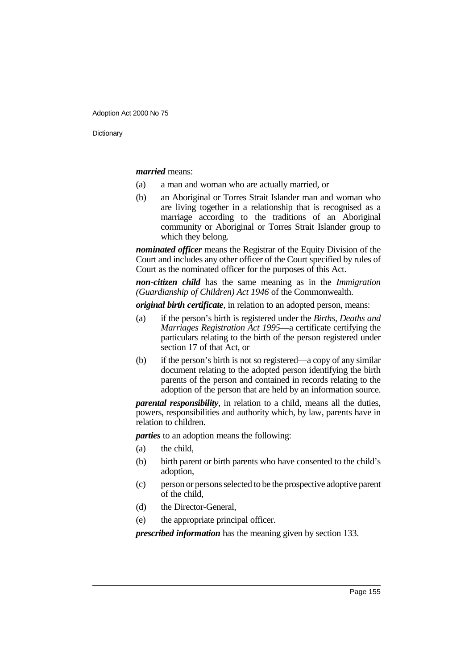**Dictionary** 

#### *married* means:

- (a) a man and woman who are actually married, or
- (b) an Aboriginal or Torres Strait Islander man and woman who are living together in a relationship that is recognised as a marriage according to the traditions of an Aboriginal community or Aboriginal or Torres Strait Islander group to which they belong.

*nominated officer* means the Registrar of the Equity Division of the Court and includes any other officer of the Court specified by rules of Court as the nominated officer for the purposes of this Act.

*non-citizen child* has the same meaning as in the *Immigration (Guardianship of Children) Act 1946* of the Commonwealth.

*original birth certificate*, in relation to an adopted person, means:

- (a) if the person's birth is registered under the *Births, Deaths and Marriages Registration Act 1995*—a certificate certifying the particulars relating to the birth of the person registered under section 17 of that Act, or
- (b) if the person's birth is not so registered—a copy of any similar document relating to the adopted person identifying the birth parents of the person and contained in records relating to the adoption of the person that are held by an information source.

*parental responsibility*, in relation to a child, means all the duties, powers, responsibilities and authority which, by law, parents have in relation to children.

*parties* to an adoption means the following:

- (a) the child,
- (b) birth parent or birth parents who have consented to the child's adoption,
- (c) person or persons selected to be the prospective adoptive parent of the child,
- (d) the Director-General,
- (e) the appropriate principal officer.

*prescribed information* has the meaning given by section 133.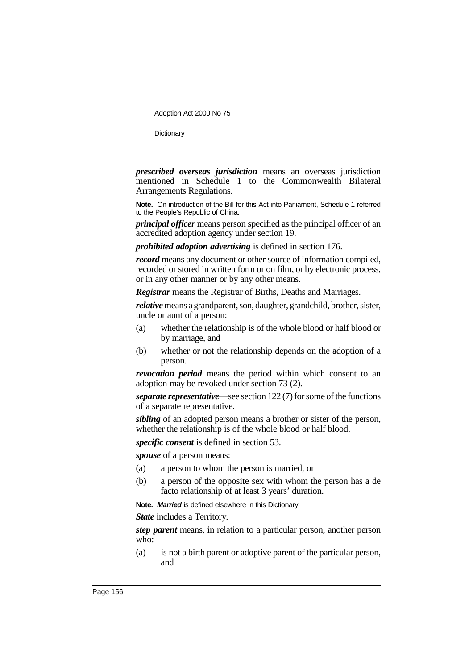**Dictionary** 

*prescribed overseas jurisdiction* means an overseas jurisdiction mentioned in Schedule 1 to the Commonwealth Bilateral Arrangements Regulations.

**Note.** On introduction of the Bill for this Act into Parliament, Schedule 1 referred to the People's Republic of China.

*principal officer* means person specified as the principal officer of an accredited adoption agency under section 19.

*prohibited adoption advertising* is defined in section 176.

*record* means any document or other source of information compiled, recorded or stored in written form or on film, or by electronic process, or in any other manner or by any other means.

*Registrar* means the Registrar of Births, Deaths and Marriages.

*relative* means a grandparent, son, daughter, grandchild, brother, sister, uncle or aunt of a person:

- (a) whether the relationship is of the whole blood or half blood or by marriage, and
- (b) whether or not the relationship depends on the adoption of a person.

*revocation period* means the period within which consent to an adoption may be revoked under section 73 (2).

*separate representative*—see section 122 (7) for some of the functions of a separate representative.

*sibling* of an adopted person means a brother or sister of the person, whether the relationship is of the whole blood or half blood.

*specific consent* is defined in section 53.

*spouse* of a person means:

- (a) a person to whom the person is married, or
- (b) a person of the opposite sex with whom the person has a de facto relationship of at least 3 years' duration.

**Note. Married** is defined elsewhere in this Dictionary.

*State* includes a Territory.

*step parent* means, in relation to a particular person, another person who:

(a) is not a birth parent or adoptive parent of the particular person, and